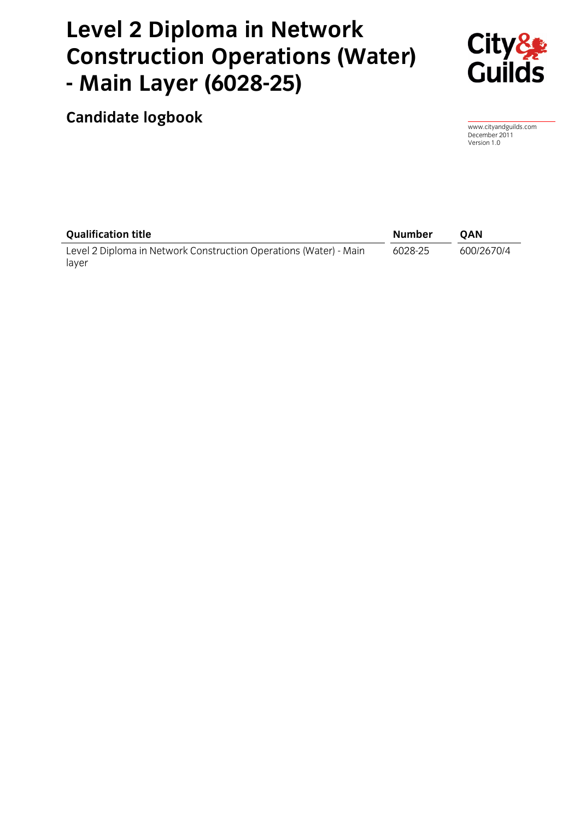# **Level 2 Diploma in Network Construction Operations (Water) - Main Layer (6028-25)**



**Candidate logbook** 

www.cityandguilds.com December 2011 Version 1.0

| <b>Qualification title</b>                                                 | Number  | OAN        |
|----------------------------------------------------------------------------|---------|------------|
| Level 2 Diploma in Network Construction Operations (Water) - Main<br>layer | 6028-25 | 600/2670/4 |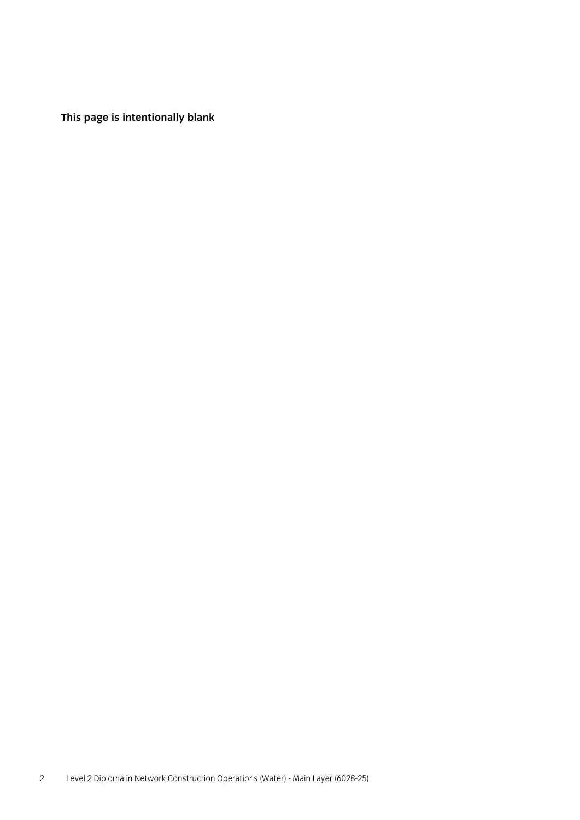**This page is intentionally blank**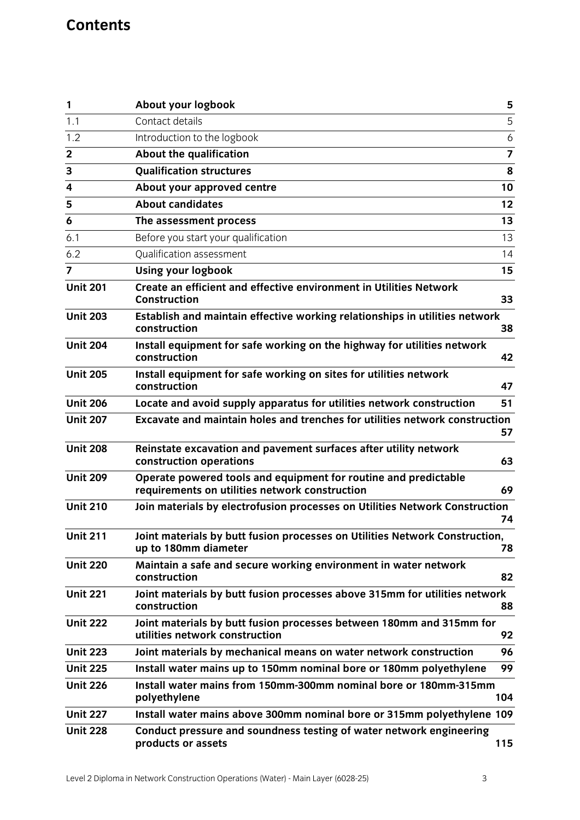## **Contents**

| 1                       | About your logbook                                                                                                | 5                       |
|-------------------------|-------------------------------------------------------------------------------------------------------------------|-------------------------|
| 1.1                     | Contact details                                                                                                   | 5                       |
| 1.2                     | Introduction to the logbook                                                                                       | 6                       |
| $\overline{2}$          | About the qualification                                                                                           | $\overline{\mathbf{z}}$ |
| 3                       | <b>Qualification structures</b>                                                                                   | 8                       |
| 4                       | About your approved centre                                                                                        | 10                      |
| 5                       | <b>About candidates</b>                                                                                           | 12                      |
| 6                       | The assessment process                                                                                            | 13                      |
| 6.1                     | Before you start your qualification                                                                               | 13                      |
| 6.2                     | Qualification assessment                                                                                          | 14                      |
| $\overline{\mathbf{z}}$ | Using your logbook                                                                                                | 15                      |
| <b>Unit 201</b>         | Create an efficient and effective environment in Utilities Network<br><b>Construction</b>                         | 33                      |
| <b>Unit 203</b>         | Establish and maintain effective working relationships in utilities network                                       |                         |
|                         | construction                                                                                                      | 38                      |
| <b>Unit 204</b>         | Install equipment for safe working on the highway for utilities network<br>construction                           | 42                      |
| <b>Unit 205</b>         | Install equipment for safe working on sites for utilities network<br>construction                                 | 47                      |
| <b>Unit 206</b>         | Locate and avoid supply apparatus for utilities network construction                                              | 51                      |
| <b>Unit 207</b>         | Excavate and maintain holes and trenches for utilities network construction                                       | 57                      |
| <b>Unit 208</b>         | Reinstate excavation and pavement surfaces after utility network<br>construction operations                       | 63                      |
| <b>Unit 209</b>         | Operate powered tools and equipment for routine and predictable<br>requirements on utilities network construction | 69                      |
| <b>Unit 210</b>         | Join materials by electrofusion processes on Utilities Network Construction                                       | 74                      |
| <b>Unit 211</b>         | Joint materials by butt fusion processes on Utilities Network Construction,<br>up to 180mm diameter               | 78                      |
| <b>Unit 220</b>         | Maintain a safe and secure working environment in water network<br>construction                                   | 82                      |
| <b>Unit 221</b>         | Joint materials by butt fusion processes above 315mm for utilities network<br>construction                        | 88                      |
| <b>Unit 222</b>         | Joint materials by butt fusion processes between 180mm and 315mm for<br>utilities network construction            | 92                      |
| <b>Unit 223</b>         | Joint materials by mechanical means on water network construction                                                 | 96                      |
| <b>Unit 225</b>         | Install water mains up to 150mm nominal bore or 180mm polyethylene                                                | 99                      |
| <b>Unit 226</b>         | Install water mains from 150mm-300mm nominal bore or 180mm-315mm<br>polyethylene                                  | 104                     |
| <b>Unit 227</b>         | Install water mains above 300mm nominal bore or 315mm polyethylene 109                                            |                         |
| <b>Unit 228</b>         | Conduct pressure and soundness testing of water network engineering<br>products or assets                         | 115                     |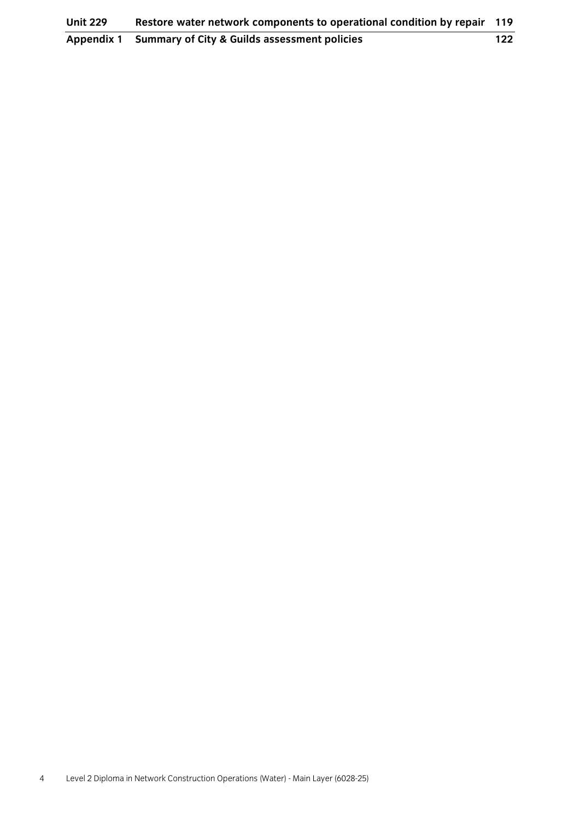### **Unit 229 Restore water network components to operational condition by repair [119](#page-118-0)**

**Appendix 1 Summary of City & Guilds assessment policies [122](#page-121-0)**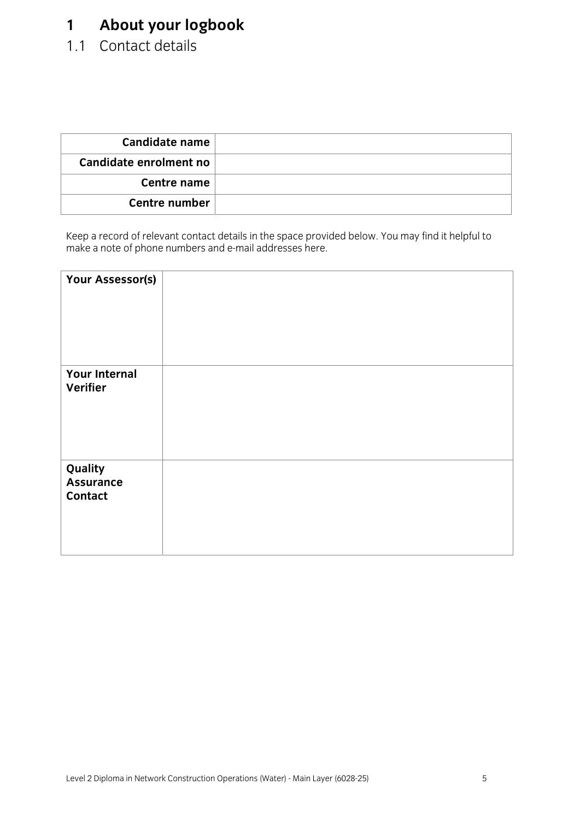# <span id="page-4-0"></span>**1 About your logbook**

<span id="page-4-1"></span>1.1 Contact details

| <b>Candidate name</b>  |  |
|------------------------|--|
| Candidate enrolment no |  |
| Centre name            |  |
| Centre number          |  |

Keep a record of relevant contact details in the space provided below. You may find it helpful to make a note of phone numbers and e-mail addresses here.

| Your Assessor(s)                              |  |
|-----------------------------------------------|--|
| <b>Your Internal</b><br>Verifier              |  |
| Quality<br><b>Assurance</b><br><b>Contact</b> |  |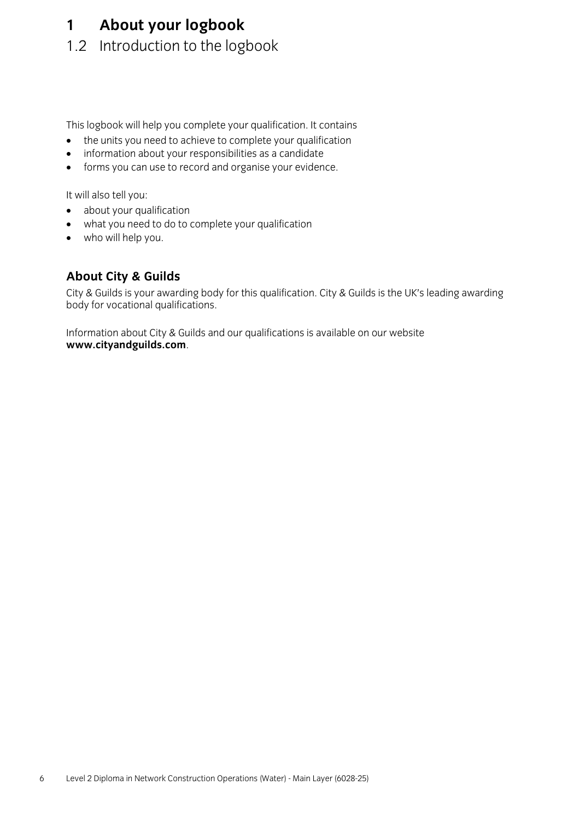# **1 About your logbook**

### <span id="page-5-0"></span>1.2 Introduction to the logbook

This logbook will help you complete your qualification. It contains

- the units you need to achieve to complete your qualification
- information about your responsibilities as a candidate
- forms you can use to record and organise your evidence.

It will also tell you:

- about your qualification
- what you need to do to complete your qualification
- who will help you.

### **About City & Guilds**

City & Guilds is your awarding body for this qualification. City & Guilds is the UK's leading awarding body for vocational qualifications.

Information about City & Guilds and our qualifications is available on our website **[www.cityandguilds.com](http://www.cityandguilds.com/)**.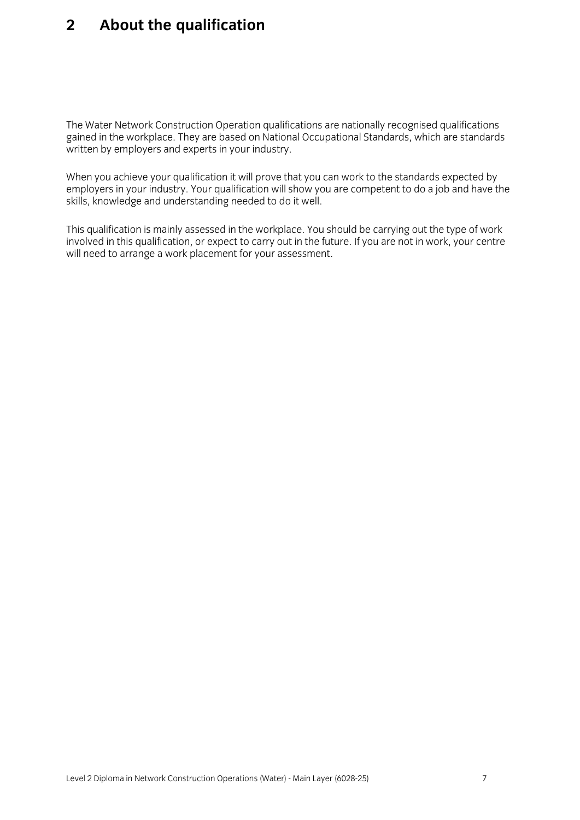## <span id="page-6-0"></span>**2 About the qualification**

The Water Network Construction Operation qualifications are nationally recognised qualifications gained in the workplace. They are based on National Occupational Standards, which are standards written by employers and experts in your industry.

When you achieve your qualification it will prove that you can work to the standards expected by employers in your industry. Your qualification will show you are competent to do a job and have the skills, knowledge and understanding needed to do it well.

This qualification is mainly assessed in the workplace. You should be carrying out the type of work involved in this qualification, or expect to carry out in the future. If you are not in work, your centre will need to arrange a work placement for your assessment.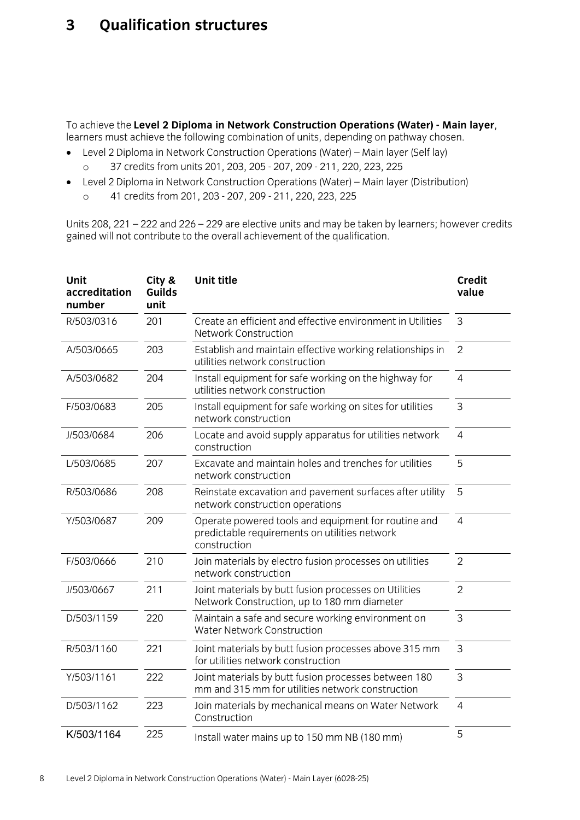# <span id="page-7-0"></span>**3 Qualification structures**

To achieve the **Level 2 Diploma in Network Construction Operations (Water) - Main layer**, learners must achieve the following combination of units, depending on pathway chosen.

- Level 2 Diploma in Network Construction Operations (Water) Main layer (Self lay) o 37 credits from units 201, 203, 205 - 207, 209 - 211, 220, 223, 225
- Level 2 Diploma in Network Construction Operations (Water) Main layer (Distribution) o 41 credits from 201, 203 - 207, 209 - 211, 220, 223, 225

Units 208, 221 – 222 and 226 – 229 are elective units and may be taken by learners; however credits gained will not contribute to the overall achievement of the qualification.

| <b>Unit</b><br>accreditation<br>number | City &<br><b>Guilds</b><br>unit | <b>Unit title</b>                                                                                                    | <b>Credit</b><br>value |
|----------------------------------------|---------------------------------|----------------------------------------------------------------------------------------------------------------------|------------------------|
| R/503/0316                             | 201                             | Create an efficient and effective environment in Utilities<br>Network Construction                                   | 3                      |
| A/503/0665                             | 203                             | Establish and maintain effective working relationships in<br>utilities network construction                          | $\overline{2}$         |
| A/503/0682                             | 204                             | Install equipment for safe working on the highway for<br>utilities network construction                              | $\overline{4}$         |
| F/503/0683                             | 205                             | Install equipment for safe working on sites for utilities<br>network construction                                    | $\overline{3}$         |
| J/503/0684                             | 206                             | Locate and avoid supply apparatus for utilities network<br>construction                                              | $\overline{4}$         |
| L/503/0685                             | 207                             | Excavate and maintain holes and trenches for utilities<br>network construction                                       | 5                      |
| R/503/0686                             | 208                             | Reinstate excavation and pavement surfaces after utility<br>network construction operations                          | 5                      |
| Y/503/0687                             | 209                             | Operate powered tools and equipment for routine and<br>predictable requirements on utilities network<br>construction | $\overline{4}$         |
| F/503/0666                             | 210                             | Join materials by electro fusion processes on utilities<br>network construction                                      | $\overline{2}$         |
| J/503/0667                             | 211                             | Joint materials by butt fusion processes on Utilities<br>Network Construction, up to 180 mm diameter                 | $\overline{2}$         |
| D/503/1159                             | 220                             | Maintain a safe and secure working environment on<br><b>Water Network Construction</b>                               | 3                      |
| R/503/1160                             | 221                             | Joint materials by butt fusion processes above 315 mm<br>for utilities network construction                          | 3                      |
| Y/503/1161                             | 222                             | Joint materials by butt fusion processes between 180<br>mm and 315 mm for utilities network construction             | 3                      |
| D/503/1162                             | 223                             | Join materials by mechanical means on Water Network<br>Construction                                                  | $\overline{4}$         |
| K/503/1164                             | 225                             | Install water mains up to 150 mm NB (180 mm)                                                                         | 5                      |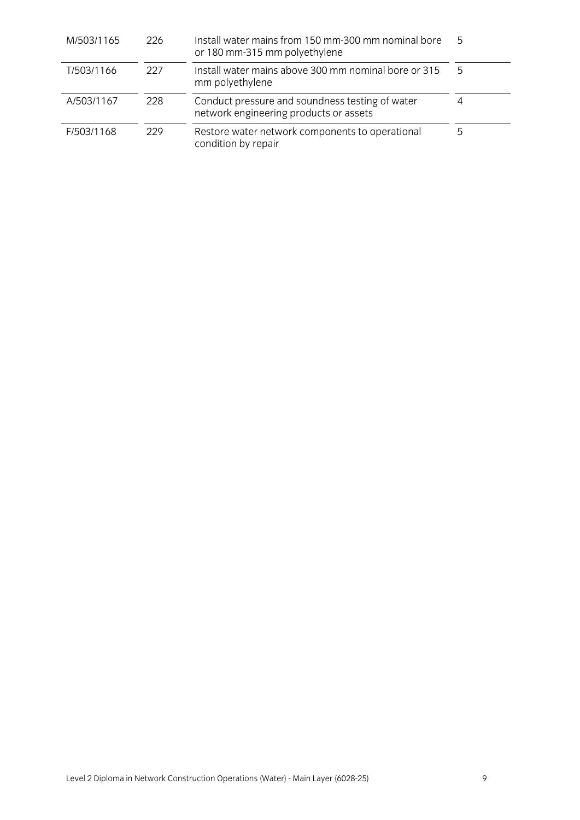| M/503/1165 | 226 | Install water mains from 150 mm-300 mm nominal bore<br>or 180 mm-315 mm polyethylene      | 5 |
|------------|-----|-------------------------------------------------------------------------------------------|---|
| T/503/1166 | 227 | Install water mains above 300 mm nominal bore or 315<br>mm polyethylene                   | 5 |
| A/503/1167 | 228 | Conduct pressure and soundness testing of water<br>network engineering products or assets |   |
| F/503/1168 | 229 | Restore water network components to operational<br>condition by repair                    | כ |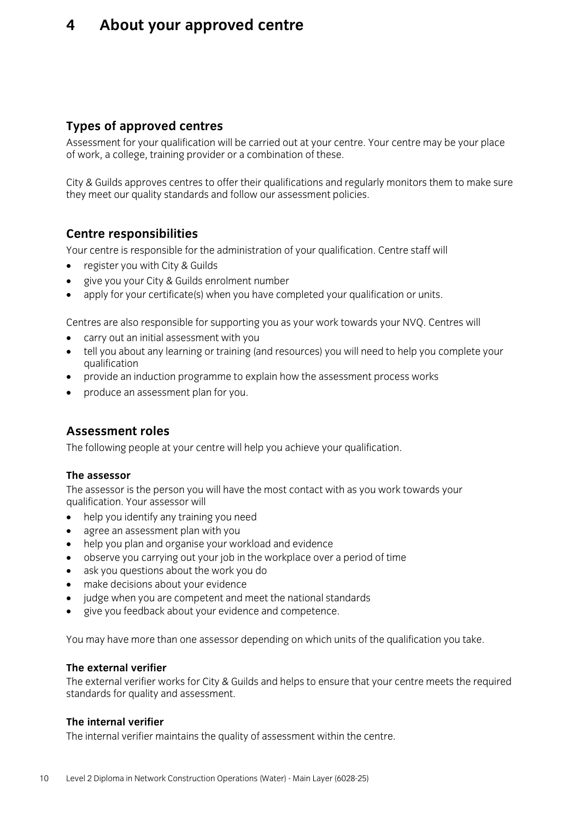### <span id="page-9-0"></span>**4 About your approved centre**

### **Types of approved centres**

Assessment for your qualification will be carried out at your centre. Your centre may be your place of work, a college, training provider or a combination of these.

City & Guilds approves centres to offer their qualifications and regularly monitors them to make sure they meet our quality standards and follow our assessment policies.

### **Centre responsibilities**

Your centre is responsible for the administration of your qualification. Centre staff will

- register you with City & Guilds
- give you your City & Guilds enrolment number
- apply for your certificate(s) when you have completed your qualification or units.

Centres are also responsible for supporting you as your work towards your NVQ. Centres will

- carry out an initial assessment with you
- tell you about any learning or training (and resources) you will need to help you complete your qualification
- provide an induction programme to explain how the assessment process works
- produce an assessment plan for you.

### **Assessment roles**

The following people at your centre will help you achieve your qualification.

#### **The assessor**

The assessor is the person you will have the most contact with as you work towards your qualification. Your assessor will

- help you identify any training you need
- agree an assessment plan with you
- help you plan and organise your workload and evidence
- observe you carrying out your job in the workplace over a period of time
- ask you questions about the work you do
- make decisions about your evidence
- judge when you are competent and meet the national standards
- give you feedback about your evidence and competence.

You may have more than one assessor depending on which units of the qualification you take.

#### **The external verifier**

The external verifier works for City & Guilds and helps to ensure that your centre meets the required standards for quality and assessment.

#### **The internal verifier**

The internal verifier maintains the quality of assessment within the centre.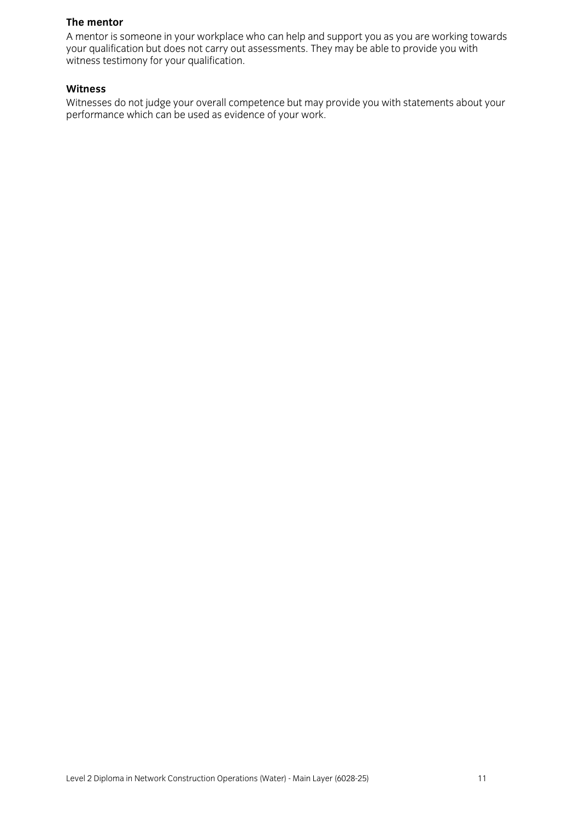#### **The mentor**

A mentor is someone in your workplace who can help and support you as you are working towards your qualification but does not carry out assessments. They may be able to provide you with witness testimony for your qualification.

#### **Witness**

Witnesses do not judge your overall competence but may provide you with statements about your performance which can be used as evidence of your work.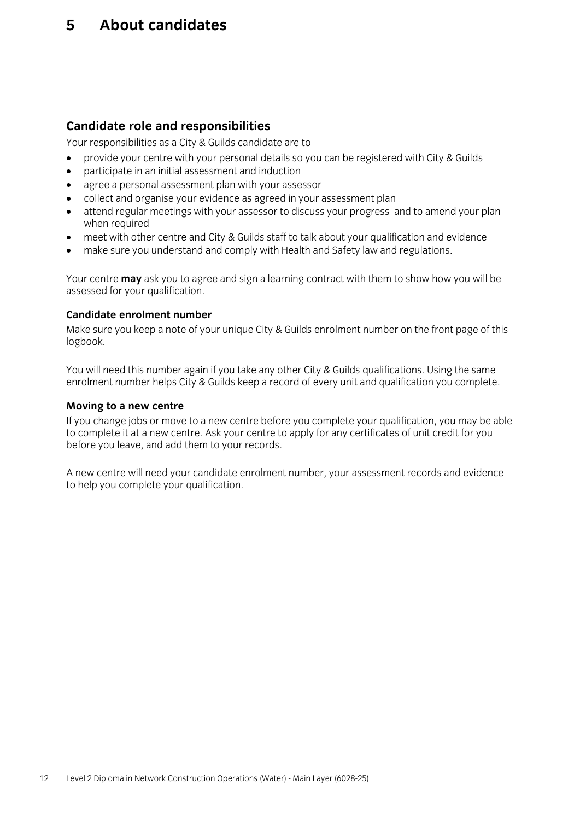### <span id="page-11-0"></span>**5 About candidates**

### **Candidate role and responsibilities**

Your responsibilities as a City & Guilds candidate are to

- provide your centre with your personal details so you can be registered with City & Guilds
- participate in an initial assessment and induction
- agree a personal assessment plan with your assessor
- collect and organise your evidence as agreed in your assessment plan
- attend regular meetings with your assessor to discuss your progress and to amend your plan when required
- meet with other centre and City & Guilds staff to talk about your qualification and evidence
- make sure you understand and comply with Health and Safety law and regulations.

Your centre **may** ask you to agree and sign a learning contract with them to show how you will be assessed for your qualification.

#### **Candidate enrolment number**

Make sure you keep a note of your unique City & Guilds enrolment number on the front page of this logbook.

You will need this number again if you take any other City & Guilds qualifications. Using the same enrolment number helps City & Guilds keep a record of every unit and qualification you complete.

#### **Moving to a new centre**

If you change jobs or move to a new centre before you complete your qualification, you may be able to complete it at a new centre. Ask your centre to apply for any certificates of unit credit for you before you leave, and add them to your records.

A new centre will need your candidate enrolment number, your assessment records and evidence to help you complete your qualification.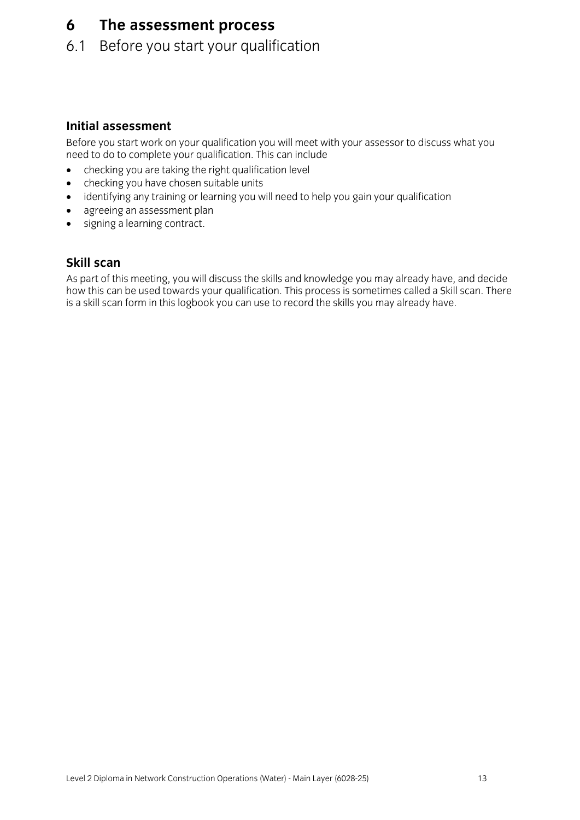### <span id="page-12-0"></span>**6 The assessment process**

### <span id="page-12-1"></span>6.1 Before you start your qualification

### **Initial assessment**

Before you start work on your qualification you will meet with your assessor to discuss what you need to do to complete your qualification. This can include

- checking you are taking the right qualification level
- checking you have chosen suitable units
- identifying any training or learning you will need to help you gain your qualification
- agreeing an assessment plan
- signing a learning contract.

### **Skill scan**

As part of this meeting, you will discuss the skills and knowledge you may already have, and decide how this can be used towards your qualification. This process is sometimes called a Skill scan. There is a skill scan form in this logbook you can use to record the skills you may already have.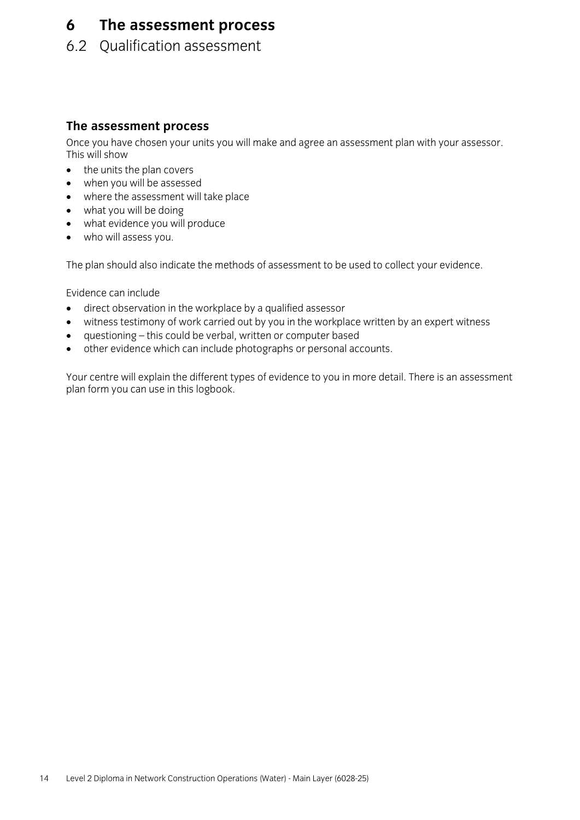### **6 The assessment process**

### <span id="page-13-0"></span>6.2 Qualification assessment

### **The assessment process**

Once you have chosen your units you will make and agree an assessment plan with your assessor. This will show

- the units the plan covers
- when you will be assessed
- where the assessment will take place
- what you will be doing
- what evidence you will produce
- who will assess you.

The plan should also indicate the methods of assessment to be used to collect your evidence.

Evidence can include

- direct observation in the workplace by a qualified assessor
- witness testimony of work carried out by you in the workplace written by an expert witness
- questioning this could be verbal, written or computer based
- other evidence which can include photographs or personal accounts.

Your centre will explain the different types of evidence to you in more detail. There is an assessment plan form you can use in this logbook.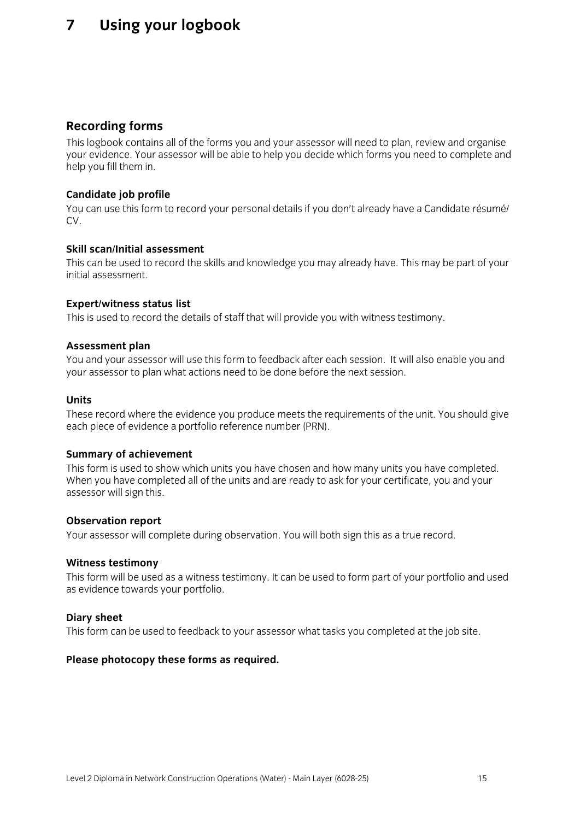## <span id="page-14-0"></span>**7 Using your logbook**

### **Recording forms**

This logbook contains all of the forms you and your assessor will need to plan, review and organise your evidence. Your assessor will be able to help you decide which forms you need to complete and help you fill them in.

#### **Candidate job profile**

You can use this form to record your personal details if you don't already have a Candidate résumé/ CV.

#### **Skill scan/Initial assessment**

This can be used to record the skills and knowledge you may already have. This may be part of your initial assessment.

#### **Expert/witness status list**

This is used to record the details of staff that will provide you with witness testimony.

#### **Assessment plan**

You and your assessor will use this form to feedback after each session. It will also enable you and your assessor to plan what actions need to be done before the next session.

#### **Units**

These record where the evidence you produce meets the requirements of the unit. You should give each piece of evidence a portfolio reference number (PRN).

#### **Summary of achievement**

This form is used to show which units you have chosen and how many units you have completed. When you have completed all of the units and are ready to ask for your certificate, you and your assessor will sign this.

#### **Observation report**

Your assessor will complete during observation. You will both sign this as a true record.

#### **Witness testimony**

This form will be used as a witness testimony. It can be used to form part of your portfolio and used as evidence towards your portfolio.

#### **Diary sheet**

This form can be used to feedback to your assessor what tasks you completed at the job site.

#### **Please photocopy these forms as required.**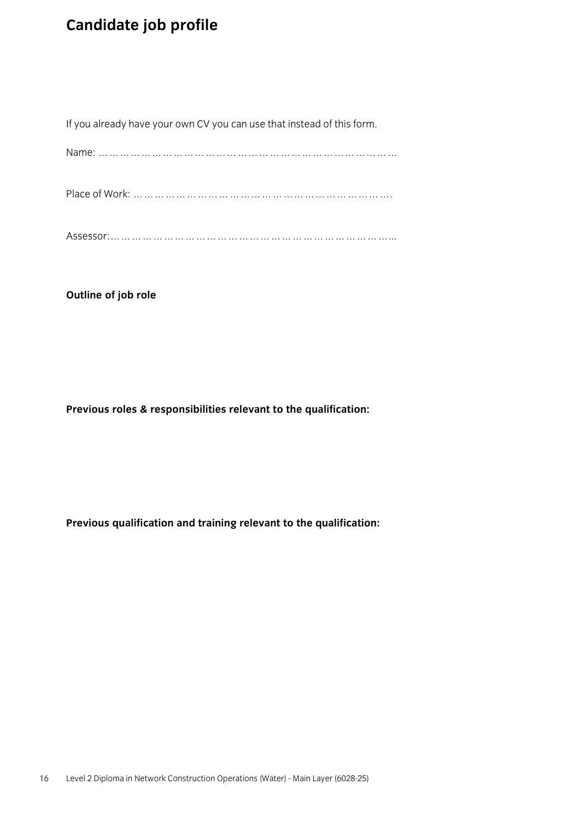# **Candidate job profile**

If you already have your own CV you can use that instead of this form.

**Outline of job role** 

**Previous roles & responsibilities relevant to the qualification:** 

**Previous qualification and training relevant to the qualification:**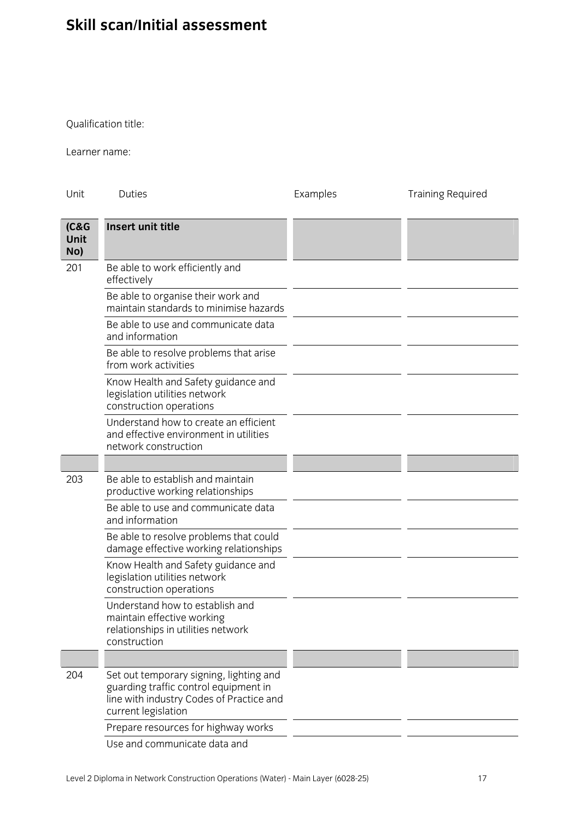# **Skill scan/Initial assessment**

Qualification title:

Learner name:

| Unit                | Duties                                                                                                                                              | Examples | <b>Training Required</b> |
|---------------------|-----------------------------------------------------------------------------------------------------------------------------------------------------|----------|--------------------------|
| (C&G<br>Unit<br>No) | Insert unit title                                                                                                                                   |          |                          |
| 201                 | Be able to work efficiently and<br>effectively                                                                                                      |          |                          |
|                     | Be able to organise their work and<br>maintain standards to minimise hazards                                                                        |          |                          |
|                     | Be able to use and communicate data<br>and information                                                                                              |          |                          |
|                     | Be able to resolve problems that arise<br>from work activities                                                                                      |          |                          |
|                     | Know Health and Safety guidance and<br>legislation utilities network<br>construction operations                                                     |          |                          |
|                     | Understand how to create an efficient<br>and effective environment in utilities<br>network construction                                             |          |                          |
|                     |                                                                                                                                                     |          |                          |
| 203                 | Be able to establish and maintain<br>productive working relationships                                                                               |          |                          |
|                     | Be able to use and communicate data<br>and information                                                                                              |          |                          |
|                     | Be able to resolve problems that could<br>damage effective working relationships                                                                    |          |                          |
|                     | Know Health and Safety guidance and<br>legislation utilities network<br>construction operations                                                     |          |                          |
|                     | Understand how to establish and<br>maintain effective working<br>relationships in utilities network<br>construction                                 |          |                          |
|                     |                                                                                                                                                     |          |                          |
| 204                 | Set out temporary signing, lighting and<br>guarding traffic control equipment in<br>line with industry Codes of Practice and<br>current legislation |          |                          |
|                     | Prepare resources for highway works                                                                                                                 |          |                          |
|                     | Use and communicate data and                                                                                                                        |          |                          |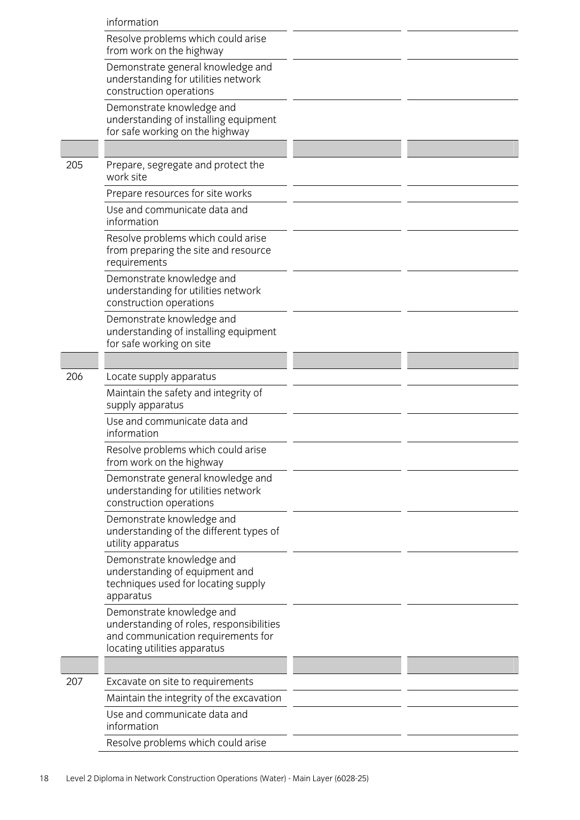|     | information                                                                                                                                 |  |
|-----|---------------------------------------------------------------------------------------------------------------------------------------------|--|
|     | Resolve problems which could arise<br>from work on the highway                                                                              |  |
|     | Demonstrate general knowledge and<br>understanding for utilities network<br>construction operations                                         |  |
|     | Demonstrate knowledge and<br>understanding of installing equipment<br>for safe working on the highway                                       |  |
| 205 | Prepare, segregate and protect the<br>work site                                                                                             |  |
|     | Prepare resources for site works                                                                                                            |  |
|     | Use and communicate data and<br>information                                                                                                 |  |
|     | Resolve problems which could arise<br>from preparing the site and resource<br>requirements                                                  |  |
|     | Demonstrate knowledge and<br>understanding for utilities network<br>construction operations                                                 |  |
|     | Demonstrate knowledge and<br>understanding of installing equipment<br>for safe working on site                                              |  |
|     |                                                                                                                                             |  |
| 206 | Locate supply apparatus                                                                                                                     |  |
|     | Maintain the safety and integrity of<br>supply apparatus                                                                                    |  |
|     |                                                                                                                                             |  |
|     | Use and communicate data and<br>information                                                                                                 |  |
|     | Resolve problems which could arise<br>from work on the highway                                                                              |  |
|     | Demonstrate general knowledge and<br>understanding for utilities network<br>construction operations                                         |  |
|     | Demonstrate knowledge and<br>understanding of the different types of<br>utility apparatus                                                   |  |
|     | Demonstrate knowledge and<br>understanding of equipment and<br>techniques used for locating supply<br>apparatus                             |  |
|     | Demonstrate knowledge and<br>understanding of roles, responsibilities<br>and communication requirements for<br>locating utilities apparatus |  |
|     |                                                                                                                                             |  |
| 207 | Excavate on site to requirements                                                                                                            |  |
|     | Maintain the integrity of the excavation                                                                                                    |  |
|     | Use and communicate data and<br>information                                                                                                 |  |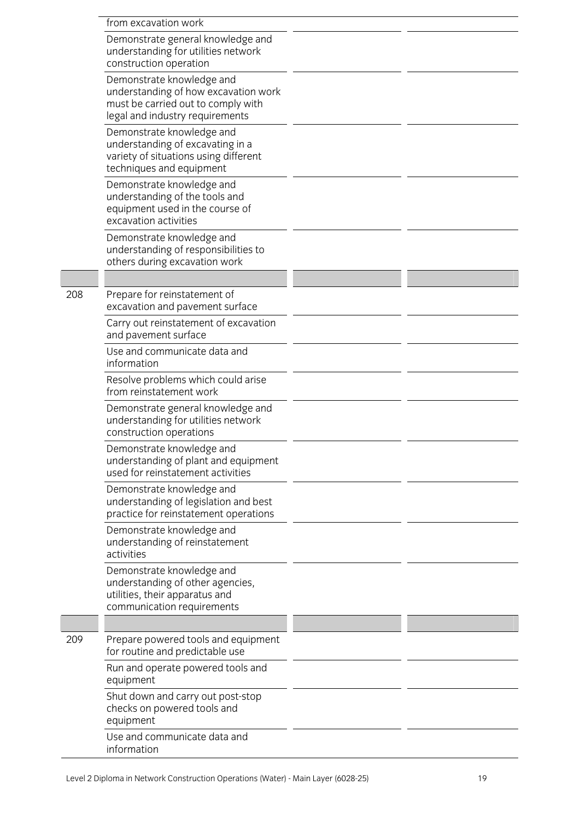|     | from excavation work                                                                                                                       |  |
|-----|--------------------------------------------------------------------------------------------------------------------------------------------|--|
|     | Demonstrate general knowledge and<br>understanding for utilities network<br>construction operation                                         |  |
|     | Demonstrate knowledge and<br>understanding of how excavation work<br>must be carried out to comply with<br>legal and industry requirements |  |
|     | Demonstrate knowledge and<br>understanding of excavating in a<br>variety of situations using different<br>techniques and equipment         |  |
|     | Demonstrate knowledge and<br>understanding of the tools and<br>equipment used in the course of<br>excavation activities                    |  |
|     | Demonstrate knowledge and<br>understanding of responsibilities to<br>others during excavation work                                         |  |
|     |                                                                                                                                            |  |
| 208 | Prepare for reinstatement of<br>excavation and pavement surface                                                                            |  |
|     | Carry out reinstatement of excavation<br>and pavement surface                                                                              |  |
|     | Use and communicate data and<br>information                                                                                                |  |
|     | Resolve problems which could arise<br>from reinstatement work                                                                              |  |
|     | Demonstrate general knowledge and<br>understanding for utilities network<br>construction operations                                        |  |
|     | Demonstrate knowledge and<br>understanding of plant and equipment<br>used for reinstatement activities                                     |  |
|     | Demonstrate knowledge and<br>understanding of legislation and best<br>practice for reinstatement operations                                |  |
|     | Demonstrate knowledge and<br>understanding of reinstatement<br>activities                                                                  |  |
|     | Demonstrate knowledge and<br>understanding of other agencies,<br>utilities, their apparatus and<br>communication requirements              |  |
|     |                                                                                                                                            |  |
| 209 | Prepare powered tools and equipment<br>for routine and predictable use                                                                     |  |
|     | Run and operate powered tools and<br>equipment                                                                                             |  |
|     | Shut down and carry out post-stop<br>checks on powered tools and<br>equipment                                                              |  |
|     | Use and communicate data and<br>information                                                                                                |  |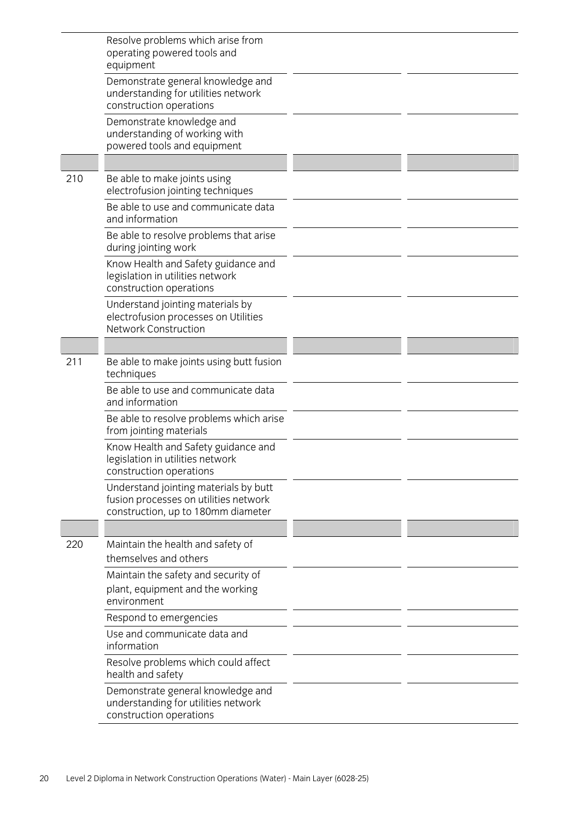|     | Resolve problems which arise from<br>operating powered tools and                                                     |  |
|-----|----------------------------------------------------------------------------------------------------------------------|--|
|     | equipment                                                                                                            |  |
|     | Demonstrate general knowledge and<br>understanding for utilities network<br>construction operations                  |  |
|     | Demonstrate knowledge and<br>understanding of working with<br>powered tools and equipment                            |  |
|     |                                                                                                                      |  |
| 210 | Be able to make joints using<br>electrofusion jointing techniques                                                    |  |
|     | Be able to use and communicate data<br>and information                                                               |  |
|     | Be able to resolve problems that arise<br>during jointing work                                                       |  |
|     | Know Health and Safety guidance and<br>legislation in utilities network<br>construction operations                   |  |
|     | Understand jointing materials by<br>electrofusion processes on Utilities<br><b>Network Construction</b>              |  |
|     |                                                                                                                      |  |
| 211 | Be able to make joints using butt fusion<br>techniques                                                               |  |
|     | Be able to use and communicate data<br>and information                                                               |  |
|     | Be able to resolve problems which arise<br>from jointing materials                                                   |  |
|     | Know Health and Safety guidance and<br>legislation in utilities network<br>construction operations                   |  |
|     | Understand jointing materials by butt<br>fusion processes on utilities network<br>construction, up to 180mm diameter |  |
|     |                                                                                                                      |  |
| 220 | Maintain the health and safety of<br>themselves and others                                                           |  |
|     | Maintain the safety and security of                                                                                  |  |
|     | plant, equipment and the working<br>environment                                                                      |  |
|     | Respond to emergencies                                                                                               |  |
|     | Use and communicate data and<br>information                                                                          |  |
|     | Resolve problems which could affect<br>health and safety                                                             |  |
|     | Demonstrate general knowledge and<br>understanding for utilities network<br>construction operations                  |  |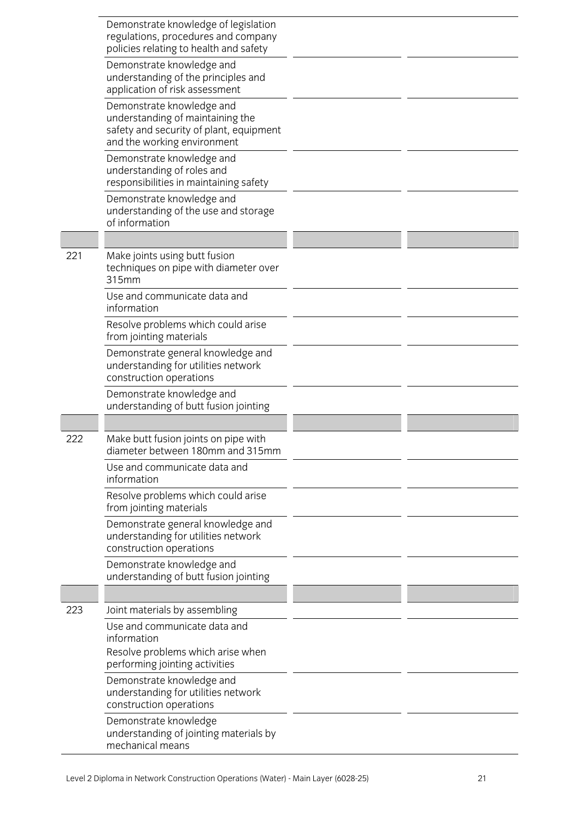|     | Demonstrate knowledge of legislation<br>regulations, procedures and company<br>policies relating to health and safety                   |  |
|-----|-----------------------------------------------------------------------------------------------------------------------------------------|--|
|     | Demonstrate knowledge and<br>understanding of the principles and<br>application of risk assessment                                      |  |
|     | Demonstrate knowledge and<br>understanding of maintaining the<br>safety and security of plant, equipment<br>and the working environment |  |
|     | Demonstrate knowledge and<br>understanding of roles and<br>responsibilities in maintaining safety                                       |  |
|     | Demonstrate knowledge and<br>understanding of the use and storage<br>of information                                                     |  |
|     |                                                                                                                                         |  |
| 221 | Make joints using butt fusion<br>techniques on pipe with diameter over<br>315mm                                                         |  |
|     | Use and communicate data and<br>information                                                                                             |  |
|     | Resolve problems which could arise<br>from jointing materials                                                                           |  |
|     | Demonstrate general knowledge and<br>understanding for utilities network<br>construction operations                                     |  |
|     | Demonstrate knowledge and<br>understanding of butt fusion jointing                                                                      |  |
|     |                                                                                                                                         |  |
| 222 | Make butt fusion joints on pipe with<br>diameter between 180mm and 315mm                                                                |  |
|     | Use and communicate data and<br>information                                                                                             |  |
|     | Resolve problems which could arise<br>from jointing materials                                                                           |  |
|     | Demonstrate general knowledge and<br>understanding for utilities network<br>construction operations                                     |  |
|     | Demonstrate knowledge and<br>understanding of butt fusion jointing                                                                      |  |
|     |                                                                                                                                         |  |
| 223 | Joint materials by assembling                                                                                                           |  |
|     | Use and communicate data and<br>information                                                                                             |  |
|     | Resolve problems which arise when<br>performing jointing activities                                                                     |  |
|     | Demonstrate knowledge and<br>understanding for utilities network<br>construction operations                                             |  |
|     | Demonstrate knowledge<br>understanding of jointing materials by<br>mechanical means                                                     |  |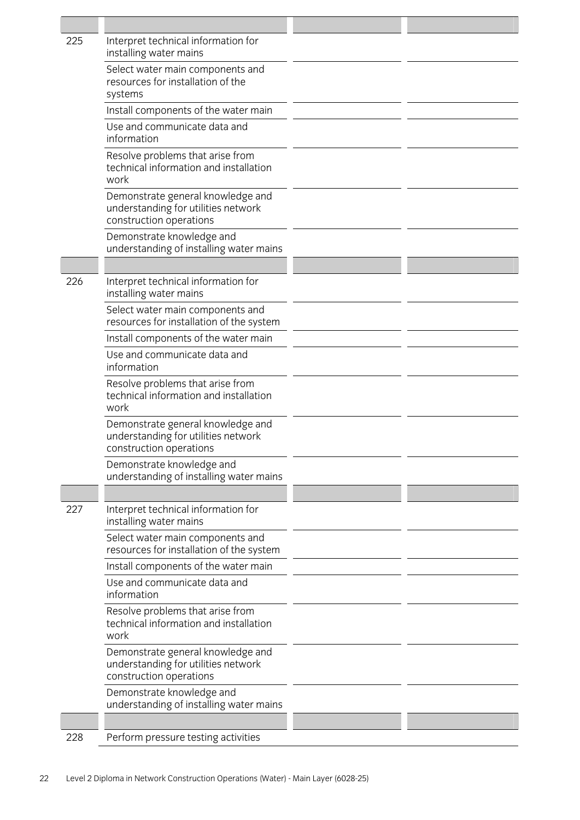| 225 | Interpret technical information for<br>installing water mains                                       |  |
|-----|-----------------------------------------------------------------------------------------------------|--|
|     | Select water main components and<br>resources for installation of the<br>systems                    |  |
|     | Install components of the water main                                                                |  |
|     | Use and communicate data and<br>information                                                         |  |
|     | Resolve problems that arise from<br>technical information and installation<br>work                  |  |
|     | Demonstrate general knowledge and<br>understanding for utilities network<br>construction operations |  |
|     | Demonstrate knowledge and<br>understanding of installing water mains                                |  |
|     |                                                                                                     |  |
| 226 | Interpret technical information for<br>installing water mains                                       |  |
|     | Select water main components and<br>resources for installation of the system                        |  |
|     | Install components of the water main                                                                |  |
|     | Use and communicate data and<br>information                                                         |  |
|     | Resolve problems that arise from<br>technical information and installation<br>work                  |  |
|     | Demonstrate general knowledge and<br>understanding for utilities network<br>construction operations |  |
|     | Demonstrate knowledge and<br>understanding of installing water mains                                |  |
|     |                                                                                                     |  |
| 227 | Interpret technical information for<br>installing water mains                                       |  |
|     | Select water main components and<br>resources for installation of the system                        |  |
|     | Install components of the water main                                                                |  |
|     | Use and communicate data and<br>information                                                         |  |
|     | Resolve problems that arise from<br>technical information and installation<br>work                  |  |
|     | Demonstrate general knowledge and<br>understanding for utilities network<br>construction operations |  |
|     | Demonstrate knowledge and<br>understanding of installing water mains                                |  |
|     |                                                                                                     |  |
| 228 | Perform pressure testing activities                                                                 |  |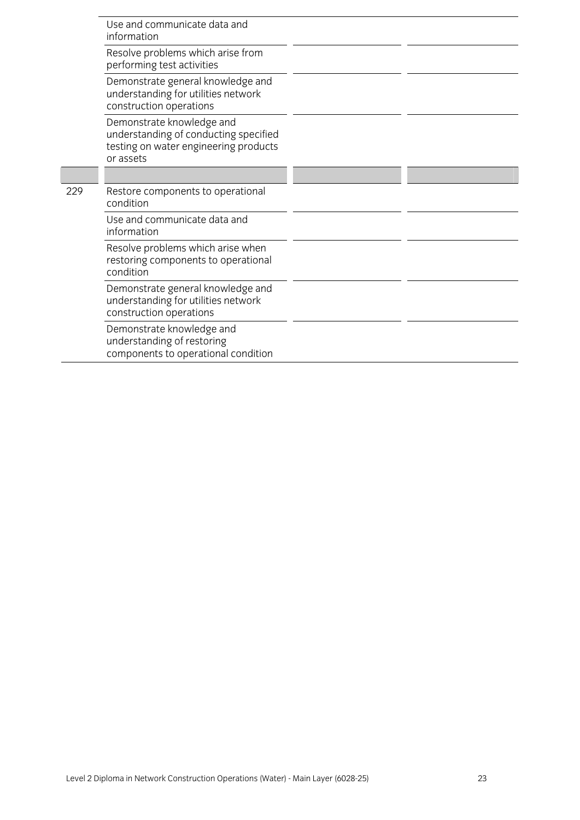|     | Use and communicate data and<br>information                                                                              |  |
|-----|--------------------------------------------------------------------------------------------------------------------------|--|
|     | Resolve problems which arise from<br>performing test activities                                                          |  |
|     | Demonstrate general knowledge and<br>understanding for utilities network<br>construction operations                      |  |
|     | Demonstrate knowledge and<br>understanding of conducting specified<br>testing on water engineering products<br>or assets |  |
|     |                                                                                                                          |  |
| 229 | Restore components to operational<br>condition                                                                           |  |
|     | Use and communicate data and<br>information                                                                              |  |
|     | Resolve problems which arise when<br>restoring components to operational<br>condition                                    |  |
|     | Demonstrate general knowledge and<br>understanding for utilities network<br>construction operations                      |  |
|     | Demonstrate knowledge and<br>understanding of restoring<br>components to operational condition                           |  |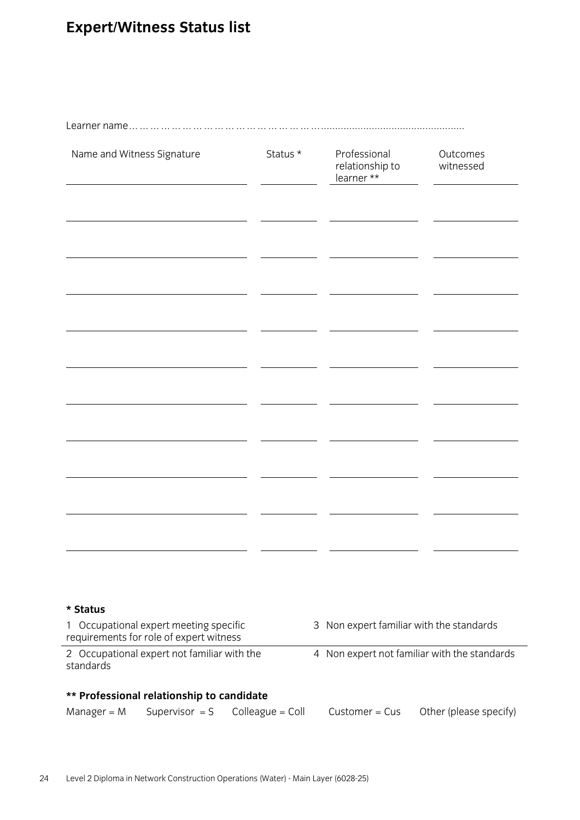# **Expert/Witness Status list**

| Name and Witness Signature                               | Status * | Professional<br>relationship to<br>learner ** | Outcomes<br>witnessed |
|----------------------------------------------------------|----------|-----------------------------------------------|-----------------------|
|                                                          |          |                                               |                       |
|                                                          |          |                                               |                       |
|                                                          |          |                                               |                       |
|                                                          |          |                                               |                       |
|                                                          |          |                                               |                       |
|                                                          |          |                                               |                       |
|                                                          |          |                                               |                       |
|                                                          |          |                                               |                       |
|                                                          |          |                                               |                       |
|                                                          |          |                                               |                       |
|                                                          |          |                                               |                       |
|                                                          |          |                                               |                       |
|                                                          |          |                                               |                       |
|                                                          |          |                                               |                       |
|                                                          |          |                                               |                       |
|                                                          |          |                                               |                       |
|                                                          |          |                                               |                       |
| * Status<br>1 Occupational expert meeting specific       |          | 3 Non expert familiar with the standards      |                       |
| requirements for role of expert witness                  |          |                                               |                       |
| 2 Occupational expert not familiar with the<br>standards |          | 4 Non expert not familiar with the standards  |                       |
| ** Professional relationship to candidate                |          |                                               |                       |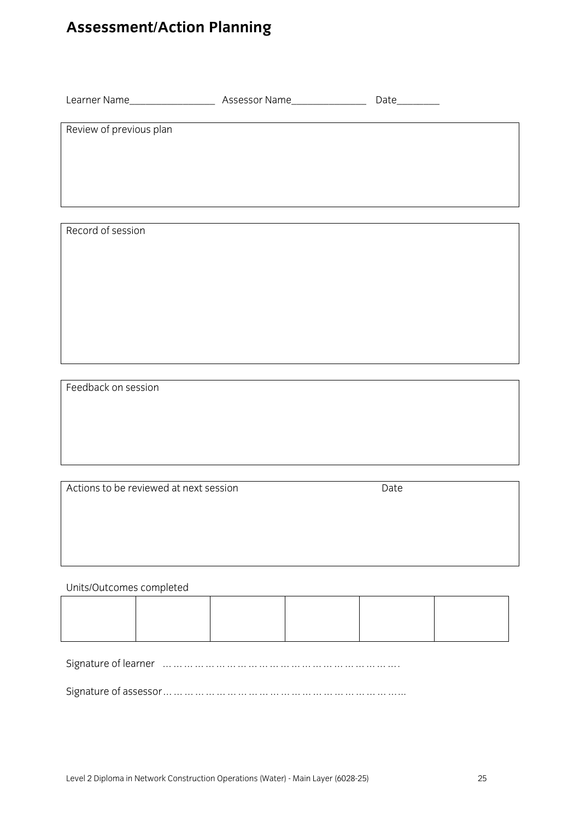## **Assessment/Action Planning**

| Learner Name | Assessor Name | Jatr |
|--------------|---------------|------|
|              |               |      |

Review of previous plan

Record of session

Feedback on session

Actions to be reviewed at next session Date

Units/Outcomes completed

Signature of learner ………………………………………………………….

Signature of assessor…………………………………………………………...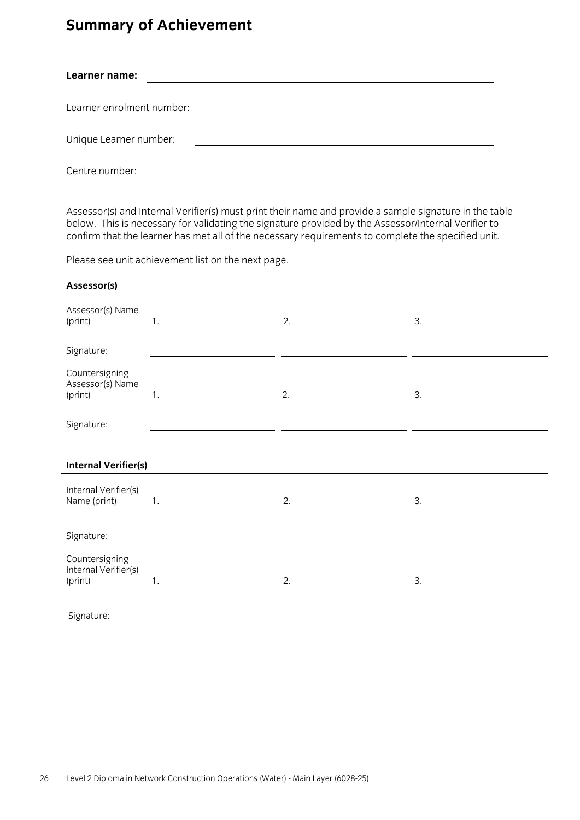### **Summary of Achievement**

| Learner name:             |  |
|---------------------------|--|
| Learner enrolment number: |  |
| Unique Learner number:    |  |
| Centre number:            |  |

Assessor(s) and Internal Verifier(s) must print their name and provide a sample signature in the table below. This is necessary for validating the signature provided by the Assessor/Internal Verifier to confirm that the learner has met all of the necessary requirements to complete the specified unit.

Please see unit achievement list on the next page.

| Assessor(s)                                       |                                                                                                                      |                                                               |    |
|---------------------------------------------------|----------------------------------------------------------------------------------------------------------------------|---------------------------------------------------------------|----|
| Assessor(s) Name<br>(print)                       | 1.<br><u> 1980 - Johann Barbara, martin a</u>                                                                        | 2. $\qquad \qquad$                                            | 3. |
| Signature:                                        |                                                                                                                      | <u> 1980 - Johann John Stone, mars et al. (b. 1980)</u>       |    |
| Countersigning<br>Assessor(s) Name<br>(print)     | $1_{\cdot}$                                                                                                          | 2.                                                            | 3. |
| Signature:                                        |                                                                                                                      | <u> 1989 - Andrea Andrew Amerikaanse kommunister († 1958)</u> |    |
|                                                   |                                                                                                                      |                                                               |    |
| <b>Internal Verifier(s)</b>                       |                                                                                                                      |                                                               |    |
| Internal Verifier(s)<br>Name (print)              | $\mathbf{1}$ .                                                                                                       | 2.                                                            | 3. |
| Signature:                                        | <u> 1989 - Johann John Stone, mars and de format de la provincia de la provincia de la provincia de la provincia</u> |                                                               |    |
| Countersigning<br>Internal Verifier(s)<br>(print) | 1.                                                                                                                   | 2.                                                            | 3. |
| Signature:                                        |                                                                                                                      |                                                               |    |
|                                                   |                                                                                                                      |                                                               |    |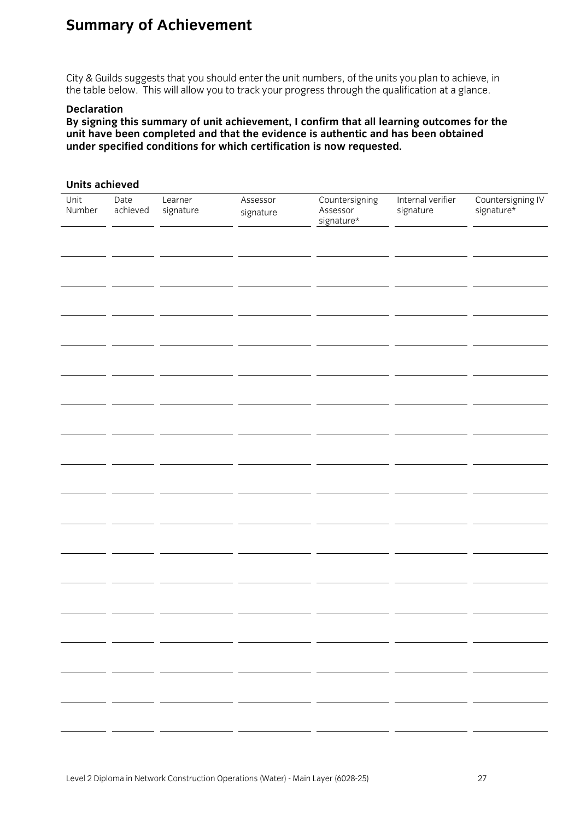### **Summary of Achievement**

City & Guilds suggests that you should enter the unit numbers, of the units you plan to achieve, in the table below. This will allow you to track your progress through the qualification at a glance.

#### **Declaration**

**By signing this summary of unit achievement, I confirm that all learning outcomes for the unit have been completed and that the evidence is authentic and has been obtained under specified conditions for which certification is now requested.** 

| <b>Units achieved</b> |                  |                      |                       |                                          |                                |                                 |
|-----------------------|------------------|----------------------|-----------------------|------------------------------------------|--------------------------------|---------------------------------|
| Unit<br>Number        | Date<br>achieved | Learner<br>signature | Assessor<br>signature | Countersigning<br>Assessor<br>signature* | Internal verifier<br>signature | Countersigning IV<br>signature* |
|                       |                  |                      |                       |                                          |                                |                                 |
|                       |                  |                      |                       |                                          |                                |                                 |
|                       |                  |                      |                       |                                          |                                |                                 |
|                       |                  |                      |                       |                                          |                                |                                 |
|                       |                  |                      |                       |                                          |                                |                                 |
|                       |                  |                      |                       |                                          |                                |                                 |
|                       |                  |                      |                       |                                          |                                |                                 |
|                       |                  |                      |                       |                                          |                                |                                 |
|                       |                  |                      |                       |                                          |                                |                                 |
|                       |                  |                      |                       |                                          |                                |                                 |
|                       |                  |                      |                       |                                          |                                |                                 |
|                       |                  |                      |                       |                                          |                                |                                 |
|                       |                  |                      |                       |                                          |                                |                                 |
|                       |                  |                      |                       |                                          |                                |                                 |
|                       |                  |                      |                       |                                          |                                |                                 |
|                       |                  |                      |                       |                                          |                                |                                 |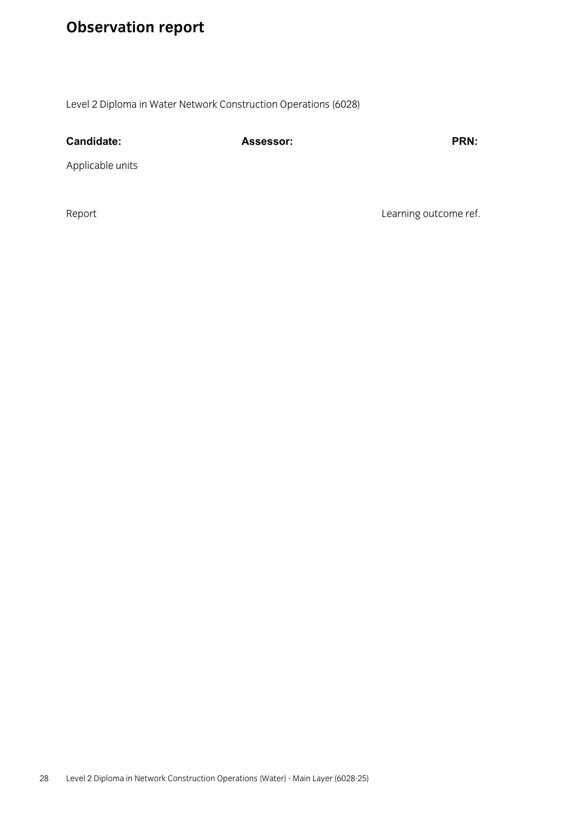# **Observation report**

Level 2 Diploma in Water Network Construction Operations (6028)

#### **Candidate: Assessor: PRN: PRN: PRN: PRN:**

Applicable units

Report **Learning outcome ref.**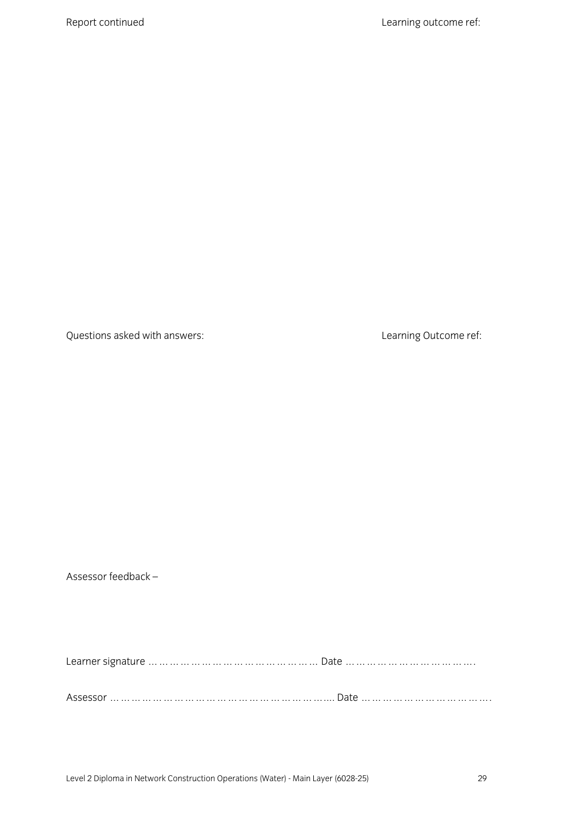Questions asked with answers: Learning Outcome ref:

Assessor feedback –

Learner signature … … … … … … … … … … … … … … … Date … … … … … … … … … … … … …

Assessor …………………………………………………….... Date ……………………………….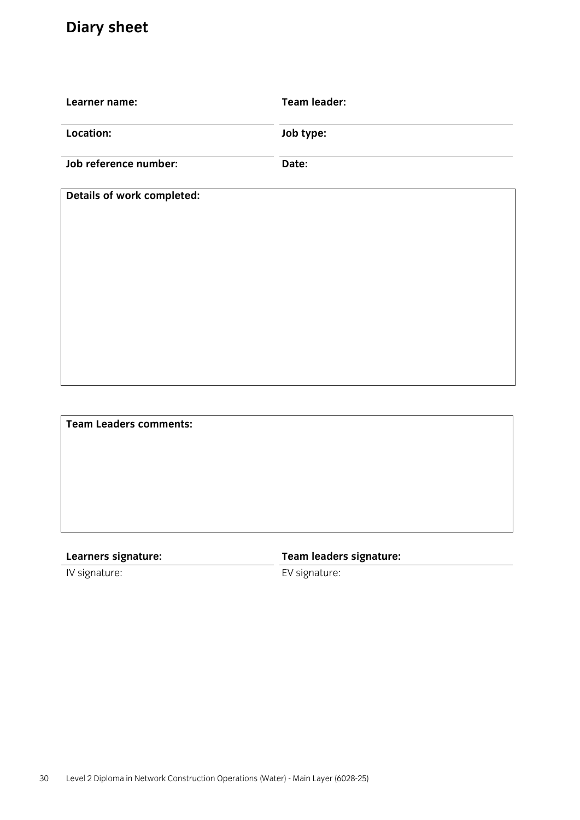# **Diary sheet**

| Learner name:                 | <b>Team leader:</b>     |
|-------------------------------|-------------------------|
| Location:                     | Job type:               |
| Job reference number:         | Date:                   |
| Details of work completed:    |                         |
|                               |                         |
|                               |                         |
|                               |                         |
|                               |                         |
|                               |                         |
|                               |                         |
|                               |                         |
| <b>Team Leaders comments:</b> |                         |
|                               |                         |
|                               |                         |
|                               |                         |
| Learners signature:           | Team leaders signature: |

IV signature: EV signature: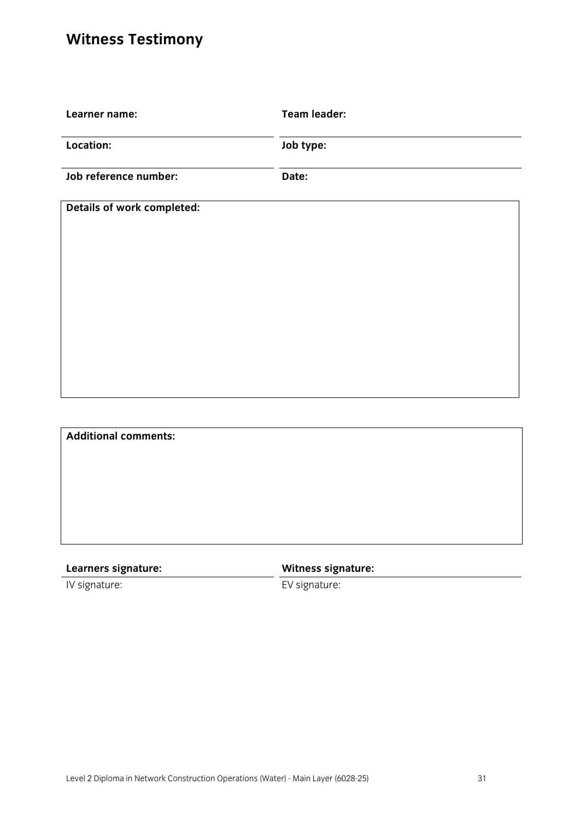# **Witness Testimony**

| Learner name:               | <b>Team leader:</b> |
|-----------------------------|---------------------|
| Location:                   | Job type:           |
| Job reference number:       | Date:               |
| Details of work completed:  |                     |
|                             |                     |
| <b>Additional comments:</b> |                     |
| Learners signature:         | Witness signature:  |

IV signature: EV signature: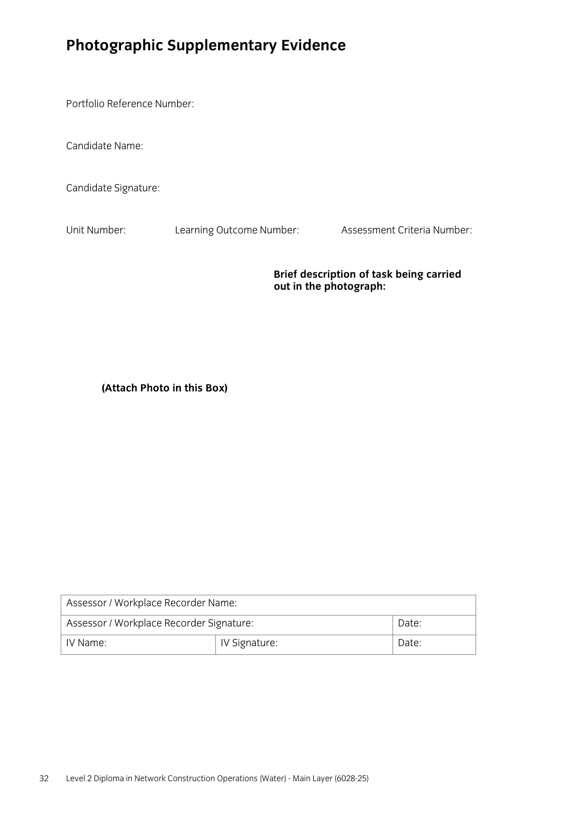### **Photographic Supplementary Evidence**

Portfolio Reference Number:

Candidate Name:

Candidate Signature:

Unit Number: Learning Outcome Number: Assessment Criteria Number:

**Brief description of task being carried out in the photograph:** 

**(Attach Photo in this Box)** 

| Assessor / Workplace Recorder Name:               |  |       |  |
|---------------------------------------------------|--|-------|--|
| Assessor / Workplace Recorder Signature:<br>Date: |  |       |  |
| IV Signature:<br>IV Name:                         |  | Date: |  |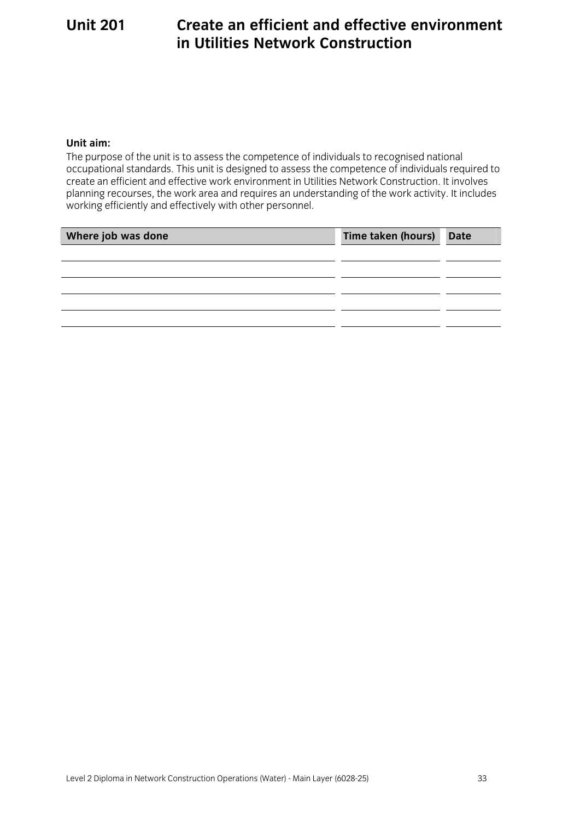<span id="page-32-0"></span>

### **Unit 201 Create an efficient and effective environment in Utilities Network Construction**

#### **Unit aim:**

The purpose of the unit is to assess the competence of individuals to recognised national occupational standards. This unit is designed to assess the competence of individuals required to create an efficient and effective work environment in Utilities Network Construction. It involves planning recourses, the work area and requires an understanding of the work activity. It includes working efficiently and effectively with other personnel.

| Where job was done | Time taken (hours) Date |  |
|--------------------|-------------------------|--|
|                    |                         |  |
|                    |                         |  |
|                    |                         |  |
|                    |                         |  |
|                    |                         |  |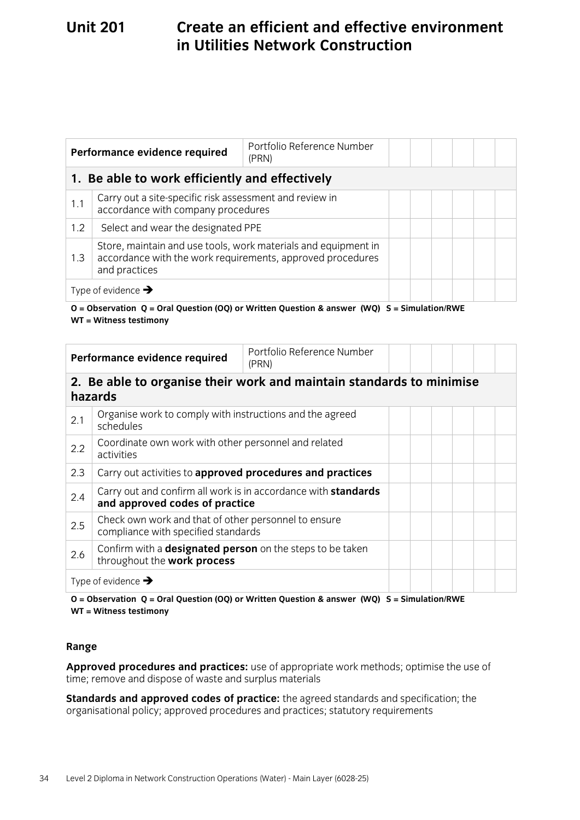### **Unit 201 Create an efficient and effective environment in Utilities Network Construction**

| Performance evidence required                                                                                                                        |                                                                                               | Portfolio Reference Number<br>(PRN) |  |  |  |  |  |  |
|------------------------------------------------------------------------------------------------------------------------------------------------------|-----------------------------------------------------------------------------------------------|-------------------------------------|--|--|--|--|--|--|
|                                                                                                                                                      | 1. Be able to work efficiently and effectively                                                |                                     |  |  |  |  |  |  |
| 1.1                                                                                                                                                  | Carry out a site-specific risk assessment and review in<br>accordance with company procedures |                                     |  |  |  |  |  |  |
| 1.2                                                                                                                                                  | Select and wear the designated PPE                                                            |                                     |  |  |  |  |  |  |
| Store, maintain and use tools, work materials and equipment in<br>accordance with the work requirements, approved procedures<br>1.3<br>and practices |                                                                                               |                                     |  |  |  |  |  |  |
| Type of evidence $\rightarrow$                                                                                                                       |                                                                                               |                                     |  |  |  |  |  |  |

**O = Observation Q = Oral Question (OQ) or Written Question & answer (WQ) S = Simulation/RWE WT = Witness testimony**

|                                                                                 | Performance evidence required                                                                    | Portfolio Reference Number<br>(PRN) |  |  |  |  |  |  |
|---------------------------------------------------------------------------------|--------------------------------------------------------------------------------------------------|-------------------------------------|--|--|--|--|--|--|
| 2. Be able to organise their work and maintain standards to minimise<br>hazards |                                                                                                  |                                     |  |  |  |  |  |  |
| 2.1                                                                             | Organise work to comply with instructions and the agreed<br>schedules                            |                                     |  |  |  |  |  |  |
| 2.2                                                                             | Coordinate own work with other personnel and related<br>activities                               |                                     |  |  |  |  |  |  |
| 2.3                                                                             | Carry out activities to approved procedures and practices                                        |                                     |  |  |  |  |  |  |
| 2.4                                                                             | Carry out and confirm all work is in accordance with standards<br>and approved codes of practice |                                     |  |  |  |  |  |  |
| 2.5                                                                             | Check own work and that of other personnel to ensure<br>compliance with specified standards      |                                     |  |  |  |  |  |  |
| 2.6                                                                             | Confirm with a <b>designated person</b> on the steps to be taken<br>throughout the work process  |                                     |  |  |  |  |  |  |
|                                                                                 | Type of evidence $\rightarrow$                                                                   |                                     |  |  |  |  |  |  |

**O = Observation Q = Oral Question (OQ) or Written Question & answer (WQ) S = Simulation/RWE WT = Witness testimony**

#### **Range**

**Approved procedures and practices:** use of appropriate work methods; optimise the use of time; remove and dispose of waste and surplus materials

**Standards and approved codes of practice:** the agreed standards and specification; the organisational policy; approved procedures and practices; statutory requirements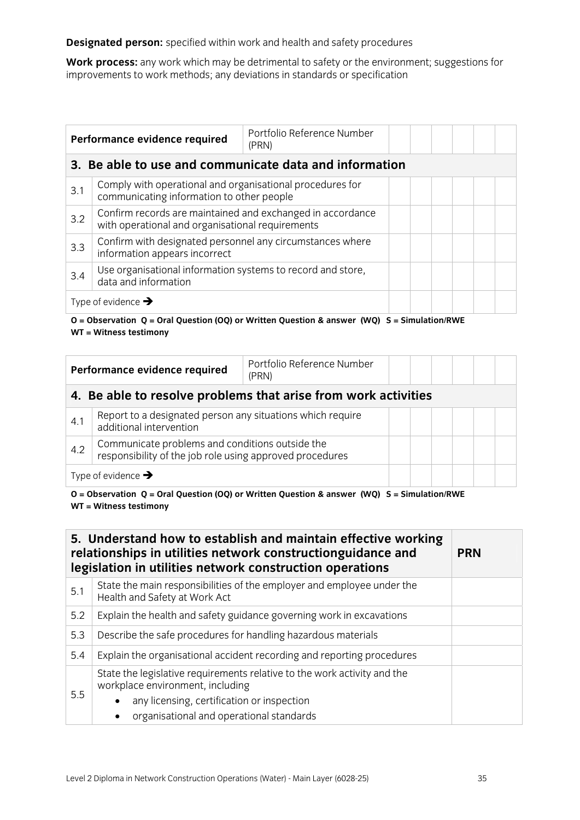**Designated person:** specified within work and health and safety procedures

**Work process:** any work which may be detrimental to safety or the environment; suggestions for improvements to work methods; any deviations in standards or specification

|                                | Performance evidence required                                                                                  | Portfolio Reference Number<br>(PRN) |  |  |  |  |  |  |
|--------------------------------|----------------------------------------------------------------------------------------------------------------|-------------------------------------|--|--|--|--|--|--|
|                                | 3. Be able to use and communicate data and information                                                         |                                     |  |  |  |  |  |  |
| 3.1                            | Comply with operational and organisational procedures for<br>communicating information to other people         |                                     |  |  |  |  |  |  |
| 3.2                            | Confirm records are maintained and exchanged in accordance<br>with operational and organisational requirements |                                     |  |  |  |  |  |  |
| 3.3                            | Confirm with designated personnel any circumstances where<br>information appears incorrect                     |                                     |  |  |  |  |  |  |
| 3.4                            | Use organisational information systems to record and store,<br>data and information                            |                                     |  |  |  |  |  |  |
| Type of evidence $\rightarrow$ |                                                                                                                |                                     |  |  |  |  |  |  |

#### **O = Observation Q = Oral Question (OQ) or Written Question & answer (WQ) S = Simulation/RWE WT = Witness testimony**

| Performance evidence required  |                                                                                                             | Portfolio Reference Number<br>(PRN) |  |  |  |  |  |  |
|--------------------------------|-------------------------------------------------------------------------------------------------------------|-------------------------------------|--|--|--|--|--|--|
|                                | 4. Be able to resolve problems that arise from work activities                                              |                                     |  |  |  |  |  |  |
| 4.1                            | Report to a designated person any situations which require<br>additional intervention                       |                                     |  |  |  |  |  |  |
| 4.2                            | Communicate problems and conditions outside the<br>responsibility of the job role using approved procedures |                                     |  |  |  |  |  |  |
| Type of evidence $\rightarrow$ |                                                                                                             |                                     |  |  |  |  |  |  |

**O = Observation Q = Oral Question (OQ) or Written Question & answer (WQ) S = Simulation/RWE WT = Witness testimony**

|     | 5. Understand how to establish and maintain effective working<br>relationships in utilities network constructionguidance and<br>legislation in utilities network construction operations | <b>PRN</b> |
|-----|------------------------------------------------------------------------------------------------------------------------------------------------------------------------------------------|------------|
| 5.1 | State the main responsibilities of the employer and employee under the<br>Health and Safety at Work Act                                                                                  |            |
| 5.2 | Explain the health and safety guidance governing work in excavations                                                                                                                     |            |
| 5.3 | Describe the safe procedures for handling hazardous materials                                                                                                                            |            |
| 5.4 | Explain the organisational accident recording and reporting procedures                                                                                                                   |            |
|     | State the legislative requirements relative to the work activity and the<br>workplace environment, including                                                                             |            |
| 5.5 | any licensing, certification or inspection<br>organisational and operational standards                                                                                                   |            |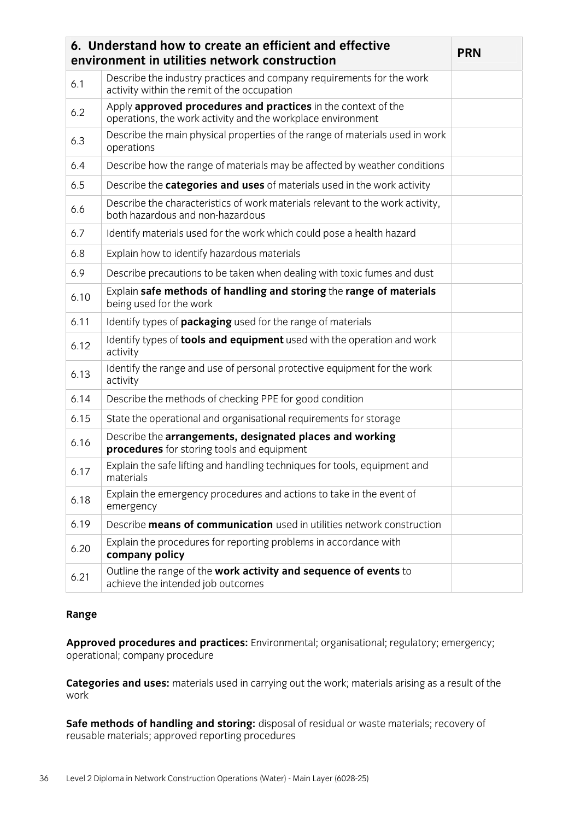|      | 6. Understand how to create an efficient and effective<br>environment in utilities network construction                      | <b>PRN</b> |
|------|------------------------------------------------------------------------------------------------------------------------------|------------|
| 6.1  | Describe the industry practices and company requirements for the work<br>activity within the remit of the occupation         |            |
| 6.2  | Apply approved procedures and practices in the context of the<br>operations, the work activity and the workplace environment |            |
| 6.3  | Describe the main physical properties of the range of materials used in work<br>operations                                   |            |
| 6.4  | Describe how the range of materials may be affected by weather conditions                                                    |            |
| 6.5  | Describe the categories and uses of materials used in the work activity                                                      |            |
| 6.6  | Describe the characteristics of work materials relevant to the work activity,<br>both hazardous and non-hazardous            |            |
| 6.7  | Identify materials used for the work which could pose a health hazard                                                        |            |
| 6.8  | Explain how to identify hazardous materials                                                                                  |            |
| 6.9  | Describe precautions to be taken when dealing with toxic fumes and dust                                                      |            |
| 6.10 | Explain safe methods of handling and storing the range of materials<br>being used for the work                               |            |
| 6.11 | Identify types of <b>packaging</b> used for the range of materials                                                           |            |
| 6.12 | Identify types of <b>tools and equipment</b> used with the operation and work<br>activity                                    |            |
| 6.13 | Identify the range and use of personal protective equipment for the work<br>activity                                         |            |
| 6.14 | Describe the methods of checking PPE for good condition                                                                      |            |
| 6.15 | State the operational and organisational requirements for storage                                                            |            |
| 6.16 | Describe the arrangements, designated places and working<br>procedures for storing tools and equipment                       |            |
| 6.17 | Explain the safe lifting and handling techniques for tools, equipment and<br>materials                                       |            |
| 6.18 | Explain the emergency procedures and actions to take in the event of<br>emergency                                            |            |
| 6.19 | Describe means of communication used in utilities network construction                                                       |            |
| 6.20 | Explain the procedures for reporting problems in accordance with<br>company policy                                           |            |
| 6.21 | Outline the range of the work activity and sequence of events to<br>achieve the intended job outcomes                        |            |

#### **Range**

**Approved procedures and practices:** Environmental; organisational; regulatory; emergency; operational; company procedure

**Categories and uses:** materials used in carrying out the work; materials arising as a result of the work

**Safe methods of handling and storing:** disposal of residual or waste materials; recovery of reusable materials; approved reporting procedures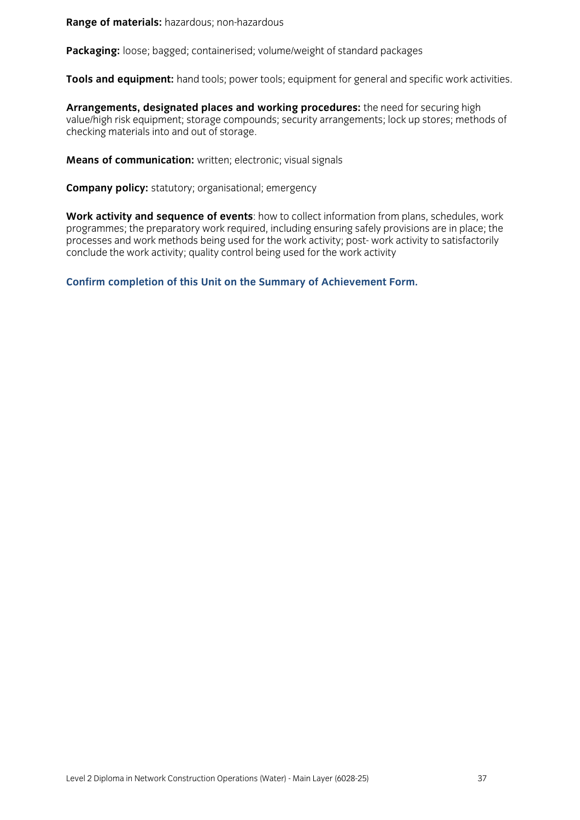#### **Range of materials:** hazardous; non-hazardous

**Packaging:** loose; bagged; containerised; volume/weight of standard packages

**Tools and equipment:** hand tools; power tools; equipment for general and specific work activities.

**Arrangements, designated places and working procedures:** the need for securing high value/high risk equipment; storage compounds; security arrangements; lock up stores; methods of checking materials into and out of storage.

**Means of communication:** written; electronic; visual signals

**Company policy:** statutory; organisational; emergency

**Work activity and sequence of events**: how to collect information from plans, schedules, work programmes; the preparatory work required, including ensuring safely provisions are in place; the processes and work methods being used for the work activity; post- work activity to satisfactorily conclude the work activity; quality control being used for the work activity

**Confirm completion of this Unit on the Summary of Achievement Form.**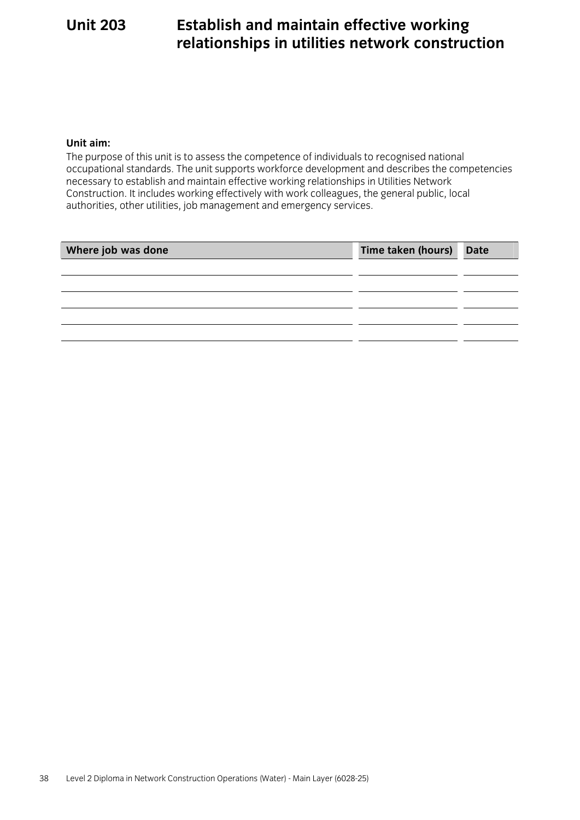## **Unit 203 Establish and maintain effective working relationships in utilities network construction**

#### **Unit aim:**

The purpose of this unit is to assess the competence of individuals to recognised national occupational standards. The unit supports workforce development and describes the competencies necessary to establish and maintain effective working relationships in Utilities Network Construction. It includes working effectively with work colleagues, the general public, local authorities, other utilities, job management and emergency services.

| Where job was done | Time taken (hours) Date |  |
|--------------------|-------------------------|--|
|                    |                         |  |
|                    |                         |  |
|                    |                         |  |
|                    |                         |  |
|                    |                         |  |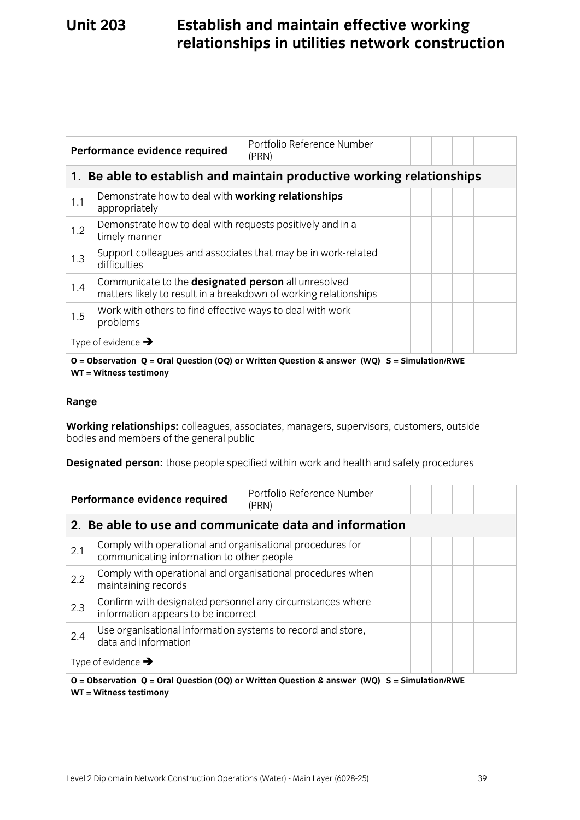## **Unit 203 Establish and maintain effective working relationships in utilities network construction**

|     | Performance evidence required                                                                                           | Portfolio Reference Number<br>(PRN) |  |  |  |  |  |  |  |
|-----|-------------------------------------------------------------------------------------------------------------------------|-------------------------------------|--|--|--|--|--|--|--|
|     | 1. Be able to establish and maintain productive working relationships                                                   |                                     |  |  |  |  |  |  |  |
| 1.1 | Demonstrate how to deal with working relationships<br>appropriately                                                     |                                     |  |  |  |  |  |  |  |
| 1.2 | Demonstrate how to deal with requests positively and in a<br>timely manner                                              |                                     |  |  |  |  |  |  |  |
| 1.3 | Support colleagues and associates that may be in work-related<br>difficulties                                           |                                     |  |  |  |  |  |  |  |
| 1.4 | Communicate to the designated person all unresolved<br>matters likely to result in a breakdown of working relationships |                                     |  |  |  |  |  |  |  |
| 1.5 | Work with others to find effective ways to deal with work<br>problems                                                   |                                     |  |  |  |  |  |  |  |
|     | Type of evidence $\rightarrow$                                                                                          |                                     |  |  |  |  |  |  |  |

**O = Observation Q = Oral Question (OQ) or Written Question & answer (WQ) S = Simulation/RWE WT = Witness testimony**

### **Range**

**Working relationships:** colleagues, associates, managers, supervisors, customers, outside bodies and members of the general public

**Designated person:** those people specified within work and health and safety procedures

|                                                                                                               | Performance evidence required                                                                    | Portfolio Reference Number<br>(PRN) |  |  |  |  |  |  |  |
|---------------------------------------------------------------------------------------------------------------|--------------------------------------------------------------------------------------------------|-------------------------------------|--|--|--|--|--|--|--|
|                                                                                                               | 2. Be able to use and communicate data and information                                           |                                     |  |  |  |  |  |  |  |
| Comply with operational and organisational procedures for<br>2.1<br>communicating information to other people |                                                                                                  |                                     |  |  |  |  |  |  |  |
| 2.2                                                                                                           | Comply with operational and organisational procedures when<br>maintaining records                |                                     |  |  |  |  |  |  |  |
| 2.3                                                                                                           | Confirm with designated personnel any circumstances where<br>information appears to be incorrect |                                     |  |  |  |  |  |  |  |
| 2.4                                                                                                           | Use organisational information systems to record and store,<br>data and information              |                                     |  |  |  |  |  |  |  |
|                                                                                                               | Type of evidence $\rightarrow$                                                                   |                                     |  |  |  |  |  |  |  |

**O = Observation Q = Oral Question (OQ) or Written Question & answer (WQ) S = Simulation/RWE WT = Witness testimony**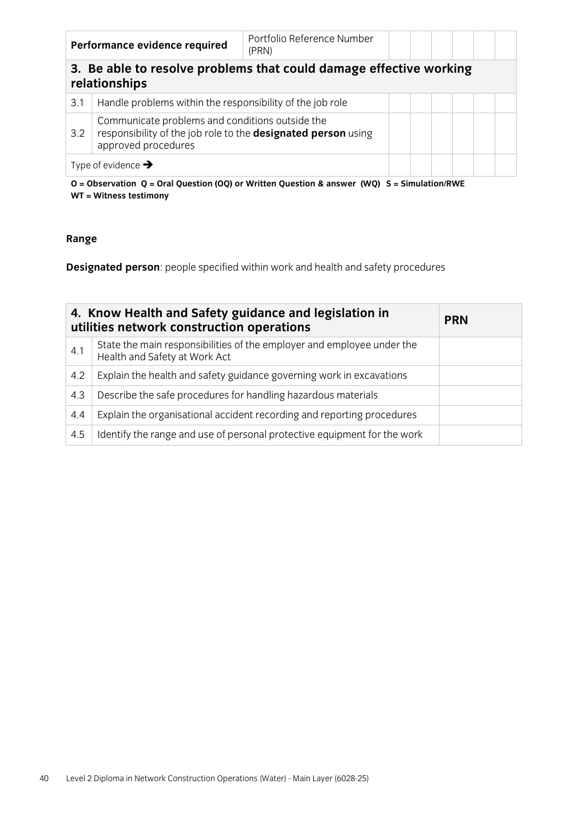|     | Performance evidence required                                                                                                           | Portfolio Reference Number<br>(PRN) |  |  |  |  |  |  |
|-----|-----------------------------------------------------------------------------------------------------------------------------------------|-------------------------------------|--|--|--|--|--|--|
|     | 3. Be able to resolve problems that could damage effective working<br>relationships                                                     |                                     |  |  |  |  |  |  |
| 3.1 | Handle problems within the responsibility of the job role                                                                               |                                     |  |  |  |  |  |  |
| 3.2 | Communicate problems and conditions outside the<br>responsibility of the job role to the designated person using<br>approved procedures |                                     |  |  |  |  |  |  |
|     | Type of evidence $\rightarrow$                                                                                                          |                                     |  |  |  |  |  |  |

## **Range**

**Designated person**: people specified within work and health and safety procedures

|     | 4. Know Health and Safety guidance and legislation in<br>utilities network construction operations      |  |  |  |
|-----|---------------------------------------------------------------------------------------------------------|--|--|--|
| 4.1 | State the main responsibilities of the employer and employee under the<br>Health and Safety at Work Act |  |  |  |
| 4.2 | Explain the health and safety guidance governing work in excavations                                    |  |  |  |
| 4.3 | Describe the safe procedures for handling hazardous materials                                           |  |  |  |
| 4.4 | Explain the organisational accident recording and reporting procedures                                  |  |  |  |
| 4.5 | Identify the range and use of personal protective equipment for the work                                |  |  |  |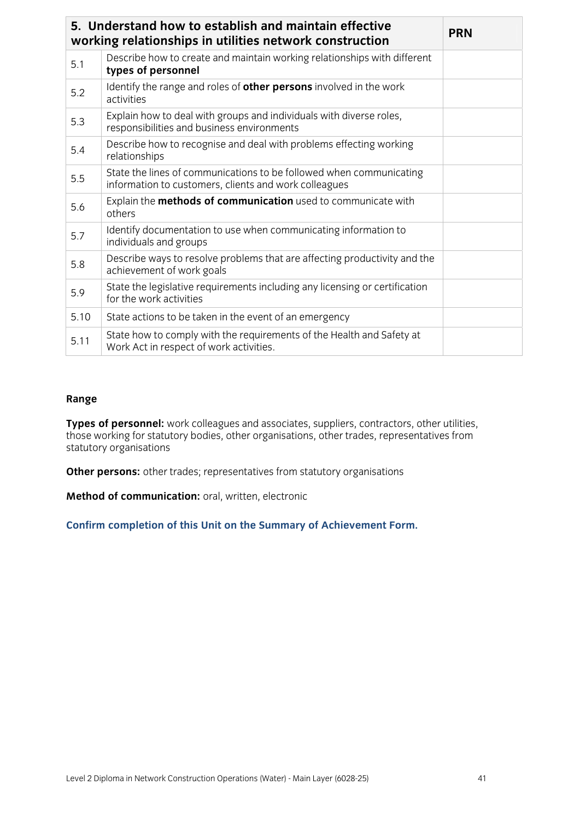| 5. Understand how to establish and maintain effective<br>working relationships in utilities network construction | <b>PRN</b>                                                                                                                   |  |
|------------------------------------------------------------------------------------------------------------------|------------------------------------------------------------------------------------------------------------------------------|--|
| 5.1                                                                                                              | Describe how to create and maintain working relationships with different<br>types of personnel                               |  |
| 5.2                                                                                                              | Identify the range and roles of <b>other persons</b> involved in the work<br>activities                                      |  |
| 5.3                                                                                                              | Explain how to deal with groups and individuals with diverse roles,<br>responsibilities and business environments            |  |
| 5.4                                                                                                              | Describe how to recognise and deal with problems effecting working<br>relationships                                          |  |
| 5.5                                                                                                              | State the lines of communications to be followed when communicating<br>information to customers, clients and work colleagues |  |
| 5.6                                                                                                              | Explain the methods of communication used to communicate with<br>others                                                      |  |
| 5.7                                                                                                              | Identify documentation to use when communicating information to<br>individuals and groups                                    |  |
| 5.8                                                                                                              | Describe ways to resolve problems that are affecting productivity and the<br>achievement of work goals                       |  |
| 5.9                                                                                                              | State the legislative requirements including any licensing or certification<br>for the work activities                       |  |
| 5.10                                                                                                             | State actions to be taken in the event of an emergency                                                                       |  |
| 5.11                                                                                                             | State how to comply with the requirements of the Health and Safety at<br>Work Act in respect of work activities.             |  |

**Types of personnel:** work colleagues and associates, suppliers, contractors, other utilities, those working for statutory bodies, other organisations, other trades, representatives from statutory organisations

**Other persons:** other trades; representatives from statutory organisations

**Method of communication:** oral, written, electronic

**Confirm completion of this Unit on the Summary of Achievement Form.**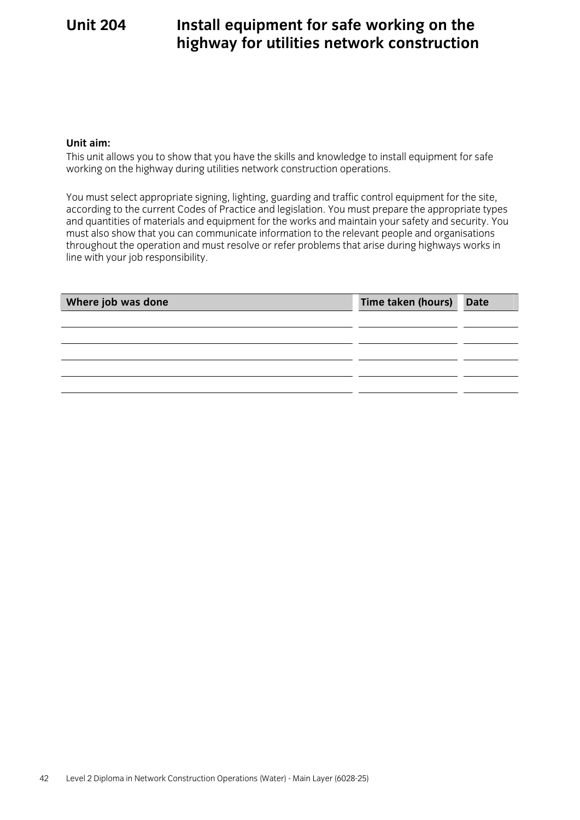## **Unit 204 Install equipment for safe working on the highway for utilities network construction**

### **Unit aim:**

This unit allows you to show that you have the skills and knowledge to install equipment for safe working on the highway during utilities network construction operations.

You must select appropriate signing, lighting, guarding and traffic control equipment for the site, according to the current Codes of Practice and legislation. You must prepare the appropriate types and quantities of materials and equipment for the works and maintain your safety and security. You must also show that you can communicate information to the relevant people and organisations throughout the operation and must resolve or refer problems that arise during highways works in line with your job responsibility.

| Where job was done | Time taken (hours) Date |  |
|--------------------|-------------------------|--|
|                    |                         |  |
|                    |                         |  |
|                    |                         |  |
|                    |                         |  |
|                    |                         |  |
|                    |                         |  |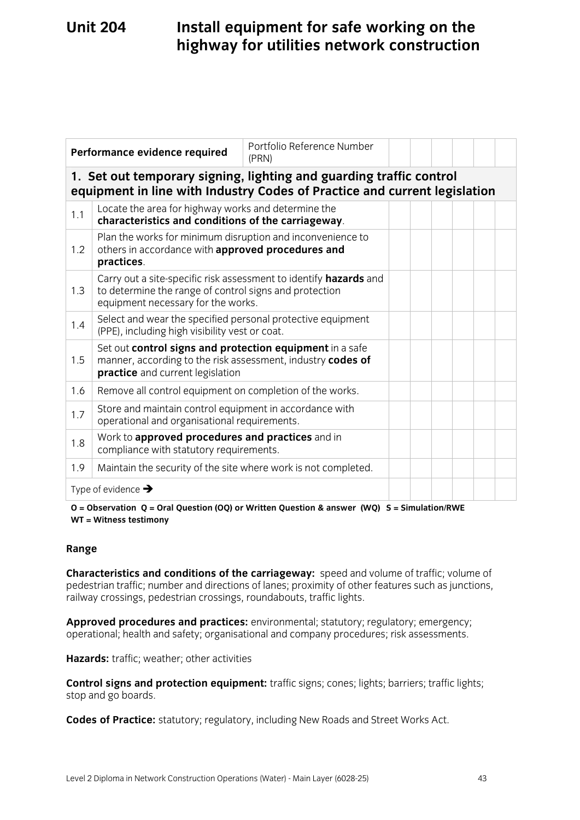# **Unit 204 Install equipment for safe working on the highway for utilities network construction**

|                                                                                                    | Performance evidence required                                                                                                                                     | Portfolio Reference Number<br>(PRN) |  |  |  |  |  |  |
|----------------------------------------------------------------------------------------------------|-------------------------------------------------------------------------------------------------------------------------------------------------------------------|-------------------------------------|--|--|--|--|--|--|
|                                                                                                    | 1. Set out temporary signing, lighting and guarding traffic control<br>equipment in line with Industry Codes of Practice and current legislation                  |                                     |  |  |  |  |  |  |
| 1.1                                                                                                | Locate the area for highway works and determine the<br>characteristics and conditions of the carriageway.                                                         |                                     |  |  |  |  |  |  |
| 1.2                                                                                                | Plan the works for minimum disruption and inconvenience to<br>others in accordance with approved procedures and<br>practices.                                     |                                     |  |  |  |  |  |  |
| 1.3                                                                                                | Carry out a site-specific risk assessment to identify hazards and<br>to determine the range of control signs and protection<br>equipment necessary for the works. |                                     |  |  |  |  |  |  |
| 1.4                                                                                                | Select and wear the specified personal protective equipment<br>(PPE), including high visibility vest or coat.                                                     |                                     |  |  |  |  |  |  |
| 1.5                                                                                                | Set out control signs and protection equipment in a safe<br>manner, according to the risk assessment, industry codes of<br>practice and current legislation       |                                     |  |  |  |  |  |  |
| 1.6                                                                                                | Remove all control equipment on completion of the works.                                                                                                          |                                     |  |  |  |  |  |  |
| 1.7                                                                                                | Store and maintain control equipment in accordance with<br>operational and organisational requirements.                                                           |                                     |  |  |  |  |  |  |
| Work to approved procedures and practices and in<br>1.8<br>compliance with statutory requirements. |                                                                                                                                                                   |                                     |  |  |  |  |  |  |
| 1.9                                                                                                | Maintain the security of the site where work is not completed.                                                                                                    |                                     |  |  |  |  |  |  |
|                                                                                                    | Type of evidence $\rightarrow$                                                                                                                                    |                                     |  |  |  |  |  |  |

#### **O = Observation Q = Oral Question (OQ) or Written Question & answer (WQ) S = Simulation/RWE WT = Witness testimony**

## **Range**

**Characteristics and conditions of the carriageway:** speed and volume of traffic; volume of pedestrian traffic; number and directions of lanes; proximity of other features such as junctions, railway crossings, pedestrian crossings, roundabouts, traffic lights.

**Approved procedures and practices:** environmental; statutory; regulatory; emergency; operational; health and safety; organisational and company procedures; risk assessments.

**Hazards:** traffic; weather; other activities

**Control signs and protection equipment:** traffic signs; cones; lights; barriers; traffic lights; stop and go boards.

**Codes of Practice:** statutory; regulatory, including New Roads and Street Works Act.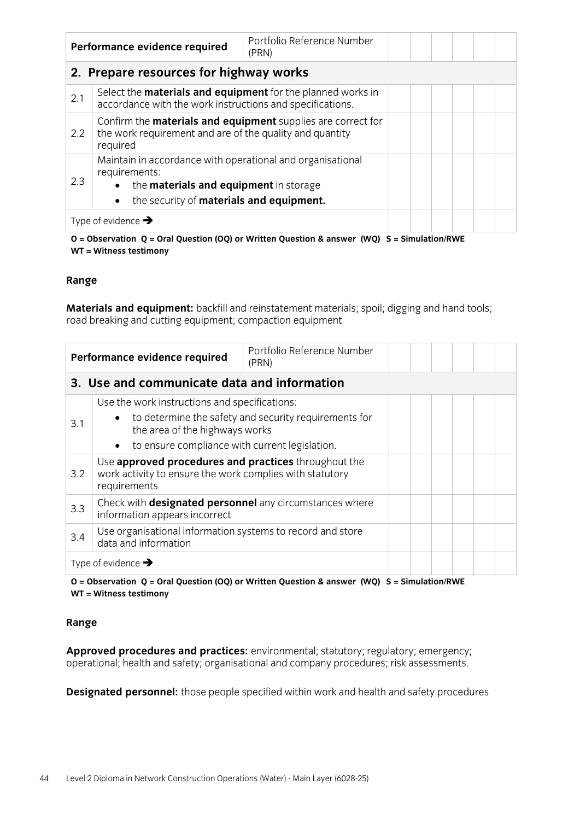|     | Performance evidence required                                                                                                                                                  | Portfolio Reference Number<br>(PRN) |  |  |  |
|-----|--------------------------------------------------------------------------------------------------------------------------------------------------------------------------------|-------------------------------------|--|--|--|
|     | 2. Prepare resources for highway works                                                                                                                                         |                                     |  |  |  |
| 2.1 | Select the <b>materials and equipment</b> for the planned works in<br>accordance with the work instructions and specifications.                                                |                                     |  |  |  |
| 2.2 | Confirm the <b>materials and equipment</b> supplies are correct for<br>the work requirement and are of the quality and quantity<br>required                                    |                                     |  |  |  |
| 2.3 | Maintain in accordance with operational and organisational<br>requirements:<br>the materials and equipment in storage<br>the security of materials and equipment.<br>$\bullet$ |                                     |  |  |  |
|     | Type of evidence $\rightarrow$                                                                                                                                                 |                                     |  |  |  |

### **Range**

**Materials and equipment:** backfill and reinstatement materials; spoil; digging and hand tools; road breaking and cutting equipment; compaction equipment

| Performance evidence required                                                                                                                                                                                               |                                                                                                                                  | Portfolio Reference Number<br>(PRN) |  |  |  |  |
|-----------------------------------------------------------------------------------------------------------------------------------------------------------------------------------------------------------------------------|----------------------------------------------------------------------------------------------------------------------------------|-------------------------------------|--|--|--|--|
|                                                                                                                                                                                                                             | 3. Use and communicate data and information                                                                                      |                                     |  |  |  |  |
| Use the work instructions and specifications:<br>to determine the safety and security requirements for<br>$\bullet$<br>3.1<br>the area of the highways works<br>to ensure compliance with current legislation.<br>$\bullet$ |                                                                                                                                  |                                     |  |  |  |  |
| 3.2                                                                                                                                                                                                                         | Use approved procedures and practices throughout the<br>work activity to ensure the work complies with statutory<br>requirements |                                     |  |  |  |  |
| 3.3                                                                                                                                                                                                                         | Check with designated personnel any circumstances where<br>information appears incorrect                                         |                                     |  |  |  |  |
| 3.4                                                                                                                                                                                                                         | Use organisational information systems to record and store<br>data and information                                               |                                     |  |  |  |  |
|                                                                                                                                                                                                                             | Type of evidence $\rightarrow$                                                                                                   |                                     |  |  |  |  |

**O = Observation Q = Oral Question (OQ) or Written Question & answer (WQ) S = Simulation/RWE WT = Witness testimony**

### **Range**

**Approved procedures and practices:** environmental; statutory; regulatory; emergency; operational; health and safety; organisational and company procedures; risk assessments.

**Designated personnel:** those people specified within work and health and safety procedures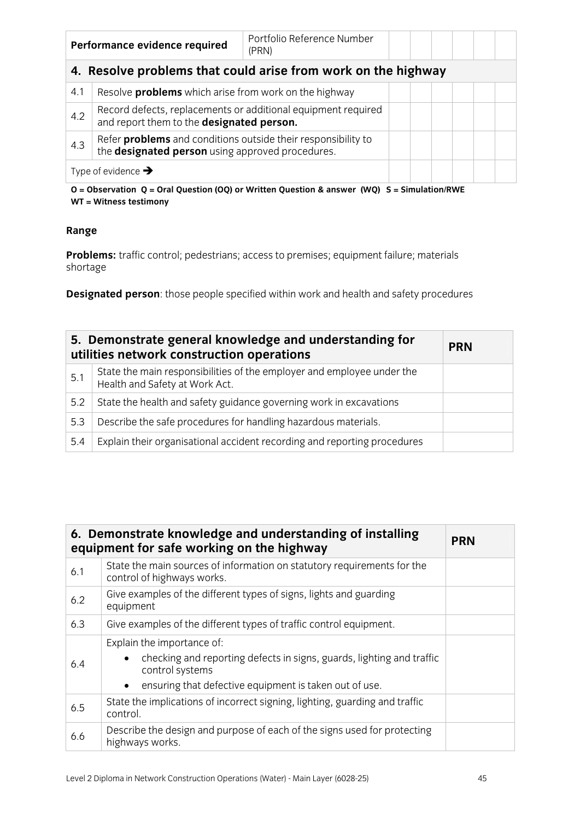|     | Performance evidence required                                                                                     | Portfolio Reference Number<br>(PRN) |  |  |  |  |  |  |
|-----|-------------------------------------------------------------------------------------------------------------------|-------------------------------------|--|--|--|--|--|--|
|     | 4. Resolve problems that could arise from work on the highway                                                     |                                     |  |  |  |  |  |  |
| 4.1 | Resolve <b>problems</b> which arise from work on the highway                                                      |                                     |  |  |  |  |  |  |
| 4.2 | Record defects, replacements or additional equipment required<br>and report them to the designated person.        |                                     |  |  |  |  |  |  |
| 4.3 | Refer problems and conditions outside their responsibility to<br>the designated person using approved procedures. |                                     |  |  |  |  |  |  |
|     | Type of evidence $\rightarrow$                                                                                    |                                     |  |  |  |  |  |  |

## **Range**

**Problems:** traffic control; pedestrians; access to premises; equipment failure; materials shortage

**Designated person**: those people specified within work and health and safety procedures

| 5. Demonstrate general knowledge and understanding for<br>utilities network construction operations | <b>PRN</b>                                                                                            |  |
|-----------------------------------------------------------------------------------------------------|-------------------------------------------------------------------------------------------------------|--|
| 5.1                                                                                                 | State the main responsibilities of the employer and employee under the Health and Safety at Work Act. |  |
| 5.2                                                                                                 | State the health and safety guidance governing work in excavations                                    |  |
| 5.3                                                                                                 | Describe the safe procedures for handling hazardous materials.                                        |  |
| 5.4                                                                                                 | Explain their organisational accident recording and reporting procedures                              |  |

|     | 6. Demonstrate knowledge and understanding of installing<br>equipment for safe working on the highway                                                                            | <b>PRN</b> |
|-----|----------------------------------------------------------------------------------------------------------------------------------------------------------------------------------|------------|
| 6.1 | State the main sources of information on statutory requirements for the<br>control of highways works.                                                                            |            |
| 6.2 | Give examples of the different types of signs, lights and guarding<br>equipment                                                                                                  |            |
| 6.3 | Give examples of the different types of traffic control equipment.                                                                                                               |            |
| 6.4 | Explain the importance of:<br>checking and reporting defects in signs, guards, lighting and traffic<br>control systems<br>ensuring that defective equipment is taken out of use. |            |
| 6.5 | State the implications of incorrect signing, lighting, guarding and traffic<br>control.                                                                                          |            |
| 6.6 | Describe the design and purpose of each of the signs used for protecting<br>highways works.                                                                                      |            |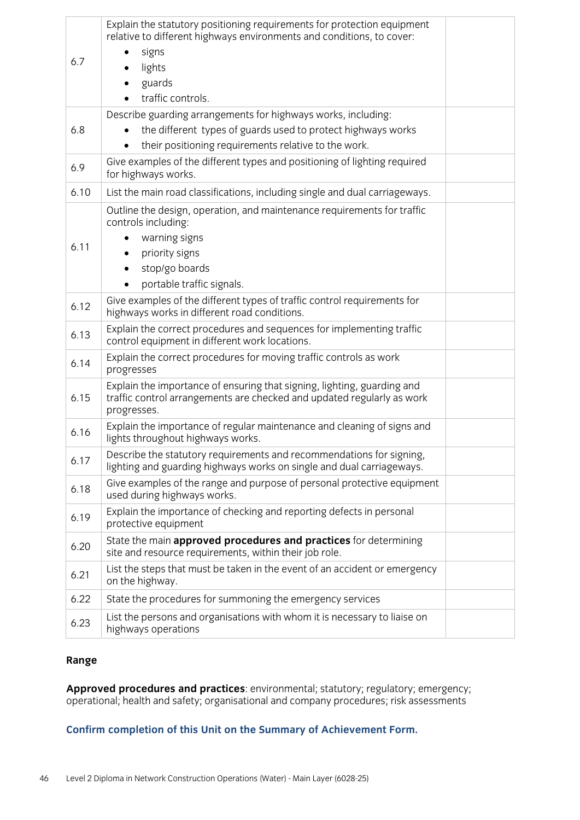|      | Explain the statutory positioning requirements for protection equipment<br>relative to different highways environments and conditions, to cover:                 |  |
|------|------------------------------------------------------------------------------------------------------------------------------------------------------------------|--|
| 6.7  | signs                                                                                                                                                            |  |
|      | lights                                                                                                                                                           |  |
|      | guards                                                                                                                                                           |  |
|      | traffic controls.                                                                                                                                                |  |
|      | Describe guarding arrangements for highways works, including:                                                                                                    |  |
| 6.8  | the different types of guards used to protect highways works                                                                                                     |  |
|      | their positioning requirements relative to the work.                                                                                                             |  |
| 6.9  | Give examples of the different types and positioning of lighting required<br>for highways works.                                                                 |  |
| 6.10 | List the main road classifications, including single and dual carriageways.                                                                                      |  |
|      | Outline the design, operation, and maintenance requirements for traffic<br>controls including:                                                                   |  |
| 6.11 | warning signs<br>٠                                                                                                                                               |  |
|      | priority signs                                                                                                                                                   |  |
|      | stop/go boards                                                                                                                                                   |  |
|      | portable traffic signals.                                                                                                                                        |  |
| 6.12 | Give examples of the different types of traffic control requirements for<br>highways works in different road conditions.                                         |  |
| 6.13 | Explain the correct procedures and sequences for implementing traffic<br>control equipment in different work locations.                                          |  |
| 6.14 | Explain the correct procedures for moving traffic controls as work<br>progresses                                                                                 |  |
| 6.15 | Explain the importance of ensuring that signing, lighting, guarding and<br>traffic control arrangements are checked and updated regularly as work<br>progresses. |  |
| 6.16 | Explain the importance of regular maintenance and cleaning of signs and<br>lights throughout highways works.                                                     |  |
| 6.17 | Describe the statutory requirements and recommendations for signing,<br>lighting and guarding highways works on single and dual carriageways.                    |  |
| 6.18 | Give examples of the range and purpose of personal protective equipment<br>used during highways works.                                                           |  |
| 6.19 | Explain the importance of checking and reporting defects in personal<br>protective equipment                                                                     |  |
| 6.20 | State the main approved procedures and practices for determining<br>site and resource requirements, within their job role.                                       |  |
| 6.21 | List the steps that must be taken in the event of an accident or emergency<br>on the highway.                                                                    |  |
| 6.22 | State the procedures for summoning the emergency services                                                                                                        |  |
| 6.23 | List the persons and organisations with whom it is necessary to liaise on<br>highways operations                                                                 |  |
|      |                                                                                                                                                                  |  |

**Approved procedures and practices**: environmental; statutory; regulatory; emergency; operational; health and safety; organisational and company procedures; risk assessments

## **Confirm completion of this Unit on the Summary of Achievement Form.**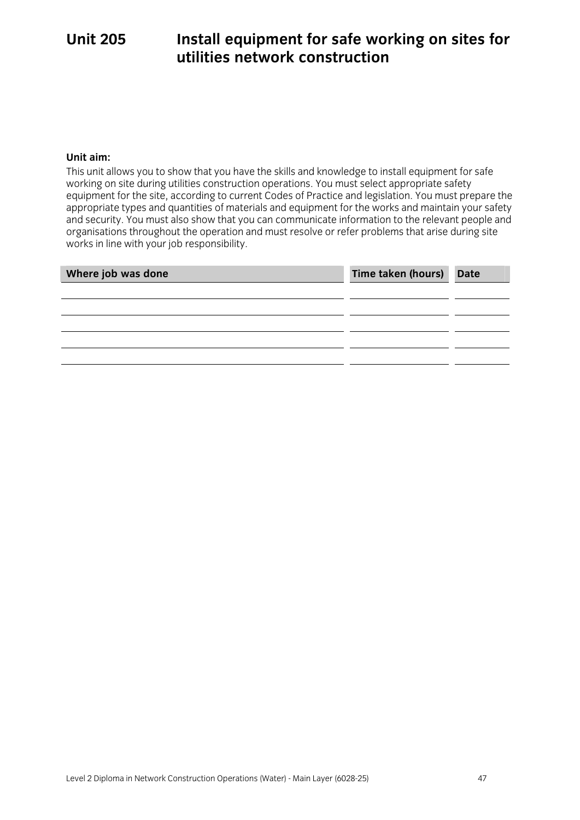# **Unit 205 Install equipment for safe working on sites for utilities network construction**

#### **Unit aim:**

This unit allows you to show that you have the skills and knowledge to install equipment for safe working on site during utilities construction operations. You must select appropriate safety equipment for the site, according to current Codes of Practice and legislation. You must prepare the appropriate types and quantities of materials and equipment for the works and maintain your safety and security. You must also show that you can communicate information to the relevant people and organisations throughout the operation and must resolve or refer problems that arise during site works in line with your job responsibility.

| Time taken (hours) Date |
|-------------------------|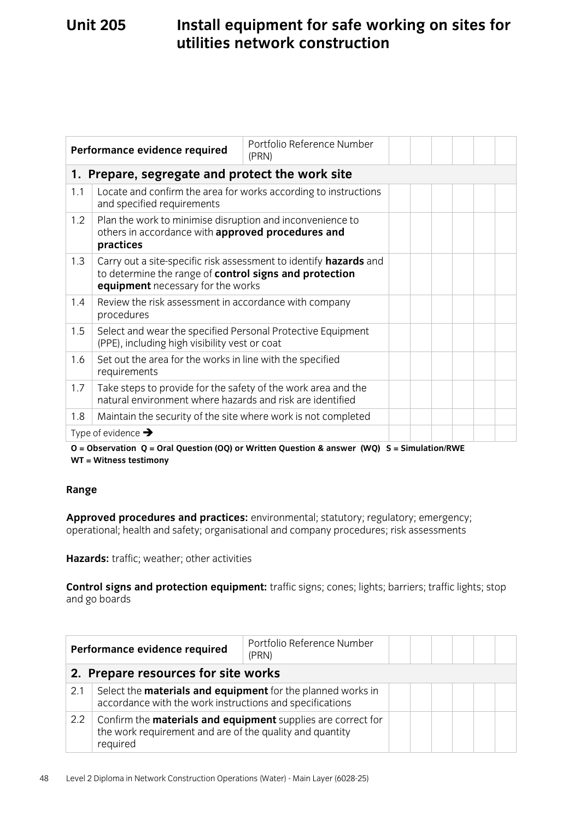## **Unit 205 Install equipment for safe working on sites for utilities network construction**

|     | Performance evidence required                                                                                                                                    | Portfolio Reference Number<br>(PRN) |  |  |  |  |
|-----|------------------------------------------------------------------------------------------------------------------------------------------------------------------|-------------------------------------|--|--|--|--|
|     | 1. Prepare, segregate and protect the work site                                                                                                                  |                                     |  |  |  |  |
| 1.1 | Locate and confirm the area for works according to instructions<br>and specified requirements                                                                    |                                     |  |  |  |  |
| 1.2 | Plan the work to minimise disruption and inconvenience to<br>others in accordance with approved procedures and<br>practices                                      |                                     |  |  |  |  |
| 1.3 | Carry out a site-specific risk assessment to identify hazards and<br>to determine the range of control signs and protection<br>equipment necessary for the works |                                     |  |  |  |  |
| 1.4 | Review the risk assessment in accordance with company<br>procedures                                                                                              |                                     |  |  |  |  |
| 1.5 | Select and wear the specified Personal Protective Equipment<br>(PPE), including high visibility vest or coat                                                     |                                     |  |  |  |  |
| 1.6 | Set out the area for the works in line with the specified<br>requirements                                                                                        |                                     |  |  |  |  |
| 1.7 | Take steps to provide for the safety of the work area and the<br>natural environment where hazards and risk are identified                                       |                                     |  |  |  |  |
| 1.8 | Maintain the security of the site where work is not completed                                                                                                    |                                     |  |  |  |  |
|     | Type of evidence $\rightarrow$                                                                                                                                   |                                     |  |  |  |  |

**O = Observation Q = Oral Question (OQ) or Written Question & answer (WQ) S = Simulation/RWE WT = Witness testimony**

## **Range**

Approved procedures and practices: environmental; statutory; regulatory; emergency; operational; health and safety; organisational and company procedures; risk assessments

**Hazards:** traffic; weather; other activities

**Control signs and protection equipment:** traffic signs; cones; lights; barriers; traffic lights; stop and go boards

| Performance evidence required |                                                                                                                                             | Portfolio Reference Number<br>(PRN) |  |  |  |  |  |  |
|-------------------------------|---------------------------------------------------------------------------------------------------------------------------------------------|-------------------------------------|--|--|--|--|--|--|
|                               | 2. Prepare resources for site works                                                                                                         |                                     |  |  |  |  |  |  |
| 2.1                           | Select the materials and equipment for the planned works in<br>accordance with the work instructions and specifications                     |                                     |  |  |  |  |  |  |
| $2.2^{\circ}$                 | Confirm the <b>materials and equipment</b> supplies are correct for<br>the work requirement and are of the quality and quantity<br>required |                                     |  |  |  |  |  |  |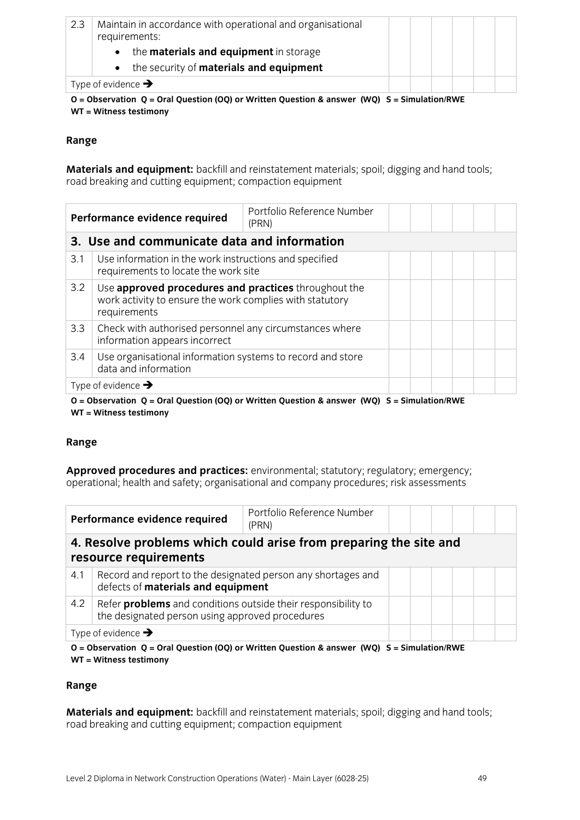| 2.3 | Maintain in accordance with operational and organisational<br>requirements: |  |  |  |  |
|-----|-----------------------------------------------------------------------------|--|--|--|--|
|     | the <b>materials and equipment</b> in storage<br>$\bullet$                  |  |  |  |  |
|     | the security of materials and equipment<br>$\bullet$                        |  |  |  |  |
|     | Type of evidence $\rightarrow$                                              |  |  |  |  |

### **Range**

**Materials and equipment:** backfill and reinstatement materials; spoil; digging and hand tools; road breaking and cutting equipment; compaction equipment

| Performance evidence required |                                                                                                                                  | Portfolio Reference Number<br>(PRN) |  |  |  |  |  |
|-------------------------------|----------------------------------------------------------------------------------------------------------------------------------|-------------------------------------|--|--|--|--|--|
|                               | 3. Use and communicate data and information                                                                                      |                                     |  |  |  |  |  |
| 3.1                           | Use information in the work instructions and specified<br>requirements to locate the work site                                   |                                     |  |  |  |  |  |
| 3.2                           | Use approved procedures and practices throughout the<br>work activity to ensure the work complies with statutory<br>requirements |                                     |  |  |  |  |  |
| 3.3                           | Check with authorised personnel any circumstances where<br>information appears incorrect                                         |                                     |  |  |  |  |  |
| 3.4                           | Use organisational information systems to record and store<br>data and information                                               |                                     |  |  |  |  |  |
|                               | Type of evidence $\rightarrow$                                                                                                   |                                     |  |  |  |  |  |

#### **O = Observation Q = Oral Question (OQ) or Written Question & answer (WQ) S = Simulation/RWE WT = Witness testimony**

#### **Range**

**Approved procedures and practices:** environmental; statutory; regulatory; emergency; operational; health and safety; organisational and company procedures; risk assessments

|                                                                                            | Performance evidence required                                                                                           | Portfolio Reference Number<br>(PRN) |  |  |  |  |  |  |
|--------------------------------------------------------------------------------------------|-------------------------------------------------------------------------------------------------------------------------|-------------------------------------|--|--|--|--|--|--|
| 4. Resolve problems which could arise from preparing the site and<br>resource requirements |                                                                                                                         |                                     |  |  |  |  |  |  |
| 4.1                                                                                        | Record and report to the designated person any shortages and<br>defects of materials and equipment                      |                                     |  |  |  |  |  |  |
| 4.2                                                                                        | Refer <b>problems</b> and conditions outside their responsibility to<br>the designated person using approved procedures |                                     |  |  |  |  |  |  |
| Type of evidence $\rightarrow$                                                             |                                                                                                                         |                                     |  |  |  |  |  |  |

**O = Observation Q = Oral Question (OQ) or Written Question & answer (WQ) S = Simulation/RWE WT = Witness testimony**

#### **Range**

**Materials and equipment:** backfill and reinstatement materials; spoil; digging and hand tools; road breaking and cutting equipment; compaction equipment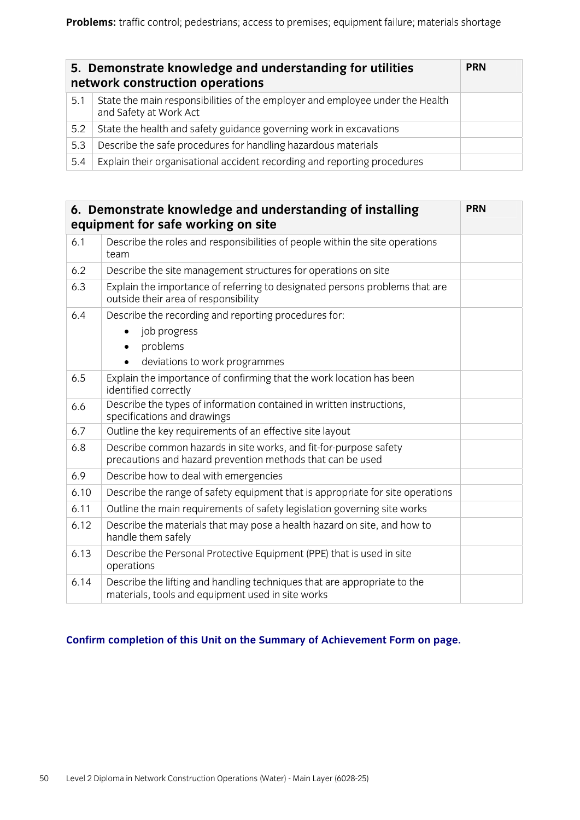| 5. Demonstrate knowledge and understanding for utilities<br>network construction operations |                                                                                                         |  |
|---------------------------------------------------------------------------------------------|---------------------------------------------------------------------------------------------------------|--|
| 5.1                                                                                         | State the main responsibilities of the employer and employee under the Health<br>and Safety at Work Act |  |
| 5.2                                                                                         | State the health and safety guidance governing work in excavations                                      |  |
| 5.3                                                                                         | Describe the safe procedures for handling hazardous materials                                           |  |
| 5.4                                                                                         | Explain their organisational accident recording and reporting procedures                                |  |

|      | 6. Demonstrate knowledge and understanding of installing<br>equipment for safe working on site                                  | <b>PRN</b> |
|------|---------------------------------------------------------------------------------------------------------------------------------|------------|
| 6.1  | Describe the roles and responsibilities of people within the site operations<br>team                                            |            |
| 6.2  | Describe the site management structures for operations on site                                                                  |            |
| 6.3  | Explain the importance of referring to designated persons problems that are<br>outside their area of responsibility             |            |
| 6.4  | Describe the recording and reporting procedures for:                                                                            |            |
|      | job progress                                                                                                                    |            |
|      | problems<br>$\bullet$                                                                                                           |            |
|      | deviations to work programmes                                                                                                   |            |
| 6.5  | Explain the importance of confirming that the work location has been<br>identified correctly                                    |            |
| 6.6  | Describe the types of information contained in written instructions,<br>specifications and drawings                             |            |
| 6.7  | Outline the key requirements of an effective site layout                                                                        |            |
| 6.8  | Describe common hazards in site works, and fit-for-purpose safety<br>precautions and hazard prevention methods that can be used |            |
| 6.9  | Describe how to deal with emergencies                                                                                           |            |
| 6.10 | Describe the range of safety equipment that is appropriate for site operations                                                  |            |
| 6.11 | Outline the main requirements of safety legislation governing site works                                                        |            |
| 6.12 | Describe the materials that may pose a health hazard on site, and how to<br>handle them safely                                  |            |
| 6.13 | Describe the Personal Protective Equipment (PPE) that is used in site<br>operations                                             |            |
| 6.14 | Describe the lifting and handling techniques that are appropriate to the<br>materials, tools and equipment used in site works   |            |

## **Confirm completion of this Unit on the Summary of Achievement Form on page.**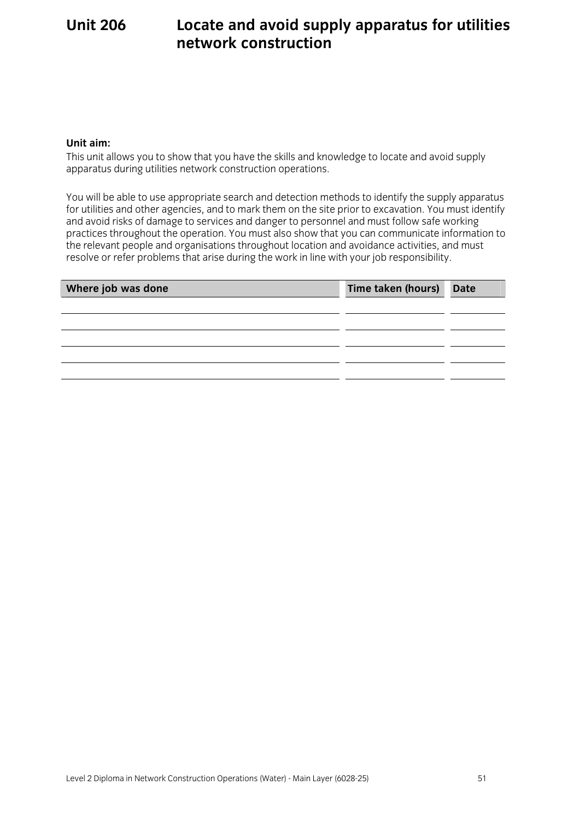## **Unit 206 Locate and avoid supply apparatus for utilities network construction**

### **Unit aim:**

This unit allows you to show that you have the skills and knowledge to locate and avoid supply apparatus during utilities network construction operations.

You will be able to use appropriate search and detection methods to identify the supply apparatus for utilities and other agencies, and to mark them on the site prior to excavation. You must identify and avoid risks of damage to services and danger to personnel and must follow safe working practices throughout the operation. You must also show that you can communicate information to the relevant people and organisations throughout location and avoidance activities, and must resolve or refer problems that arise during the work in line with your job responsibility.

| Where job was done | Time taken (hours) Date |  |
|--------------------|-------------------------|--|
|                    |                         |  |
|                    |                         |  |
|                    |                         |  |
|                    |                         |  |
|                    |                         |  |
|                    |                         |  |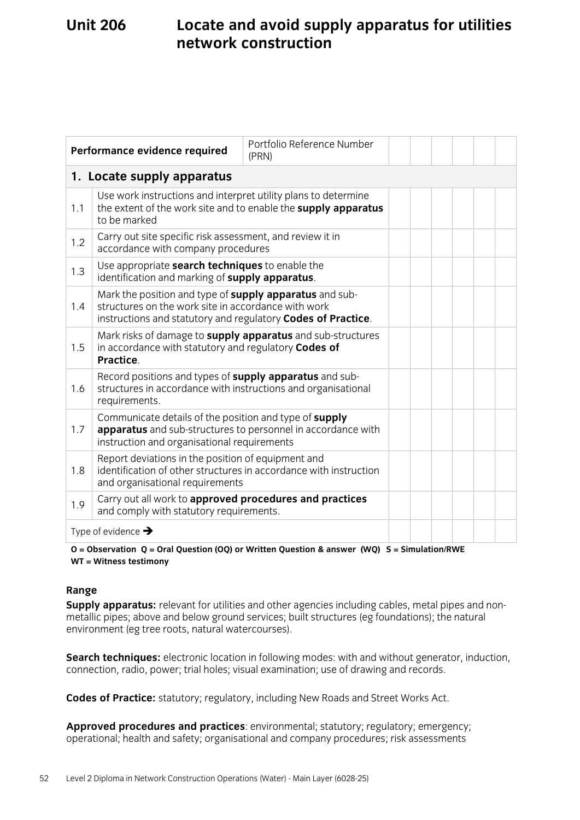# **Unit 206 Locate and avoid supply apparatus for utilities network construction**

|     | Performance evidence required                                                                                                                                         | Portfolio Reference Number<br>(PRN)                                                                                                                                            |  |  |  |  |  |
|-----|-----------------------------------------------------------------------------------------------------------------------------------------------------------------------|--------------------------------------------------------------------------------------------------------------------------------------------------------------------------------|--|--|--|--|--|
|     | 1. Locate supply apparatus                                                                                                                                            |                                                                                                                                                                                |  |  |  |  |  |
| 1.1 | Use work instructions and interpret utility plans to determine<br>the extent of the work site and to enable the supply apparatus<br>to be marked                      |                                                                                                                                                                                |  |  |  |  |  |
| 1.2 | Carry out site specific risk assessment, and review it in<br>accordance with company procedures                                                                       |                                                                                                                                                                                |  |  |  |  |  |
| 1.3 | Use appropriate search techniques to enable the<br>identification and marking of supply apparatus.                                                                    |                                                                                                                                                                                |  |  |  |  |  |
| 1.4 |                                                                                                                                                                       | Mark the position and type of supply apparatus and sub-<br>structures on the work site in accordance with work<br>instructions and statutory and regulatory Codes of Practice. |  |  |  |  |  |
| 1.5 | Mark risks of damage to supply apparatus and sub-structures<br>in accordance with statutory and regulatory Codes of<br>Practice.                                      |                                                                                                                                                                                |  |  |  |  |  |
| 1.6 | Record positions and types of supply apparatus and sub-<br>structures in accordance with instructions and organisational<br>requirements.                             |                                                                                                                                                                                |  |  |  |  |  |
| 1.7 | Communicate details of the position and type of supply<br>apparatus and sub-structures to personnel in accordance with<br>instruction and organisational requirements |                                                                                                                                                                                |  |  |  |  |  |
| 1.8 | Report deviations in the position of equipment and<br>identification of other structures in accordance with instruction<br>and organisational requirements            |                                                                                                                                                                                |  |  |  |  |  |
| 1.9 | Carry out all work to approved procedures and practices<br>and comply with statutory requirements.                                                                    |                                                                                                                                                                                |  |  |  |  |  |
|     | Type of evidence $\rightarrow$                                                                                                                                        |                                                                                                                                                                                |  |  |  |  |  |
|     |                                                                                                                                                                       |                                                                                                                                                                                |  |  |  |  |  |

**O = Observation Q = Oral Question (OQ) or Written Question & answer (WQ) S = Simulation/RWE WT = Witness testimony**

## **Range**

**Supply apparatus:** relevant for utilities and other agencies including cables, metal pipes and nonmetallic pipes; above and below ground services; built structures (eg foundations); the natural environment (eg tree roots, natural watercourses).

**Search techniques:** electronic location in following modes: with and without generator, induction, connection, radio, power; trial holes; visual examination; use of drawing and records.

**Codes of Practice:** statutory; regulatory, including New Roads and Street Works Act.

**Approved procedures and practices**: environmental; statutory; regulatory; emergency; operational; health and safety; organisational and company procedures; risk assessments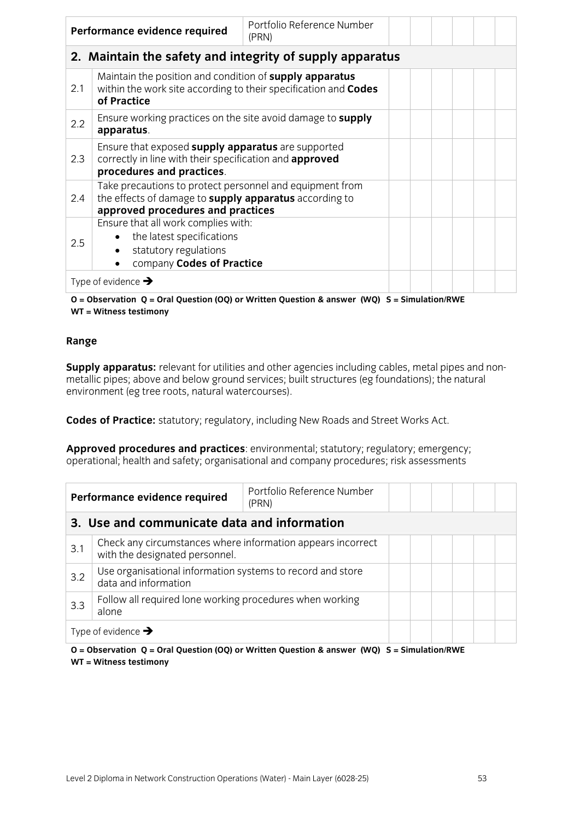|                                                                                                                               | Performance evidence required                                                                                                                           | Portfolio Reference Number<br>(PRN) |  |  |  |  |
|-------------------------------------------------------------------------------------------------------------------------------|---------------------------------------------------------------------------------------------------------------------------------------------------------|-------------------------------------|--|--|--|--|
|                                                                                                                               | 2. Maintain the safety and integrity of supply apparatus                                                                                                |                                     |  |  |  |  |
| 2.1                                                                                                                           | Maintain the position and condition of supply apparatus<br>within the work site according to their specification and Codes<br>of Practice               |                                     |  |  |  |  |
| 2.2                                                                                                                           | Ensure working practices on the site avoid damage to supply<br>apparatus.                                                                               |                                     |  |  |  |  |
| 2.3                                                                                                                           | Ensure that exposed supply apparatus are supported<br>correctly in line with their specification and approved<br>procedures and practices.              |                                     |  |  |  |  |
| 2.4                                                                                                                           | Take precautions to protect personnel and equipment from<br>the effects of damage to supply apparatus according to<br>approved procedures and practices |                                     |  |  |  |  |
| Ensure that all work complies with:<br>the latest specifications<br>2.5<br>statutory regulations<br>company Codes of Practice |                                                                                                                                                         |                                     |  |  |  |  |
| Type of evidence $\rightarrow$                                                                                                |                                                                                                                                                         |                                     |  |  |  |  |

### **Range**

**Supply apparatus:** relevant for utilities and other agencies including cables, metal pipes and nonmetallic pipes; above and below ground services; built structures (eg foundations); the natural environment (eg tree roots, natural watercourses).

**Codes of Practice:** statutory; regulatory, including New Roads and Street Works Act.

**Approved procedures and practices**: environmental; statutory; regulatory; emergency; operational; health and safety; organisational and company procedures; risk assessments

|     | Performance evidence required                                                                 | Portfolio Reference Number<br>(PRN) |  |  |  |  |  |
|-----|-----------------------------------------------------------------------------------------------|-------------------------------------|--|--|--|--|--|
|     | 3. Use and communicate data and information                                                   |                                     |  |  |  |  |  |
| 3.1 | Check any circumstances where information appears incorrect<br>with the designated personnel. |                                     |  |  |  |  |  |
| 3.2 | Use organisational information systems to record and store<br>data and information            |                                     |  |  |  |  |  |
| 3.3 | Follow all required lone working procedures when working<br>alone                             |                                     |  |  |  |  |  |
|     | Type of evidence $\rightarrow$                                                                |                                     |  |  |  |  |  |

**O = Observation Q = Oral Question (OQ) or Written Question & answer (WQ) S = Simulation/RWE WT = Witness testimony**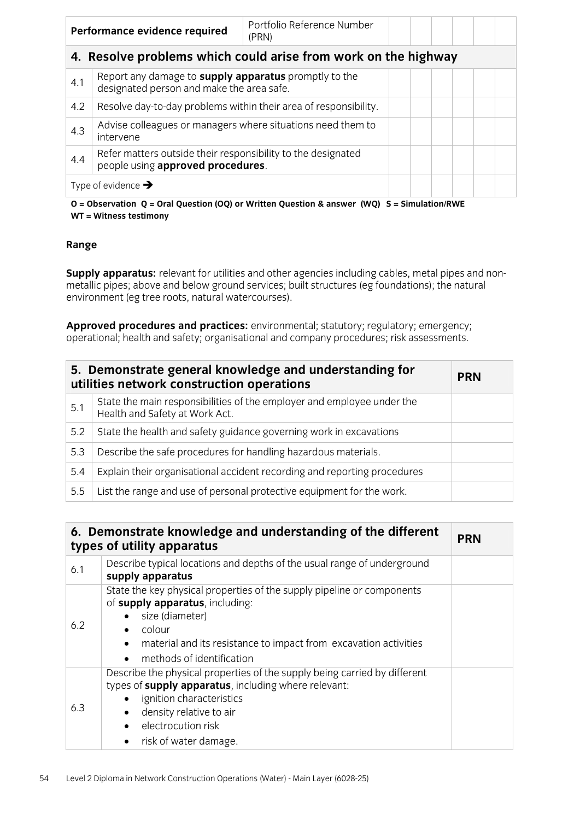|     | Performance evidence required                                                                      | Portfolio Reference Number<br>(PRN) |  |  |  |  |  |
|-----|----------------------------------------------------------------------------------------------------|-------------------------------------|--|--|--|--|--|
|     | 4. Resolve problems which could arise from work on the highway                                     |                                     |  |  |  |  |  |
| 4.1 | Report any damage to supply apparatus promptly to the<br>designated person and make the area safe. |                                     |  |  |  |  |  |
| 4.2 | Resolve day-to-day problems within their area of responsibility.                                   |                                     |  |  |  |  |  |
| 4.3 | Advise colleagues or managers where situations need them to<br>intervene                           |                                     |  |  |  |  |  |
| 4.4 | Refer matters outside their responsibility to the designated<br>people using approved procedures.  |                                     |  |  |  |  |  |
|     | Type of evidence $\rightarrow$                                                                     |                                     |  |  |  |  |  |

### **Range**

**Supply apparatus:** relevant for utilities and other agencies including cables, metal pipes and nonmetallic pipes; above and below ground services; built structures (eg foundations); the natural environment (eg tree roots, natural watercourses).

**Approved procedures and practices:** environmental; statutory; regulatory; emergency; operational; health and safety; organisational and company procedures; risk assessments.

|     | 5. Demonstrate general knowledge and understanding for<br>utilities network construction operations   | <b>PRN</b> |
|-----|-------------------------------------------------------------------------------------------------------|------------|
| 5.1 | State the main responsibilities of the employer and employee under the Health and Safety at Work Act. |            |
| 5.2 | State the health and safety guidance governing work in excavations                                    |            |
| 5.3 | Describe the safe procedures for handling hazardous materials.                                        |            |
| 5.4 | Explain their organisational accident recording and reporting procedures                              |            |
| 5.5 | List the range and use of personal protective equipment for the work.                                 |            |

|     | 6. Demonstrate knowledge and understanding of the different<br>types of utility apparatus                                                                                                                                                                         | <b>PRN</b> |
|-----|-------------------------------------------------------------------------------------------------------------------------------------------------------------------------------------------------------------------------------------------------------------------|------------|
| 6.1 | Describe typical locations and depths of the usual range of underground<br>supply apparatus                                                                                                                                                                       |            |
| 6.2 | State the key physical properties of the supply pipeline or components<br>of supply apparatus, including:<br>size (diameter)<br>colour<br>material and its resistance to impact from excavation activities<br>$\bullet$<br>methods of identification<br>$\bullet$ |            |
| 6.3 | Describe the physical properties of the supply being carried by different<br>types of supply apparatus, including where relevant:<br>ignition characteristics<br>density relative to air<br>electrocution risk<br>risk of water damage.<br>$\bullet$              |            |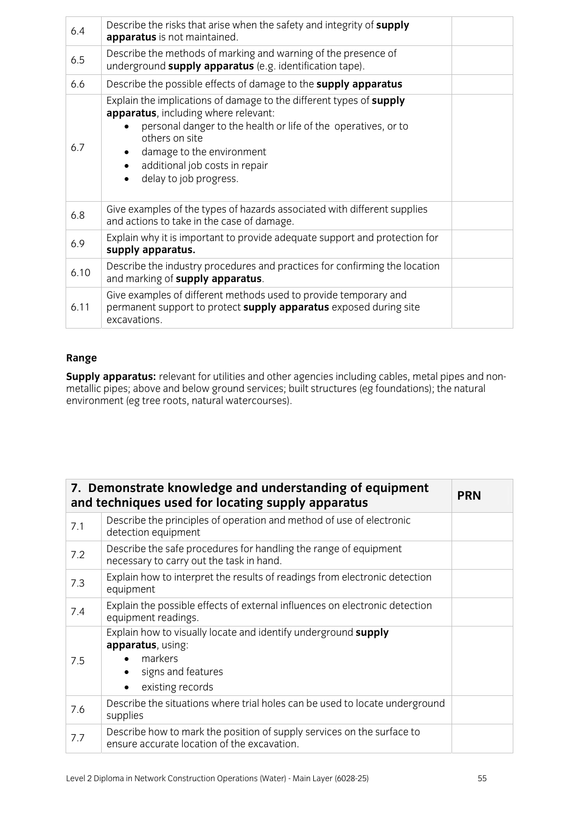| 6.4  | Describe the risks that arise when the safety and integrity of supply<br>apparatus is not maintained.                                                                                                                                                                                                 |
|------|-------------------------------------------------------------------------------------------------------------------------------------------------------------------------------------------------------------------------------------------------------------------------------------------------------|
| 6.5  | Describe the methods of marking and warning of the presence of<br>underground supply apparatus (e.g. identification tape).                                                                                                                                                                            |
| 6.6  | Describe the possible effects of damage to the supply apparatus                                                                                                                                                                                                                                       |
| 6.7  | Explain the implications of damage to the different types of supply<br>apparatus, including where relevant:<br>personal danger to the health or life of the operatives, or to<br>others on site<br>damage to the environment<br>additional job costs in repair<br>delay to job progress.<br>$\bullet$ |
| 6.8  | Give examples of the types of hazards associated with different supplies<br>and actions to take in the case of damage.                                                                                                                                                                                |
| 6.9  | Explain why it is important to provide adequate support and protection for<br>supply apparatus.                                                                                                                                                                                                       |
| 6.10 | Describe the industry procedures and practices for confirming the location<br>and marking of supply apparatus.                                                                                                                                                                                        |
| 6.11 | Give examples of different methods used to provide temporary and<br>permanent support to protect supply apparatus exposed during site<br>excavations.                                                                                                                                                 |

**Supply apparatus:** relevant for utilities and other agencies including cables, metal pipes and nonmetallic pipes; above and below ground services; built structures (eg foundations); the natural environment (eg tree roots, natural watercourses).

| 7. Demonstrate knowledge and understanding of equipment<br>and techniques used for locating supply apparatus |                                                                                                                                                       |  |
|--------------------------------------------------------------------------------------------------------------|-------------------------------------------------------------------------------------------------------------------------------------------------------|--|
| 7.1                                                                                                          | Describe the principles of operation and method of use of electronic<br>detection equipment                                                           |  |
| 7.2                                                                                                          | Describe the safe procedures for handling the range of equipment<br>necessary to carry out the task in hand.                                          |  |
| 7.3                                                                                                          | Explain how to interpret the results of readings from electronic detection<br>equipment                                                               |  |
| 7.4                                                                                                          | Explain the possible effects of external influences on electronic detection<br>equipment readings.                                                    |  |
| 7.5                                                                                                          | Explain how to visually locate and identify underground supply<br>apparatus, using:<br>markers<br>signs and features<br>existing records<br>$\bullet$ |  |
| 7.6                                                                                                          | Describe the situations where trial holes can be used to locate underground<br>supplies                                                               |  |
| 7.7                                                                                                          | Describe how to mark the position of supply services on the surface to<br>ensure accurate location of the excavation.                                 |  |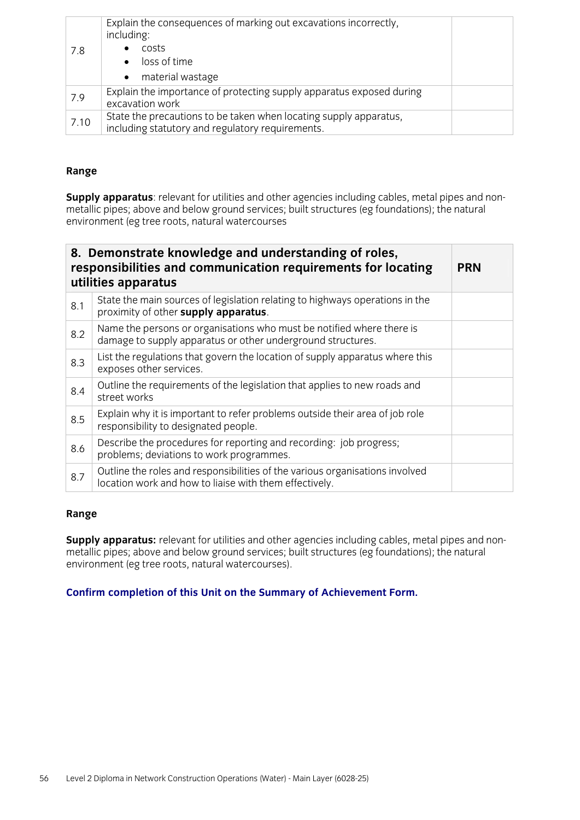| 7.8  | Explain the consequences of marking out excavations incorrectly,<br>including:                                        |  |
|------|-----------------------------------------------------------------------------------------------------------------------|--|
|      | costs                                                                                                                 |  |
|      | loss of time<br>$\bullet$                                                                                             |  |
|      | material wastage<br>$\bullet$                                                                                         |  |
| 7.9  | Explain the importance of protecting supply apparatus exposed during<br>excavation work                               |  |
| 7.10 | State the precautions to be taken when locating supply apparatus,<br>including statutory and regulatory requirements. |  |

**Supply apparatus**: relevant for utilities and other agencies including cables, metal pipes and nonmetallic pipes; above and below ground services; built structures (eg foundations); the natural environment (eg tree roots, natural watercourses

|     | 8. Demonstrate knowledge and understanding of roles,<br>responsibilities and communication requirements for locating<br>utilities apparatus | <b>PRN</b> |
|-----|---------------------------------------------------------------------------------------------------------------------------------------------|------------|
| 8.1 | State the main sources of legislation relating to highways operations in the<br>proximity of other supply apparatus.                        |            |
| 8.2 | Name the persons or organisations who must be notified where there is<br>damage to supply apparatus or other underground structures.        |            |
| 8.3 | List the regulations that govern the location of supply apparatus where this<br>exposes other services.                                     |            |
| 8.4 | Outline the requirements of the legislation that applies to new roads and<br>street works                                                   |            |
| 8.5 | Explain why it is important to refer problems outside their area of job role<br>responsibility to designated people.                        |            |
| 8.6 | Describe the procedures for reporting and recording: job progress;<br>problems; deviations to work programmes.                              |            |
| 8.7 | Outline the roles and responsibilities of the various organisations involved<br>location work and how to liaise with them effectively.      |            |

## **Range**

**Supply apparatus:** relevant for utilities and other agencies including cables, metal pipes and nonmetallic pipes; above and below ground services; built structures (eg foundations); the natural environment (eg tree roots, natural watercourses).

## **Confirm completion of this Unit on the Summary of Achievement Form.**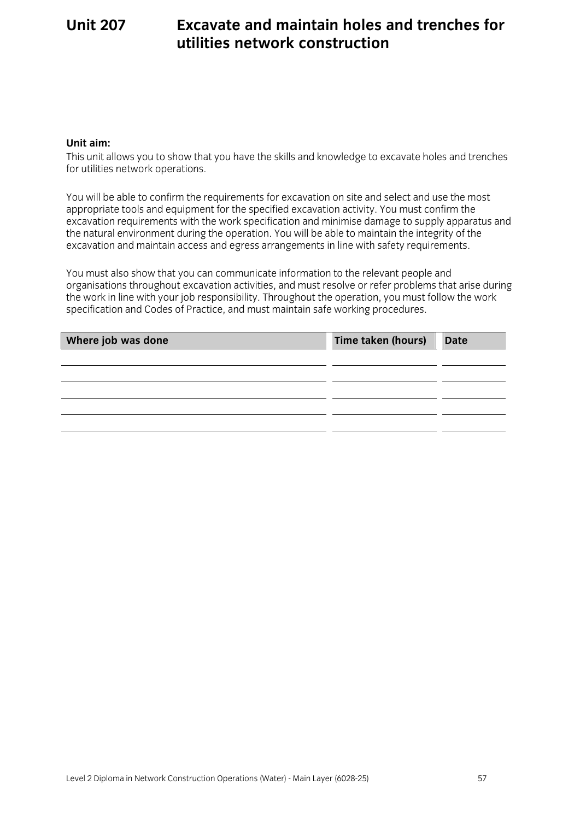## **Unit 207 Excavate and maintain holes and trenches for utilities network construction**

### **Unit aim:**

This unit allows you to show that you have the skills and knowledge to excavate holes and trenches for utilities network operations.

You will be able to confirm the requirements for excavation on site and select and use the most appropriate tools and equipment for the specified excavation activity. You must confirm the excavation requirements with the work specification and minimise damage to supply apparatus and the natural environment during the operation. You will be able to maintain the integrity of the excavation and maintain access and egress arrangements in line with safety requirements.

You must also show that you can communicate information to the relevant people and organisations throughout excavation activities, and must resolve or refer problems that arise during the work in line with your job responsibility. Throughout the operation, you must follow the work specification and Codes of Practice, and must maintain safe working procedures.

| Where job was done | Time taken (hours) | <b>Date</b> |
|--------------------|--------------------|-------------|
|                    |                    |             |
|                    |                    |             |
|                    |                    |             |
|                    |                    |             |
|                    |                    |             |
|                    |                    |             |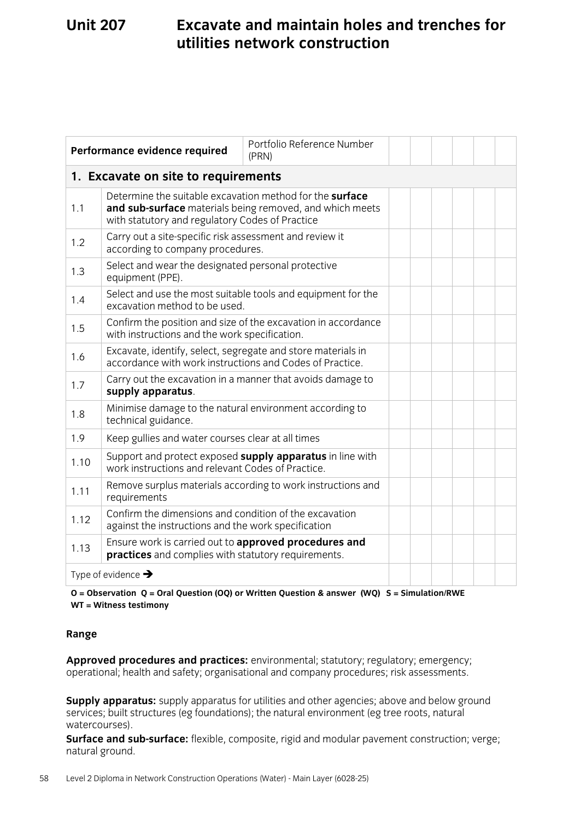## **Unit 207 Excavate and maintain holes and trenches for utilities network construction**

|      | Portfolio Reference Number<br>Performance evidence required<br>(PRN)                                                                                                    |  |  |  |  |
|------|-------------------------------------------------------------------------------------------------------------------------------------------------------------------------|--|--|--|--|
|      | 1. Excavate on site to requirements                                                                                                                                     |  |  |  |  |
| 1.1  | Determine the suitable excavation method for the surface<br>and sub-surface materials being removed, and which meets<br>with statutory and regulatory Codes of Practice |  |  |  |  |
| 1.2  | Carry out a site-specific risk assessment and review it<br>according to company procedures.                                                                             |  |  |  |  |
| 1.3  | Select and wear the designated personal protective<br>equipment (PPE).                                                                                                  |  |  |  |  |
| 1.4  | Select and use the most suitable tools and equipment for the<br>excavation method to be used.                                                                           |  |  |  |  |
| 1.5  | Confirm the position and size of the excavation in accordance<br>with instructions and the work specification.                                                          |  |  |  |  |
| 1.6  | Excavate, identify, select, segregate and store materials in<br>accordance with work instructions and Codes of Practice.                                                |  |  |  |  |
| 1.7  | Carry out the excavation in a manner that avoids damage to<br>supply apparatus.                                                                                         |  |  |  |  |
| 1.8  | Minimise damage to the natural environment according to<br>technical guidance.                                                                                          |  |  |  |  |
| 1.9  | Keep gullies and water courses clear at all times                                                                                                                       |  |  |  |  |
| 1.10 | Support and protect exposed supply apparatus in line with<br>work instructions and relevant Codes of Practice.                                                          |  |  |  |  |
| 1.11 | Remove surplus materials according to work instructions and<br>requirements                                                                                             |  |  |  |  |
| 1.12 | Confirm the dimensions and condition of the excavation<br>against the instructions and the work specification                                                           |  |  |  |  |
| 1.13 | Ensure work is carried out to approved procedures and<br>practices and complies with statutory requirements.                                                            |  |  |  |  |
|      | Type of evidence $\rightarrow$                                                                                                                                          |  |  |  |  |

**O = Observation Q = Oral Question (OQ) or Written Question & answer (WQ) S = Simulation/RWE WT = Witness testimony**

## **Range**

**Approved procedures and practices:** environmental; statutory; regulatory; emergency; operational; health and safety; organisational and company procedures; risk assessments.

**Supply apparatus:** supply apparatus for utilities and other agencies; above and below ground services; built structures (eg foundations); the natural environment (eg tree roots, natural watercourses).

**Surface and sub-surface:** flexible, composite, rigid and modular pavement construction; verge; natural ground.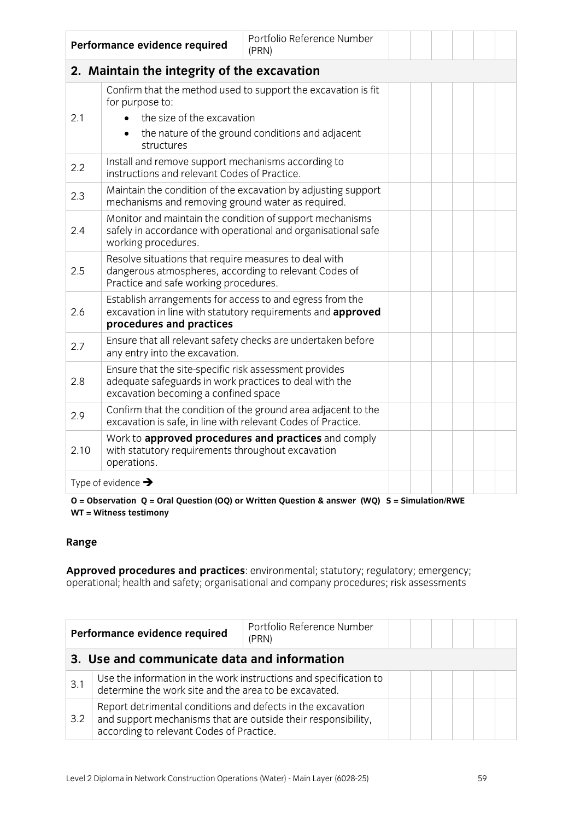|      | Performance evidence required                                                                                                                            | Portfolio Reference Number<br>(PRN)                           |  |  |  |  |
|------|----------------------------------------------------------------------------------------------------------------------------------------------------------|---------------------------------------------------------------|--|--|--|--|
|      | 2. Maintain the integrity of the excavation                                                                                                              |                                                               |  |  |  |  |
|      | for purpose to:                                                                                                                                          | Confirm that the method used to support the excavation is fit |  |  |  |  |
| 2.1  | the size of the excavation                                                                                                                               |                                                               |  |  |  |  |
|      | structures                                                                                                                                               | the nature of the ground conditions and adjacent              |  |  |  |  |
| 2.2  | Install and remove support mechanisms according to<br>instructions and relevant Codes of Practice.                                                       |                                                               |  |  |  |  |
| 2.3  | mechanisms and removing ground water as required.                                                                                                        | Maintain the condition of the excavation by adjusting support |  |  |  |  |
| 2.4  | Monitor and maintain the condition of support mechanisms<br>safely in accordance with operational and organisational safe<br>working procedures.         |                                                               |  |  |  |  |
| 2.5  | Resolve situations that require measures to deal with<br>dangerous atmospheres, according to relevant Codes of<br>Practice and safe working procedures.  |                                                               |  |  |  |  |
| 2.6  | Establish arrangements for access to and egress from the<br>excavation in line with statutory requirements and approved<br>procedures and practices      |                                                               |  |  |  |  |
| 2.7  | Ensure that all relevant safety checks are undertaken before<br>any entry into the excavation.                                                           |                                                               |  |  |  |  |
| 2.8  | Ensure that the site-specific risk assessment provides<br>adequate safeguards in work practices to deal with the<br>excavation becoming a confined space |                                                               |  |  |  |  |
| 2.9  | excavation is safe, in line with relevant Codes of Practice.                                                                                             | Confirm that the condition of the ground area adjacent to the |  |  |  |  |
| 2.10 | Work to approved procedures and practices and comply<br>with statutory requirements throughout excavation<br>operations.                                 |                                                               |  |  |  |  |
|      | Type of evidence $\rightarrow$                                                                                                                           |                                                               |  |  |  |  |

## **Range**

**Approved procedures and practices**: environmental; statutory; regulatory; emergency; operational; health and safety; organisational and company procedures; risk assessments

| Performance evidence required               |                                                                                                                                                                          | Portfolio Reference Number<br>(PRN) |  |  |  |  |  |  |
|---------------------------------------------|--------------------------------------------------------------------------------------------------------------------------------------------------------------------------|-------------------------------------|--|--|--|--|--|--|
| 3. Use and communicate data and information |                                                                                                                                                                          |                                     |  |  |  |  |  |  |
| 3.1                                         | Use the information in the work instructions and specification to<br>determine the work site and the area to be excavated.                                               |                                     |  |  |  |  |  |  |
| 3.2                                         | Report detrimental conditions and defects in the excavation<br>and support mechanisms that are outside their responsibility,<br>according to relevant Codes of Practice. |                                     |  |  |  |  |  |  |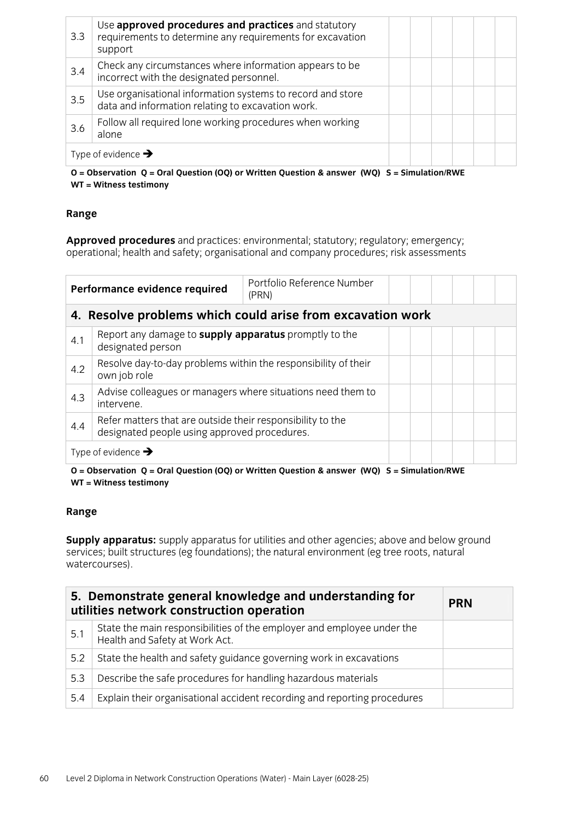| 3.3 | Use approved procedures and practices and statutory<br>requirements to determine any requirements for excavation<br>support |  |  |  |  |
|-----|-----------------------------------------------------------------------------------------------------------------------------|--|--|--|--|
| 3.4 | Check any circumstances where information appears to be<br>incorrect with the designated personnel.                         |  |  |  |  |
| 3.5 | Use organisational information systems to record and store<br>data and information relating to excavation work.             |  |  |  |  |
| 3.6 | Follow all required lone working procedures when working<br>alone                                                           |  |  |  |  |
|     | Type of evidence $\rightarrow$                                                                                              |  |  |  |  |

## **Range**

**Approved procedures** and practices: environmental; statutory; regulatory; emergency; operational; health and safety; organisational and company procedures; risk assessments

| Performance evidence required |                                                                                                            | Portfolio Reference Number<br>(PRN) |  |  |  |  |  |  |
|-------------------------------|------------------------------------------------------------------------------------------------------------|-------------------------------------|--|--|--|--|--|--|
|                               | 4. Resolve problems which could arise from excavation work                                                 |                                     |  |  |  |  |  |  |
| 4.1                           | Report any damage to supply apparatus promptly to the<br>designated person                                 |                                     |  |  |  |  |  |  |
| 4.2                           | Resolve day-to-day problems within the responsibility of their<br>own job role                             |                                     |  |  |  |  |  |  |
| 4.3                           | Advise colleagues or managers where situations need them to<br>intervene.                                  |                                     |  |  |  |  |  |  |
| 4.4                           | Refer matters that are outside their responsibility to the<br>designated people using approved procedures. |                                     |  |  |  |  |  |  |
|                               | Type of evidence $\rightarrow$                                                                             |                                     |  |  |  |  |  |  |

#### **O = Observation Q = Oral Question (OQ) or Written Question & answer (WQ) S = Simulation/RWE WT = Witness testimony**

## **Range**

**Supply apparatus:** supply apparatus for utilities and other agencies; above and below ground services; built structures (eg foundations); the natural environment (eg tree roots, natural watercourses).

| 5. Demonstrate general knowledge and understanding for<br>utilities network construction operation |                                                                                                       |  |
|----------------------------------------------------------------------------------------------------|-------------------------------------------------------------------------------------------------------|--|
| 5.1                                                                                                | State the main responsibilities of the employer and employee under the Health and Safety at Work Act. |  |
| 5.2                                                                                                | State the health and safety guidance governing work in excavations                                    |  |
| 5.3                                                                                                | Describe the safe procedures for handling hazardous materials                                         |  |
| 5.4                                                                                                | Explain their organisational accident recording and reporting procedures                              |  |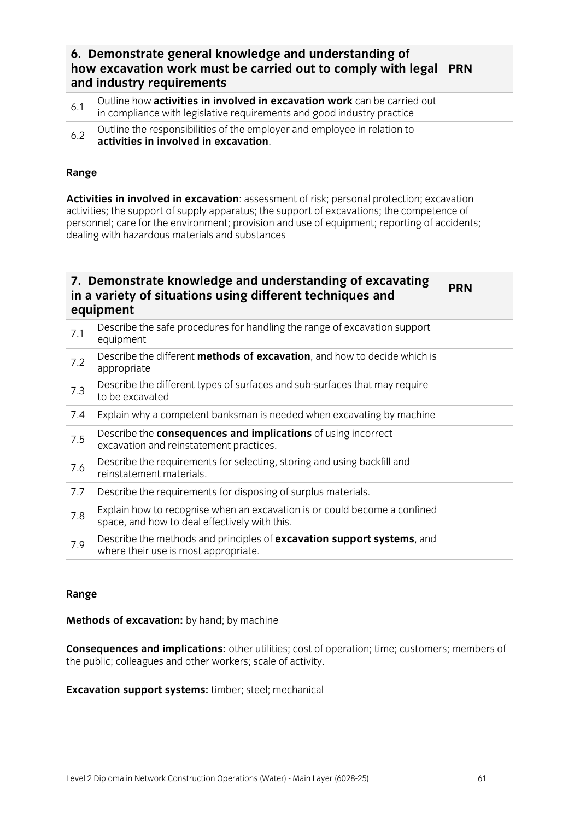|     | 6. Demonstrate general knowledge and understanding of<br>how excavation work must be carried out to comply with legal<br>and industry requirements | <b>PRN</b> |
|-----|----------------------------------------------------------------------------------------------------------------------------------------------------|------------|
| 6.1 | Outline how activities in involved in excavation work can be carried out<br>in compliance with legislative requirements and good industry practice |            |
| 6.2 | Outline the responsibilities of the employer and employee in relation to<br>activities in involved in excavation.                                  |            |

**Activities in involved in excavation**: assessment of risk; personal protection; excavation activities; the support of supply apparatus; the support of excavations; the competence of personnel; care for the environment; provision and use of equipment; reporting of accidents; dealing with hazardous materials and substances

| 7. Demonstrate knowledge and understanding of excavating<br>in a variety of situations using different techniques and<br>equipment | <b>PRN</b>                                                                                                                 |  |
|------------------------------------------------------------------------------------------------------------------------------------|----------------------------------------------------------------------------------------------------------------------------|--|
| 7.1                                                                                                                                | Describe the safe procedures for handling the range of excavation support<br>equipment                                     |  |
| 7.2                                                                                                                                | Describe the different methods of excavation, and how to decide which is<br>appropriate                                    |  |
| 7.3                                                                                                                                | Describe the different types of surfaces and sub-surfaces that may require<br>to be excavated                              |  |
| 7.4                                                                                                                                | Explain why a competent banksman is needed when excavating by machine                                                      |  |
| 7.5                                                                                                                                | Describe the <b>consequences and implications</b> of using incorrect<br>excavation and reinstatement practices.            |  |
| 7.6                                                                                                                                | Describe the requirements for selecting, storing and using backfill and<br>reinstatement materials.                        |  |
| 7.7                                                                                                                                | Describe the requirements for disposing of surplus materials.                                                              |  |
| 7.8                                                                                                                                | Explain how to recognise when an excavation is or could become a confined<br>space, and how to deal effectively with this. |  |
| 7.9                                                                                                                                | Describe the methods and principles of excavation support systems, and<br>where their use is most appropriate.             |  |

## **Range**

**Methods of excavation:** by hand; by machine

**Consequences and implications:** other utilities; cost of operation; time; customers; members of the public; colleagues and other workers; scale of activity.

**Excavation support systems:** timber; steel; mechanical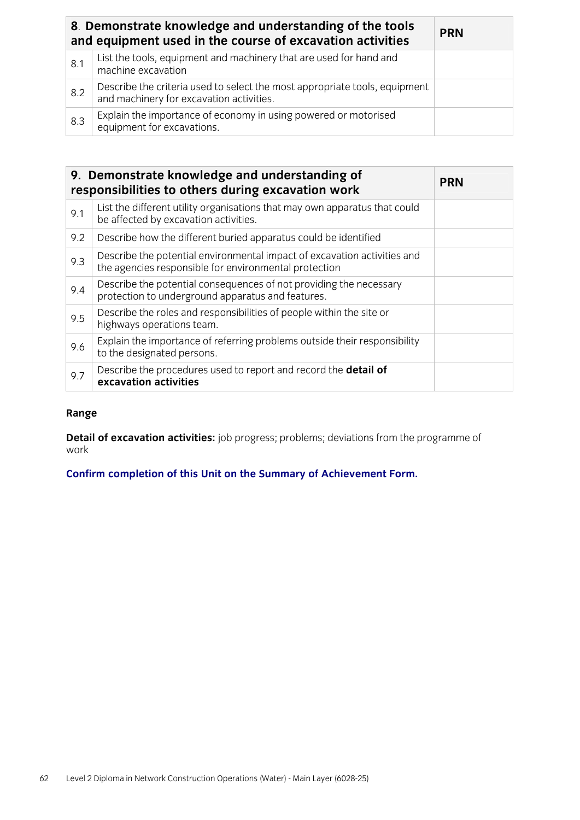| 8. Demonstrate knowledge and understanding of the tools<br>and equipment used in the course of excavation activities | <b>PRN</b>                                                                                                             |  |
|----------------------------------------------------------------------------------------------------------------------|------------------------------------------------------------------------------------------------------------------------|--|
| 8.1                                                                                                                  | List the tools, equipment and machinery that are used for hand and<br>machine excavation                               |  |
| 8.2                                                                                                                  | Describe the criteria used to select the most appropriate tools, equipment<br>and machinery for excavation activities. |  |
| 8.3                                                                                                                  | Explain the importance of economy in using powered or motorised<br>equipment for excavations.                          |  |

|     | 9. Demonstrate knowledge and understanding of<br>responsibilities to others during excavation work                                | <b>PRN</b> |
|-----|-----------------------------------------------------------------------------------------------------------------------------------|------------|
| 9.1 | List the different utility organisations that may own apparatus that could<br>be affected by excavation activities.               |            |
| 9.2 | Describe how the different buried apparatus could be identified                                                                   |            |
| 9.3 | Describe the potential environmental impact of excavation activities and<br>the agencies responsible for environmental protection |            |
| 9.4 | Describe the potential consequences of not providing the necessary<br>protection to underground apparatus and features.           |            |
| 9.5 | Describe the roles and responsibilities of people within the site or<br>highways operations team.                                 |            |
| 9.6 | Explain the importance of referring problems outside their responsibility<br>to the designated persons.                           |            |
| 9.7 | Describe the procedures used to report and record the <b>detail of</b><br>excavation activities                                   |            |

**Detail of excavation activities:** job progress; problems; deviations from the programme of work

**Confirm completion of this Unit on the Summary of Achievement Form.**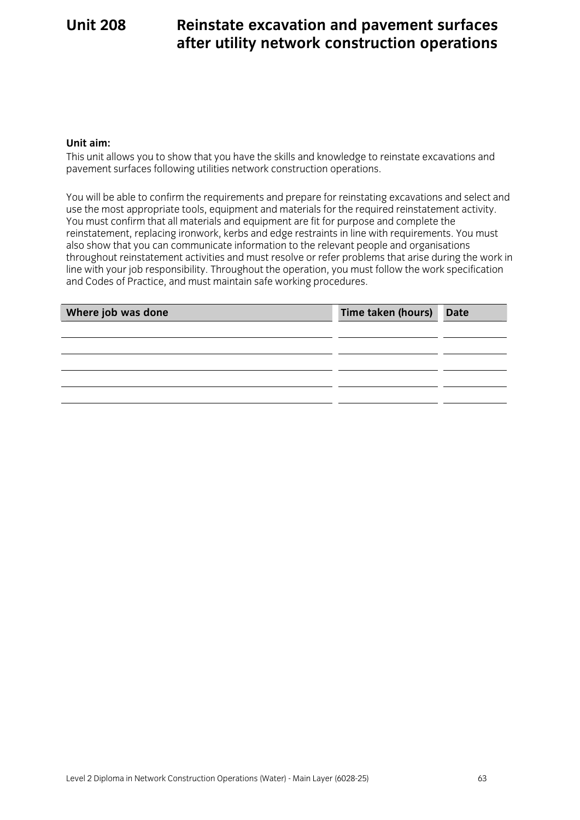## **Unit 208 Reinstate excavation and pavement surfaces after utility network construction operations**

### **Unit aim:**

This unit allows you to show that you have the skills and knowledge to reinstate excavations and pavement surfaces following utilities network construction operations.

You will be able to confirm the requirements and prepare for reinstating excavations and select and use the most appropriate tools, equipment and materials for the required reinstatement activity. You must confirm that all materials and equipment are fit for purpose and complete the reinstatement, replacing ironwork, kerbs and edge restraints in line with requirements. You must also show that you can communicate information to the relevant people and organisations throughout reinstatement activities and must resolve or refer problems that arise during the work in line with your job responsibility. Throughout the operation, you must follow the work specification and Codes of Practice, and must maintain safe working procedures.

| Where job was done | Time taken (hours) Date |  |
|--------------------|-------------------------|--|
|                    |                         |  |
|                    |                         |  |
|                    |                         |  |
|                    |                         |  |
|                    |                         |  |
|                    |                         |  |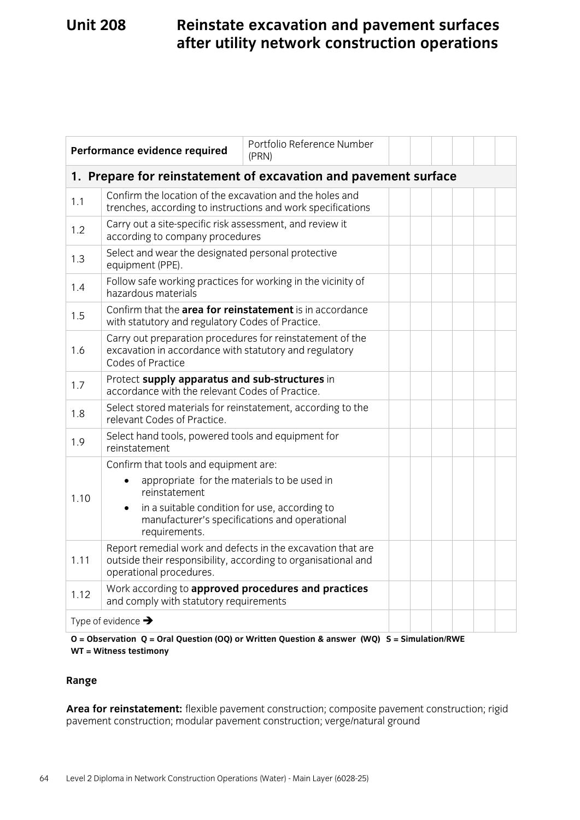# **Unit 208 Reinstate excavation and pavement surfaces after utility network construction operations**

| Performance evidence required  |                                                                                                                                          | Portfolio Reference Number<br>(PRN)                         |  |  |  |
|--------------------------------|------------------------------------------------------------------------------------------------------------------------------------------|-------------------------------------------------------------|--|--|--|
|                                | 1. Prepare for reinstatement of excavation and pavement surface                                                                          |                                                             |  |  |  |
| 1.1                            | Confirm the location of the excavation and the holes and<br>trenches, according to instructions and work specifications                  |                                                             |  |  |  |
| 1.2                            | Carry out a site-specific risk assessment, and review it<br>according to company procedures                                              |                                                             |  |  |  |
| 1.3                            | Select and wear the designated personal protective<br>equipment (PPE).                                                                   |                                                             |  |  |  |
| 1.4                            | Follow safe working practices for working in the vicinity of<br>hazardous materials                                                      |                                                             |  |  |  |
| 1.5                            | Confirm that the area for reinstatement is in accordance<br>with statutory and regulatory Codes of Practice.                             |                                                             |  |  |  |
| 1.6                            | Carry out preparation procedures for reinstatement of the<br>excavation in accordance with statutory and regulatory<br>Codes of Practice |                                                             |  |  |  |
| 1.7                            | Protect supply apparatus and sub-structures in<br>accordance with the relevant Codes of Practice.                                        |                                                             |  |  |  |
| 1.8                            | Select stored materials for reinstatement, according to the<br>relevant Codes of Practice.                                               |                                                             |  |  |  |
| 1.9                            | Select hand tools, powered tools and equipment for<br>reinstatement                                                                      |                                                             |  |  |  |
|                                | Confirm that tools and equipment are:                                                                                                    |                                                             |  |  |  |
| 1.10                           | appropriate for the materials to be used in<br>$\bullet$<br>reinstatement                                                                |                                                             |  |  |  |
|                                | in a suitable condition for use, according to<br>requirements.                                                                           | manufacturer's specifications and operational               |  |  |  |
| 1.11                           | outside their responsibility, according to organisational and<br>operational procedures.                                                 | Report remedial work and defects in the excavation that are |  |  |  |
| 1.12                           | Work according to approved procedures and practices<br>and comply with statutory requirements                                            |                                                             |  |  |  |
| Type of evidence $\rightarrow$ |                                                                                                                                          |                                                             |  |  |  |

**O = Observation Q = Oral Question (OQ) or Written Question & answer (WQ) S = Simulation/RWE WT = Witness testimony**

### **Range**

**Area for reinstatement:** flexible pavement construction; composite pavement construction; rigid pavement construction; modular pavement construction; verge/natural ground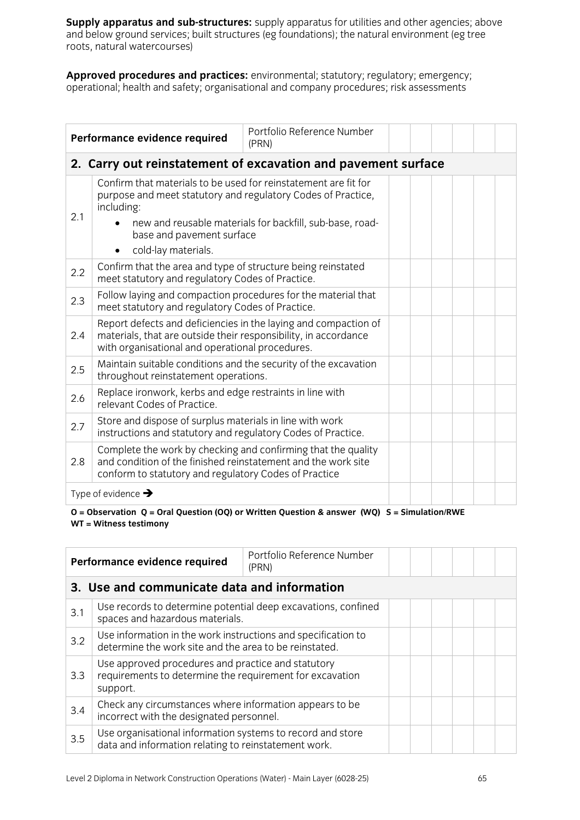**Supply apparatus and sub-structures:** supply apparatus for utilities and other agencies; above and below ground services; built structures (eg foundations); the natural environment (eg tree roots, natural watercourses)

**Approved procedures and practices:** environmental; statutory; regulatory; emergency; operational; health and safety; organisational and company procedures; risk assessments

| Performance evidence required |                                                                                                                                                                                                                                                               | Portfolio Reference Number<br>(PRN) |  |  |  |  |
|-------------------------------|---------------------------------------------------------------------------------------------------------------------------------------------------------------------------------------------------------------------------------------------------------------|-------------------------------------|--|--|--|--|
|                               | 2. Carry out reinstatement of excavation and pavement surface                                                                                                                                                                                                 |                                     |  |  |  |  |
| 2.1                           | Confirm that materials to be used for reinstatement are fit for<br>purpose and meet statutory and regulatory Codes of Practice,<br>including:<br>new and reusable materials for backfill, sub-base, road-<br>base and pavement surface<br>cold-lay materials. |                                     |  |  |  |  |
| 2.2                           | Confirm that the area and type of structure being reinstated<br>meet statutory and regulatory Codes of Practice.                                                                                                                                              |                                     |  |  |  |  |
| 2.3                           | Follow laying and compaction procedures for the material that<br>meet statutory and regulatory Codes of Practice.                                                                                                                                             |                                     |  |  |  |  |
| 2.4                           | Report defects and deficiencies in the laying and compaction of<br>materials, that are outside their responsibility, in accordance<br>with organisational and operational procedures.                                                                         |                                     |  |  |  |  |
| 2.5                           | Maintain suitable conditions and the security of the excavation<br>throughout reinstatement operations.                                                                                                                                                       |                                     |  |  |  |  |
| 2.6                           | Replace ironwork, kerbs and edge restraints in line with<br>relevant Codes of Practice.                                                                                                                                                                       |                                     |  |  |  |  |
| 2.7                           | Store and dispose of surplus materials in line with work<br>instructions and statutory and regulatory Codes of Practice.                                                                                                                                      |                                     |  |  |  |  |
| 2.8                           | Complete the work by checking and confirming that the quality<br>and condition of the finished reinstatement and the work site<br>conform to statutory and regulatory Codes of Practice                                                                       |                                     |  |  |  |  |
|                               | Type of evidence $\rightarrow$                                                                                                                                                                                                                                |                                     |  |  |  |  |

**O = Observation Q = Oral Question (OQ) or Written Question & answer (WQ) S = Simulation/RWE WT = Witness testimony**

|     | Performance evidence required                                                                                              | Portfolio Reference Number<br>(PRN) |  |  |  |  |  |  |
|-----|----------------------------------------------------------------------------------------------------------------------------|-------------------------------------|--|--|--|--|--|--|
|     | 3. Use and communicate data and information                                                                                |                                     |  |  |  |  |  |  |
| 3.1 | Use records to determine potential deep excavations, confined<br>spaces and hazardous materials.                           |                                     |  |  |  |  |  |  |
| 3.2 | Use information in the work instructions and specification to<br>determine the work site and the area to be reinstated.    |                                     |  |  |  |  |  |  |
| 3.3 | Use approved procedures and practice and statutory<br>requirements to determine the requirement for excavation<br>support. |                                     |  |  |  |  |  |  |
| 3.4 | Check any circumstances where information appears to be<br>incorrect with the designated personnel.                        |                                     |  |  |  |  |  |  |
| 3.5 | Use organisational information systems to record and store<br>data and information relating to reinstatement work.         |                                     |  |  |  |  |  |  |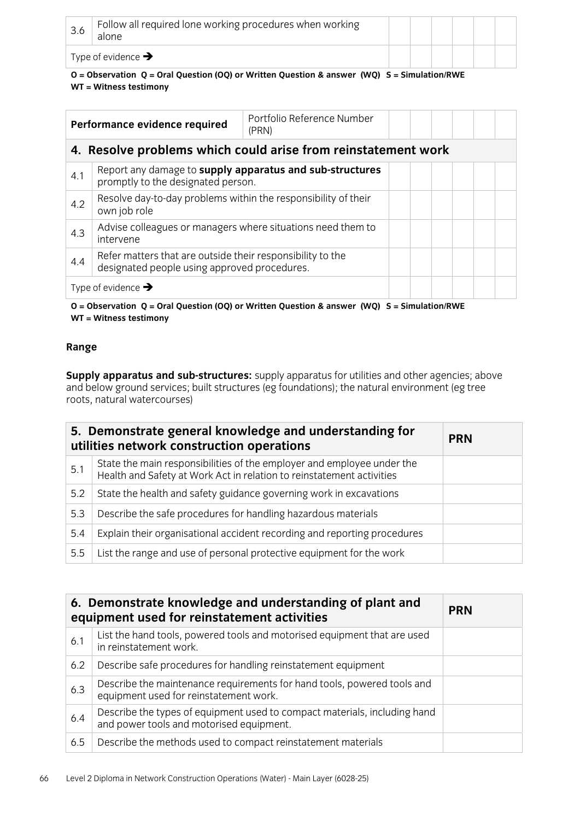| 3.6                            | Follow all required lone working procedures when working<br>alone |  |  |  |
|--------------------------------|-------------------------------------------------------------------|--|--|--|
| Type of evidence $\rightarrow$ |                                                                   |  |  |  |

|                                                                                                       | Performance evidence required                                                                              | Portfolio Reference Number<br>(PRN) |  |  |  |  |  |
|-------------------------------------------------------------------------------------------------------|------------------------------------------------------------------------------------------------------------|-------------------------------------|--|--|--|--|--|
|                                                                                                       | 4. Resolve problems which could arise from reinstatement work                                              |                                     |  |  |  |  |  |
| Report any damage to supply apparatus and sub-structures<br>4.1<br>promptly to the designated person. |                                                                                                            |                                     |  |  |  |  |  |
| 4.2                                                                                                   | Resolve day-to-day problems within the responsibility of their<br>own job role                             |                                     |  |  |  |  |  |
| 4.3                                                                                                   | Advise colleagues or managers where situations need them to<br>intervene                                   |                                     |  |  |  |  |  |
| 4.4                                                                                                   | Refer matters that are outside their responsibility to the<br>designated people using approved procedures. |                                     |  |  |  |  |  |
| Type of evidence $\rightarrow$                                                                        |                                                                                                            |                                     |  |  |  |  |  |

**O = Observation Q = Oral Question (OQ) or Written Question & answer (WQ) S = Simulation/RWE WT = Witness testimony**

### **Range**

**Supply apparatus and sub-structures:** supply apparatus for utilities and other agencies; above and below ground services; built structures (eg foundations); the natural environment (eg tree roots, natural watercourses)

|     | 5. Demonstrate general knowledge and understanding for<br>utilities network construction operations                                          |  |
|-----|----------------------------------------------------------------------------------------------------------------------------------------------|--|
| 5.1 | State the main responsibilities of the employer and employee under the Health and Safety at Work Act in relation to reinstatement activities |  |
| 5.2 | State the health and safety guidance governing work in excavations                                                                           |  |
| 5.3 | Describe the safe procedures for handling hazardous materials                                                                                |  |
| 5.4 | Explain their organisational accident recording and reporting procedures                                                                     |  |
| 5.5 | List the range and use of personal protective equipment for the work                                                                         |  |

|     | 6. Demonstrate knowledge and understanding of plant and<br>equipment used for reinstatement activities                |  |
|-----|-----------------------------------------------------------------------------------------------------------------------|--|
| 6.1 | List the hand tools, powered tools and motorised equipment that are used<br>in reinstatement work.                    |  |
| 6.2 | Describe safe procedures for handling reinstatement equipment                                                         |  |
| 6.3 | Describe the maintenance requirements for hand tools, powered tools and<br>equipment used for reinstatement work.     |  |
| 6.4 | Describe the types of equipment used to compact materials, including hand<br>and power tools and motorised equipment. |  |
| 6.5 | Describe the methods used to compact reinstatement materials                                                          |  |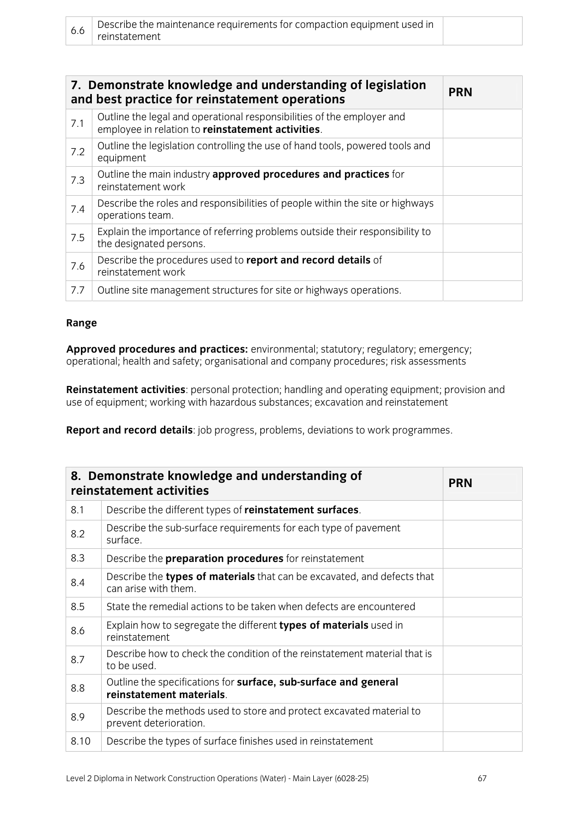|     | 7. Demonstrate knowledge and understanding of legislation<br>and best practice for reinstatement operations                 |  |
|-----|-----------------------------------------------------------------------------------------------------------------------------|--|
| 7.1 | Outline the legal and operational responsibilities of the employer and<br>employee in relation to reinstatement activities. |  |
| 7.2 | Outline the legislation controlling the use of hand tools, powered tools and<br>equipment                                   |  |
| 7.3 | Outline the main industry approved procedures and practices for<br>reinstatement work                                       |  |
| 7.4 | Describe the roles and responsibilities of people within the site or highways<br>operations team.                           |  |
| 7.5 | Explain the importance of referring problems outside their responsibility to<br>the designated persons.                     |  |
| 7.6 | Describe the procedures used to report and record details of<br>reinstatement work                                          |  |
| 7.7 | Outline site management structures for site or highways operations.                                                         |  |

**Approved procedures and practices:** environmental; statutory; regulatory; emergency; operational; health and safety; organisational and company procedures; risk assessments

**Reinstatement activities**: personal protection; handling and operating equipment; provision and use of equipment; working with hazardous substances; excavation and reinstatement

**Report and record details**: job progress, problems, deviations to work programmes.

|      | 8. Demonstrate knowledge and understanding of<br>reinstatement activities                       | <b>PRN</b> |
|------|-------------------------------------------------------------------------------------------------|------------|
| 8.1  | Describe the different types of reinstatement surfaces.                                         |            |
| 8.2  | Describe the sub-surface requirements for each type of pavement<br>surface.                     |            |
| 8.3  | Describe the <b>preparation procedures</b> for reinstatement                                    |            |
| 8.4  | Describe the types of materials that can be excavated, and defects that<br>can arise with them. |            |
| 8.5  | State the remedial actions to be taken when defects are encountered                             |            |
| 8.6  | Explain how to segregate the different types of materials used in<br>reinstatement              |            |
| 8.7  | Describe how to check the condition of the reinstatement material that is<br>to be used.        |            |
| 8.8  | Outline the specifications for surface, sub-surface and general<br>reinstatement materials.     |            |
| 8.9  | Describe the methods used to store and protect excavated material to<br>prevent deterioration.  |            |
| 8.10 | Describe the types of surface finishes used in reinstatement                                    |            |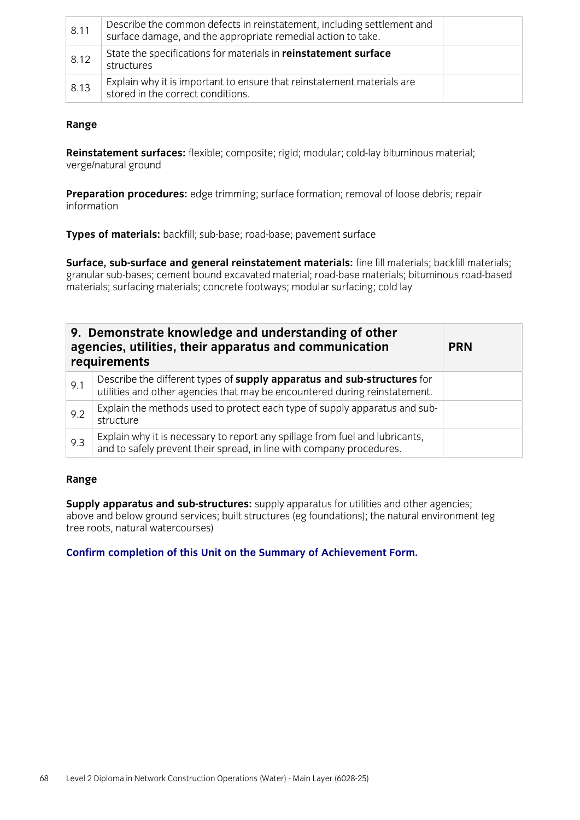| 8.11 | Describe the common defects in reinstatement, including settlement and<br>surface damage, and the appropriate remedial action to take. |  |
|------|----------------------------------------------------------------------------------------------------------------------------------------|--|
| 8.12 | State the specifications for materials in reinstatement surface<br>structures                                                          |  |
| 8.13 | Explain why it is important to ensure that reinstatement materials are<br>stored in the correct conditions.                            |  |

**Reinstatement surfaces:** flexible; composite; rigid; modular; cold-lay bituminous material; verge/natural ground

**Preparation procedures:** edge trimming; surface formation; removal of loose debris; repair information

**Types of materials:** backfill; sub-base; road-base; pavement surface

**Surface, sub-surface and general reinstatement materials:** fine fill materials; backfill materials; granular sub-bases; cement bound excavated material; road-base materials; bituminous road-based materials; surfacing materials; concrete footways; modular surfacing; cold lay

| 9. Demonstrate knowledge and understanding of other<br>agencies, utilities, their apparatus and communication<br>requirements |                                                                                                                                                       | <b>PRN</b> |
|-------------------------------------------------------------------------------------------------------------------------------|-------------------------------------------------------------------------------------------------------------------------------------------------------|------------|
| 9.1                                                                                                                           | Describe the different types of supply apparatus and sub-structures for<br>utilities and other agencies that may be encountered during reinstatement. |            |
| 9.2                                                                                                                           | Explain the methods used to protect each type of supply apparatus and sub-<br>structure                                                               |            |
| 9.3                                                                                                                           | Explain why it is necessary to report any spillage from fuel and lubricants,<br>and to safely prevent their spread, in line with company procedures.  |            |

#### **Range**

**Supply apparatus and sub-structures:** supply apparatus for utilities and other agencies; above and below ground services; built structures (eg foundations); the natural environment (eg tree roots, natural watercourses)

**Confirm completion of this Unit on the Summary of Achievement Form.**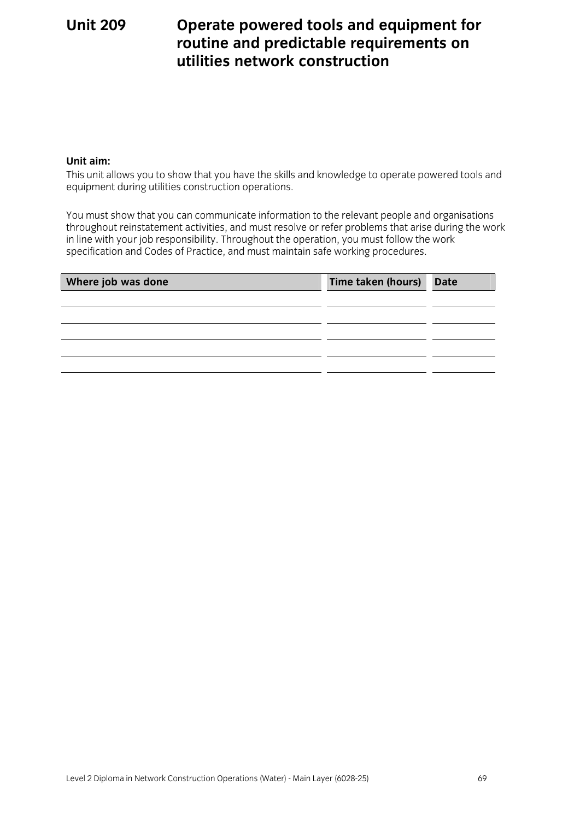## **Unit 209 Operate powered tools and equipment for routine and predictable requirements on utilities network construction**

### **Unit aim:**

This unit allows you to show that you have the skills and knowledge to operate powered tools and equipment during utilities construction operations.

You must show that you can communicate information to the relevant people and organisations throughout reinstatement activities, and must resolve or refer problems that arise during the work in line with your job responsibility. Throughout the operation, you must follow the work specification and Codes of Practice, and must maintain safe working procedures.

| Where job was done | Time taken (hours) Date |  |
|--------------------|-------------------------|--|
|                    |                         |  |
|                    |                         |  |
|                    |                         |  |
|                    |                         |  |
|                    |                         |  |
|                    |                         |  |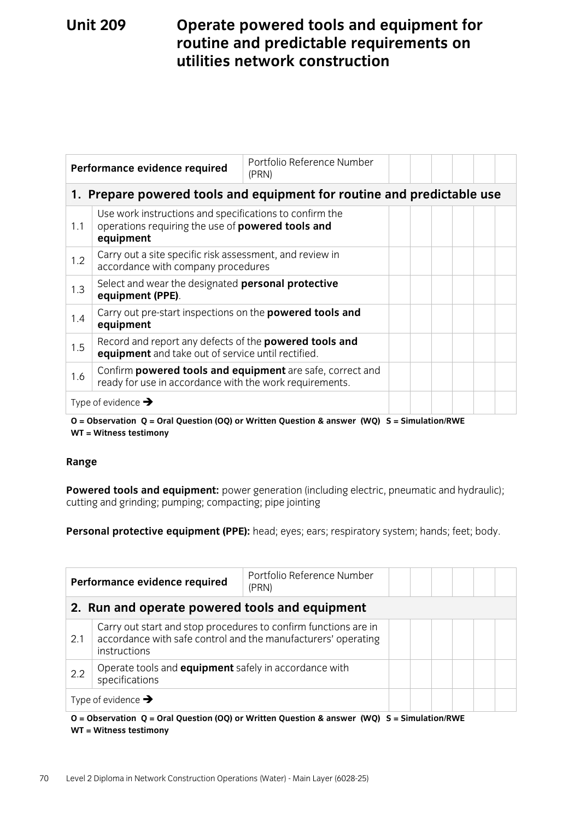# **Unit 209 Operate powered tools and equipment for routine and predictable requirements on utilities network construction**

|     | Performance evidence required                                                                                             | Portfolio Reference Number<br>(PRN) |  |  |  |  |  |
|-----|---------------------------------------------------------------------------------------------------------------------------|-------------------------------------|--|--|--|--|--|
|     | 1. Prepare powered tools and equipment for routine and predictable use                                                    |                                     |  |  |  |  |  |
| 1.1 | Use work instructions and specifications to confirm the<br>operations requiring the use of powered tools and<br>equipment |                                     |  |  |  |  |  |
| 1.2 | Carry out a site specific risk assessment, and review in<br>accordance with company procedures                            |                                     |  |  |  |  |  |
| 1.3 | Select and wear the designated personal protective<br>equipment (PPE).                                                    |                                     |  |  |  |  |  |
| 1.4 | Carry out pre-start inspections on the powered tools and<br>equipment                                                     |                                     |  |  |  |  |  |
| 1.5 | Record and report any defects of the powered tools and<br>equipment and take out of service until rectified.              |                                     |  |  |  |  |  |
| 1.6 | Confirm powered tools and equipment are safe, correct and<br>ready for use in accordance with the work requirements.      |                                     |  |  |  |  |  |
|     | Type of evidence $\rightarrow$                                                                                            |                                     |  |  |  |  |  |

**O = Observation Q = Oral Question (OQ) or Written Question & answer (WQ) S = Simulation/RWE WT = Witness testimony**

## **Range**

Powered tools and equipment: power generation (including electric, pneumatic and hydraulic); cutting and grinding; pumping; compacting; pipe jointing

Personal protective equipment (PPE): head; eyes; ears; respiratory system; hands; feet; body.

|     | Performance evidence required                                                                                                                    | Portfolio Reference Number<br>(PRN) |  |  |  |  |  |
|-----|--------------------------------------------------------------------------------------------------------------------------------------------------|-------------------------------------|--|--|--|--|--|
|     | 2. Run and operate powered tools and equipment                                                                                                   |                                     |  |  |  |  |  |
| 2.1 | Carry out start and stop procedures to confirm functions are in<br>accordance with safe control and the manufacturers' operating<br>instructions |                                     |  |  |  |  |  |
| 2.2 | Operate tools and <b>equipment</b> safely in accordance with<br>specifications                                                                   |                                     |  |  |  |  |  |
|     | Type of evidence $\rightarrow$                                                                                                                   |                                     |  |  |  |  |  |

**O = Observation Q = Oral Question (OQ) or Written Question & answer (WQ) S = Simulation/RWE WT = Witness testimony**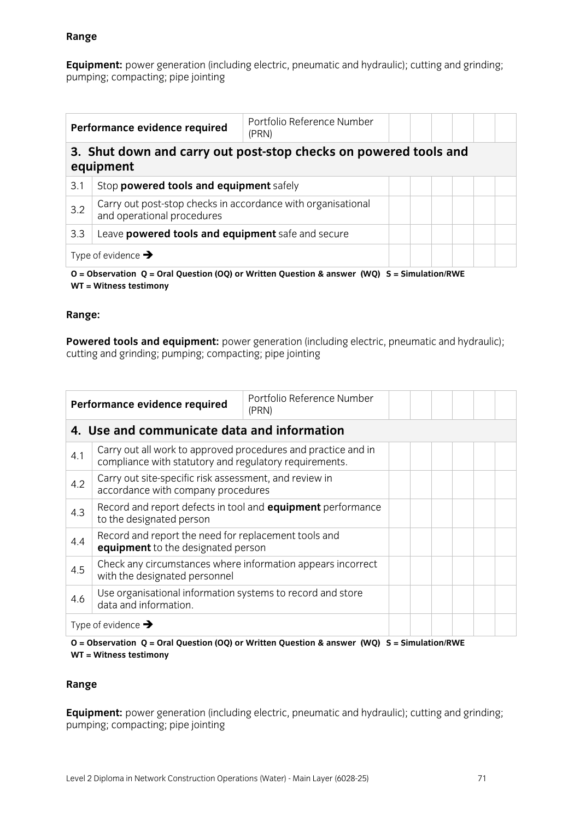**Equipment:** power generation (including electric, pneumatic and hydraulic); cutting and grinding; pumping; compacting; pipe jointing

| Performance evidence required                                                 |                                                                                            | Portfolio Reference Number<br>(PRN) |  |  |  |  |  |
|-------------------------------------------------------------------------------|--------------------------------------------------------------------------------------------|-------------------------------------|--|--|--|--|--|
| 3. Shut down and carry out post-stop checks on powered tools and<br>equipment |                                                                                            |                                     |  |  |  |  |  |
| 3.1                                                                           | Stop powered tools and equipment safely                                                    |                                     |  |  |  |  |  |
| 3.2                                                                           | Carry out post-stop checks in accordance with organisational<br>and operational procedures |                                     |  |  |  |  |  |
| 3.3                                                                           | Leave powered tools and equipment safe and secure                                          |                                     |  |  |  |  |  |
|                                                                               | Type of evidence $\rightarrow$                                                             |                                     |  |  |  |  |  |

**O = Observation Q = Oral Question (OQ) or Written Question & answer (WQ) S = Simulation/RWE WT = Witness testimony**

### **Range:**

**Powered tools and equipment:** power generation (including electric, pneumatic and hydraulic); cutting and grinding; pumping; compacting; pipe jointing

|                                | Performance evidence required                                                                                           | Portfolio Reference Number<br>(PRN) |  |  |  |  |  |  |
|--------------------------------|-------------------------------------------------------------------------------------------------------------------------|-------------------------------------|--|--|--|--|--|--|
|                                | 4. Use and communicate data and information                                                                             |                                     |  |  |  |  |  |  |
| 4.1                            | Carry out all work to approved procedures and practice and in<br>compliance with statutory and regulatory requirements. |                                     |  |  |  |  |  |  |
| 4.2                            | Carry out site-specific risk assessment, and review in<br>accordance with company procedures                            |                                     |  |  |  |  |  |  |
| 4.3                            | Record and report defects in tool and equipment performance<br>to the designated person                                 |                                     |  |  |  |  |  |  |
| 4.4                            | Record and report the need for replacement tools and<br>equipment to the designated person                              |                                     |  |  |  |  |  |  |
| 4.5                            | Check any circumstances where information appears incorrect<br>with the designated personnel                            |                                     |  |  |  |  |  |  |
| 4.6                            | Use organisational information systems to record and store<br>data and information.                                     |                                     |  |  |  |  |  |  |
| Type of evidence $\rightarrow$ |                                                                                                                         |                                     |  |  |  |  |  |  |

**O = Observation Q = Oral Question (OQ) or Written Question & answer (WQ) S = Simulation/RWE WT = Witness testimony**

### **Range**

**Equipment:** power generation (including electric, pneumatic and hydraulic); cutting and grinding; pumping; compacting; pipe jointing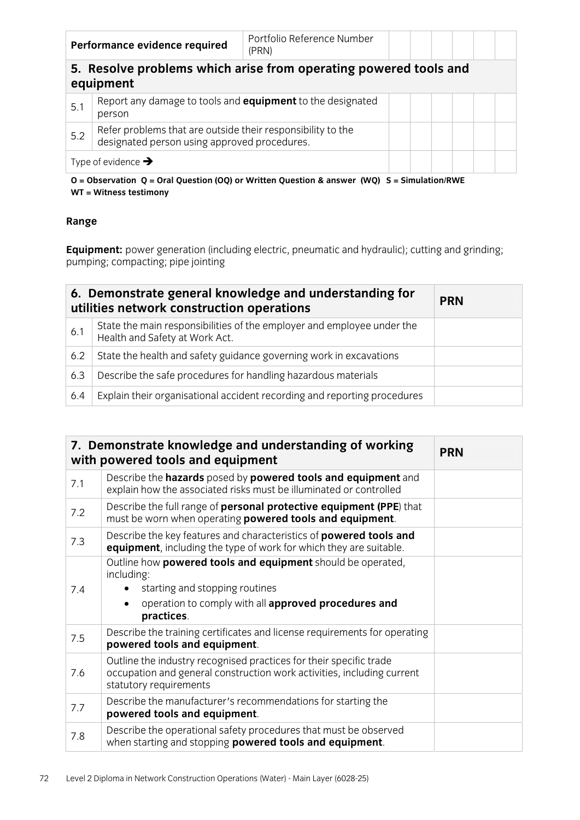|                                                                               | Performance evidence required                                                                            | Portfolio Reference Number<br>(PRN) |  |  |  |  |  |
|-------------------------------------------------------------------------------|----------------------------------------------------------------------------------------------------------|-------------------------------------|--|--|--|--|--|
| 5. Resolve problems which arise from operating powered tools and<br>equipment |                                                                                                          |                                     |  |  |  |  |  |
| 5.1                                                                           | Report any damage to tools and <b>equipment</b> to the designated<br>person                              |                                     |  |  |  |  |  |
| 5.2                                                                           | Refer problems that are outside their responsibility to the designated person using approved procedures. |                                     |  |  |  |  |  |
| Type of evidence $\rightarrow$                                                |                                                                                                          |                                     |  |  |  |  |  |

## **Range**

**Equipment:** power generation (including electric, pneumatic and hydraulic); cutting and grinding; pumping; compacting; pipe jointing

| 6. Demonstrate general knowledge and understanding for<br>utilities network construction operations | <b>PRN</b>                                                                                               |  |
|-----------------------------------------------------------------------------------------------------|----------------------------------------------------------------------------------------------------------|--|
| 6.1                                                                                                 | State the main responsibilities of the employer and employee under the<br>Health and Safety at Work Act. |  |
| 6.2                                                                                                 | State the health and safety guidance governing work in excavations                                       |  |
| 6.3                                                                                                 | Describe the safe procedures for handling hazardous materials                                            |  |
| 6.4                                                                                                 | Explain their organisational accident recording and reporting procedures                                 |  |

| 7. Demonstrate knowledge and understanding of working<br>with powered tools and equipment | <b>PRN</b>                                                                                                                                                                        |  |
|-------------------------------------------------------------------------------------------|-----------------------------------------------------------------------------------------------------------------------------------------------------------------------------------|--|
| 7.1                                                                                       | Describe the hazards posed by powered tools and equipment and<br>explain how the associated risks must be illuminated or controlled                                               |  |
| 7.2                                                                                       | Describe the full range of personal protective equipment (PPE) that<br>must be worn when operating powered tools and equipment.                                                   |  |
| 7.3                                                                                       | Describe the key features and characteristics of powered tools and<br>equipment, including the type of work for which they are suitable.                                          |  |
| 7.4                                                                                       | Outline how powered tools and equipment should be operated,<br>including:<br>starting and stopping routines<br>operation to comply with all approved procedures and<br>practices. |  |
| 7.5                                                                                       | Describe the training certificates and license requirements for operating<br>powered tools and equipment.                                                                         |  |
| 7.6                                                                                       | Outline the industry recognised practices for their specific trade<br>occupation and general construction work activities, including current<br>statutory requirements            |  |
| 7.7                                                                                       | Describe the manufacturer's recommendations for starting the<br>powered tools and equipment.                                                                                      |  |
| 7.8                                                                                       | Describe the operational safety procedures that must be observed<br>when starting and stopping powered tools and equipment.                                                       |  |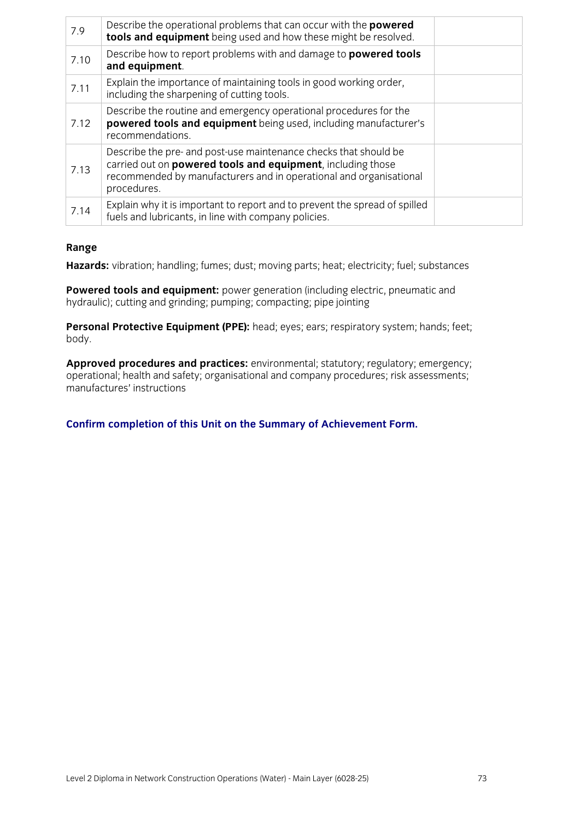| 7.9  | Describe the operational problems that can occur with the powered<br>tools and equipment being used and how these might be resolved.                                                                                 |  |
|------|----------------------------------------------------------------------------------------------------------------------------------------------------------------------------------------------------------------------|--|
| 7.10 | Describe how to report problems with and damage to <b>powered tools</b><br>and equipment.                                                                                                                            |  |
| 7.11 | Explain the importance of maintaining tools in good working order,<br>including the sharpening of cutting tools.                                                                                                     |  |
| 7.12 | Describe the routine and emergency operational procedures for the<br>powered tools and equipment being used, including manufacturer's<br>recommendations.                                                            |  |
| 7.13 | Describe the pre- and post-use maintenance checks that should be<br>carried out on powered tools and equipment, including those<br>recommended by manufacturers and in operational and organisational<br>procedures. |  |
| 7.14 | Explain why it is important to report and to prevent the spread of spilled<br>fuels and lubricants, in line with company policies.                                                                                   |  |

**Hazards:** vibration; handling; fumes; dust; moving parts; heat; electricity; fuel; substances

**Powered tools and equipment:** power generation (including electric, pneumatic and hydraulic); cutting and grinding; pumping; compacting; pipe jointing

Personal Protective Equipment (PPE): head; eyes; ears; respiratory system; hands; feet; body.

**Approved procedures and practices:** environmental; statutory; regulatory; emergency; operational; health and safety; organisational and company procedures; risk assessments; manufactures' instructions

**Confirm completion of this Unit on the Summary of Achievement Form.**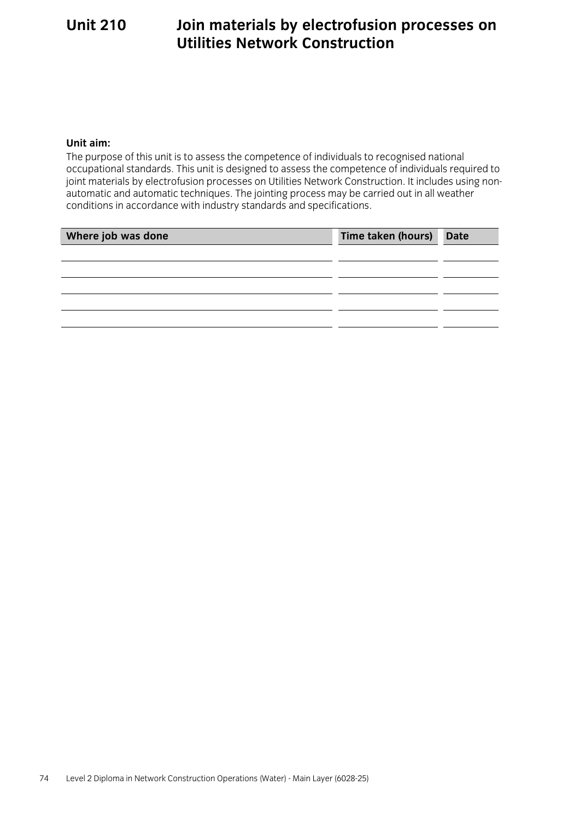# **Unit 210 Join materials by electrofusion processes on Utilities Network Construction**

#### **Unit aim:**

The purpose of this unit is to assess the competence of individuals to recognised national occupational standards. This unit is designed to assess the competence of individuals required to joint materials by electrofusion processes on Utilities Network Construction. It includes using nonautomatic and automatic techniques. The jointing process may be carried out in all weather conditions in accordance with industry standards and specifications.

| Where job was done | Time taken (hours) Date |  |
|--------------------|-------------------------|--|
|                    |                         |  |
|                    |                         |  |
|                    |                         |  |
|                    |                         |  |
|                    |                         |  |
|                    |                         |  |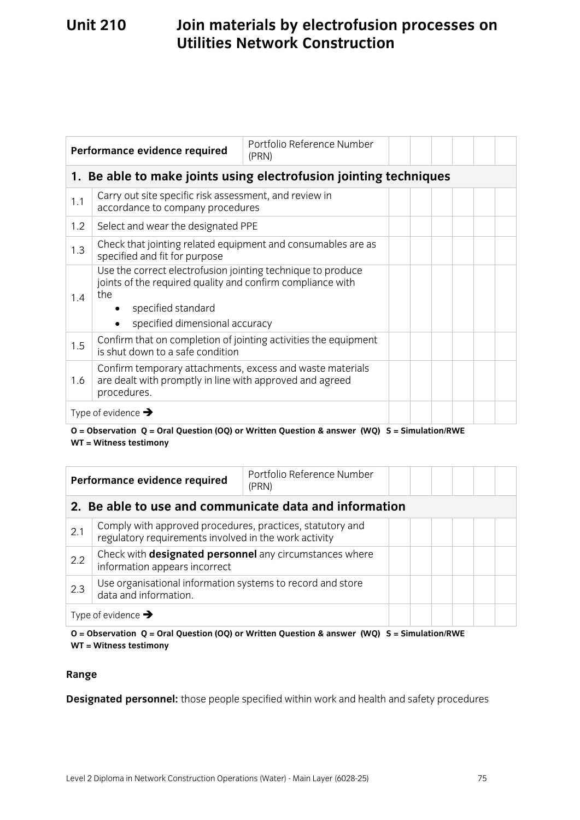# **Unit 210 Join materials by electrofusion processes on Utilities Network Construction**

|     | Performance evidence required                                                                                                                                                            | Portfolio Reference Number<br>(PRN) |  |  |  |  |
|-----|------------------------------------------------------------------------------------------------------------------------------------------------------------------------------------------|-------------------------------------|--|--|--|--|
|     | 1. Be able to make joints using electrofusion jointing techniques                                                                                                                        |                                     |  |  |  |  |
| 1.1 | Carry out site specific risk assessment, and review in<br>accordance to company procedures                                                                                               |                                     |  |  |  |  |
| 1.2 | Select and wear the designated PPE                                                                                                                                                       |                                     |  |  |  |  |
| 1.3 | Check that jointing related equipment and consumables are as<br>specified and fit for purpose                                                                                            |                                     |  |  |  |  |
| 1.4 | Use the correct electrofusion jointing technique to produce<br>joints of the required quality and confirm compliance with<br>the<br>specified standard<br>specified dimensional accuracy |                                     |  |  |  |  |
| 1.5 | Confirm that on completion of jointing activities the equipment<br>is shut down to a safe condition                                                                                      |                                     |  |  |  |  |
| 1.6 | Confirm temporary attachments, excess and waste materials<br>are dealt with promptly in line with approved and agreed<br>procedures.                                                     |                                     |  |  |  |  |
|     | Type of evidence $\rightarrow$                                                                                                                                                           |                                     |  |  |  |  |

**O = Observation Q = Oral Question (OQ) or Written Question & answer (WQ) S = Simulation/RWE WT = Witness testimony**

| Performance evidence required |                                                                                                                    | Portfolio Reference Number<br>(PRN) |  |  |  |  |  |
|-------------------------------|--------------------------------------------------------------------------------------------------------------------|-------------------------------------|--|--|--|--|--|
|                               | 2. Be able to use and communicate data and information                                                             |                                     |  |  |  |  |  |
| 2.1                           | Comply with approved procedures, practices, statutory and<br>regulatory requirements involved in the work activity |                                     |  |  |  |  |  |
| 2.2                           | Check with designated personnel any circumstances where<br>information appears incorrect                           |                                     |  |  |  |  |  |
| 2.3                           | Use organisational information systems to record and store<br>data and information.                                |                                     |  |  |  |  |  |
|                               | Type of evidence $\rightarrow$                                                                                     |                                     |  |  |  |  |  |

**O = Observation Q = Oral Question (OQ) or Written Question & answer (WQ) S = Simulation/RWE WT = Witness testimony**

### **Range**

**Designated personnel:** those people specified within work and health and safety procedures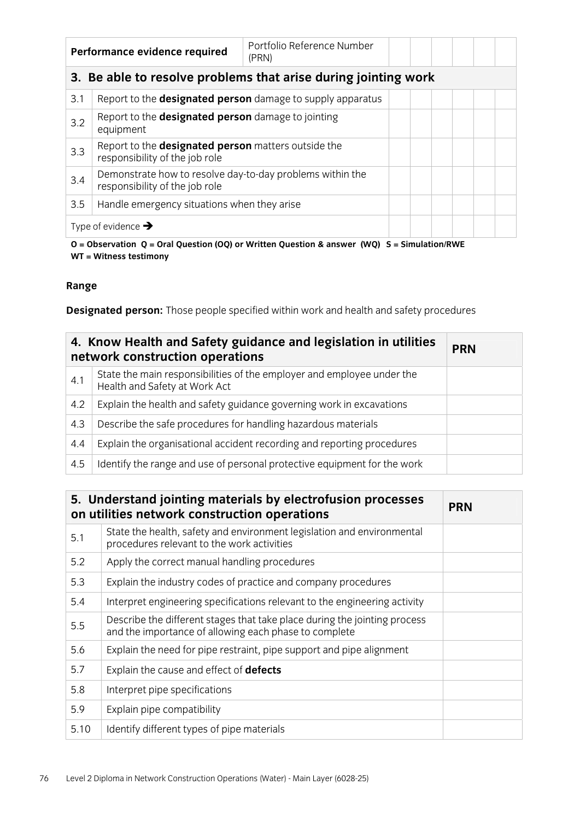| Performance evidence required |                                                                                              | Portfolio Reference Number<br>(PRN) |  |  |  |  |  |  |
|-------------------------------|----------------------------------------------------------------------------------------------|-------------------------------------|--|--|--|--|--|--|
|                               | 3. Be able to resolve problems that arise during jointing work                               |                                     |  |  |  |  |  |  |
| 3.1                           | Report to the <b>designated person</b> damage to supply apparatus                            |                                     |  |  |  |  |  |  |
| 3.2                           | Report to the designated person damage to jointing<br>equipment                              |                                     |  |  |  |  |  |  |
| 3.3                           | Report to the <b>designated person</b> matters outside the<br>responsibility of the job role |                                     |  |  |  |  |  |  |
| 3.4                           | Demonstrate how to resolve day-to-day problems within the<br>responsibility of the job role  |                                     |  |  |  |  |  |  |
| 3.5                           | Handle emergency situations when they arise                                                  |                                     |  |  |  |  |  |  |
|                               | Type of evidence $\rightarrow$                                                               |                                     |  |  |  |  |  |  |

**O = Observation Q = Oral Question (OQ) or Written Question & answer (WQ) S = Simulation/RWE WT = Witness testimony**

## **Range**

**Designated person:** Those people specified within work and health and safety procedures

|     | 4. Know Health and Safety guidance and legislation in utilities<br>network construction operations      | <b>PRN</b> |
|-----|---------------------------------------------------------------------------------------------------------|------------|
| 4.1 | State the main responsibilities of the employer and employee under the<br>Health and Safety at Work Act |            |
| 4.2 | Explain the health and safety guidance governing work in excavations                                    |            |
| 4.3 | Describe the safe procedures for handling hazardous materials                                           |            |
| 4.4 | Explain the organisational accident recording and reporting procedures                                  |            |
| 4.5 | Identify the range and use of personal protective equipment for the work                                |            |

|      | 5. Understand jointing materials by electrofusion processes<br>on utilities network construction operations                        | <b>PRN</b> |
|------|------------------------------------------------------------------------------------------------------------------------------------|------------|
| 5.1  | State the health, safety and environment legislation and environmental<br>procedures relevant to the work activities               |            |
| 5.2  | Apply the correct manual handling procedures                                                                                       |            |
| 5.3  | Explain the industry codes of practice and company procedures                                                                      |            |
| 5.4  | Interpret engineering specifications relevant to the engineering activity                                                          |            |
| 5.5  | Describe the different stages that take place during the jointing process<br>and the importance of allowing each phase to complete |            |
| 5.6  | Explain the need for pipe restraint, pipe support and pipe alignment                                                               |            |
| 5.7  | Explain the cause and effect of defects                                                                                            |            |
| 5.8  | Interpret pipe specifications                                                                                                      |            |
| 5.9  | Explain pipe compatibility                                                                                                         |            |
| 5.10 | Identify different types of pipe materials                                                                                         |            |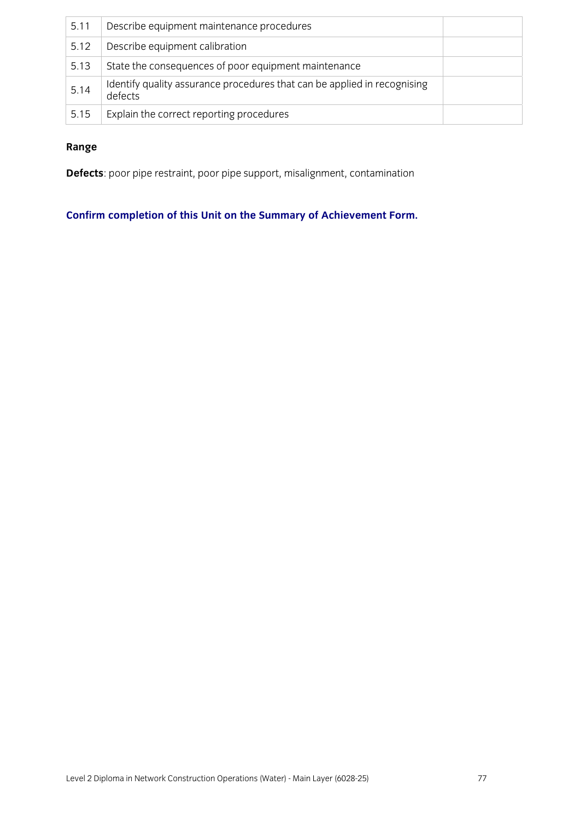| 5.11 | Describe equipment maintenance procedures                                           |  |
|------|-------------------------------------------------------------------------------------|--|
| 5.12 | Describe equipment calibration                                                      |  |
| 5.13 | State the consequences of poor equipment maintenance                                |  |
| 5.14 | Identify quality assurance procedures that can be applied in recognising<br>defects |  |
| 5.15 | Explain the correct reporting procedures                                            |  |

**Defects**: poor pipe restraint, poor pipe support, misalignment, contamination

**Confirm completion of this Unit on the Summary of Achievement Form.**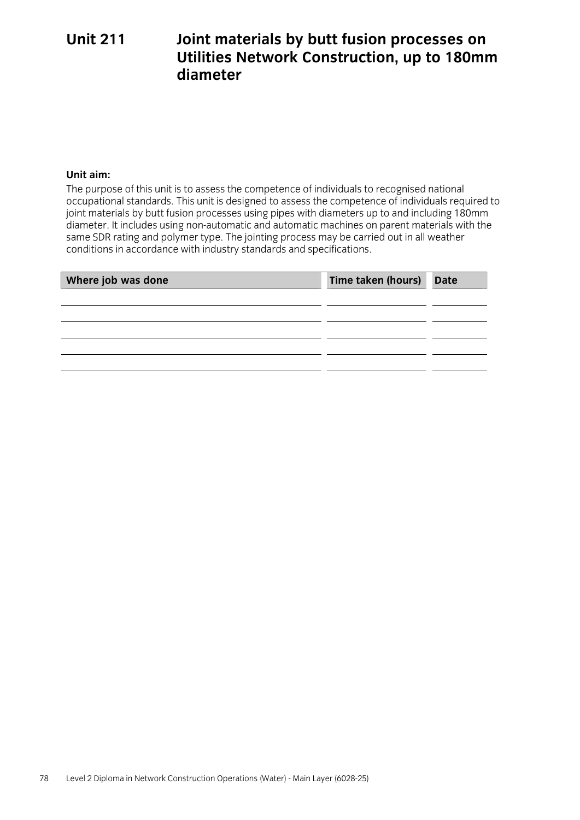# **Unit 211 Joint materials by butt fusion processes on Utilities Network Construction, up to 180mm diameter**

#### **Unit aim:**

The purpose of this unit is to assess the competence of individuals to recognised national occupational standards. This unit is designed to assess the competence of individuals required to joint materials by butt fusion processes using pipes with diameters up to and including 180mm diameter. It includes using non-automatic and automatic machines on parent materials with the same SDR rating and polymer type. The jointing process may be carried out in all weather conditions in accordance with industry standards and specifications.

| Where job was done | Time taken (hours) Date |  |
|--------------------|-------------------------|--|
|                    |                         |  |
|                    |                         |  |
|                    |                         |  |
|                    |                         |  |
|                    |                         |  |
|                    |                         |  |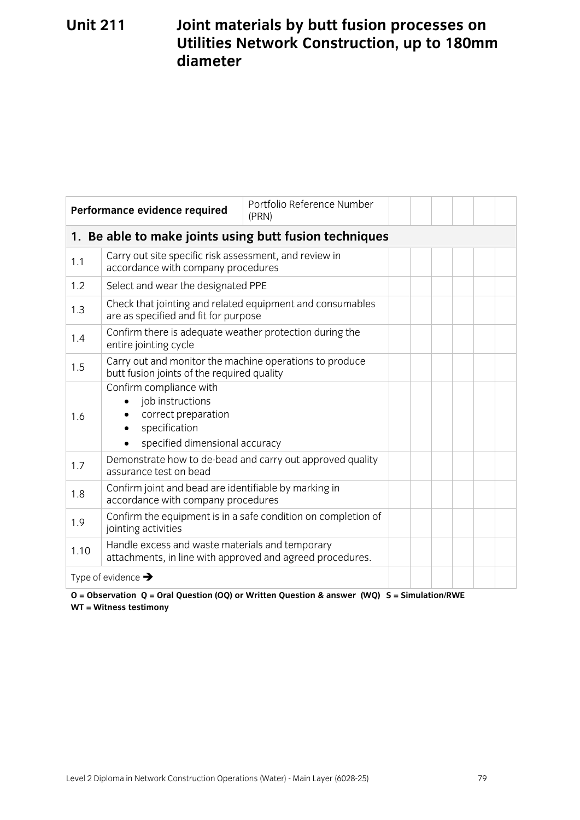# **Unit 211 Joint materials by butt fusion processes on Utilities Network Construction, up to 180mm diameter**

| Performance evidence required  |                                                                                                                       | Portfolio Reference Number<br>(PRN)                       |  |  |  |  |
|--------------------------------|-----------------------------------------------------------------------------------------------------------------------|-----------------------------------------------------------|--|--|--|--|
|                                |                                                                                                                       | 1. Be able to make joints using butt fusion techniques    |  |  |  |  |
| 1.1                            | Carry out site specific risk assessment, and review in<br>accordance with company procedures                          |                                                           |  |  |  |  |
| 1.2                            | Select and wear the designated PPE                                                                                    |                                                           |  |  |  |  |
| 1.3                            | Check that jointing and related equipment and consumables<br>are as specified and fit for purpose                     |                                                           |  |  |  |  |
| 1.4                            | Confirm there is adequate weather protection during the<br>entire jointing cycle                                      |                                                           |  |  |  |  |
| 1.5                            | Carry out and monitor the machine operations to produce<br>butt fusion joints of the required quality                 |                                                           |  |  |  |  |
| 1.6                            | Confirm compliance with<br>job instructions<br>correct preparation<br>specification<br>specified dimensional accuracy |                                                           |  |  |  |  |
| 1.7                            | assurance test on bead                                                                                                | Demonstrate how to de-bead and carry out approved quality |  |  |  |  |
| 1.8                            | Confirm joint and bead are identifiable by marking in<br>accordance with company procedures                           |                                                           |  |  |  |  |
| 1.9                            | Confirm the equipment is in a safe condition on completion of<br>jointing activities                                  |                                                           |  |  |  |  |
| 1.10                           | Handle excess and waste materials and temporary<br>attachments, in line with approved and agreed procedures.          |                                                           |  |  |  |  |
| Type of evidence $\rightarrow$ |                                                                                                                       |                                                           |  |  |  |  |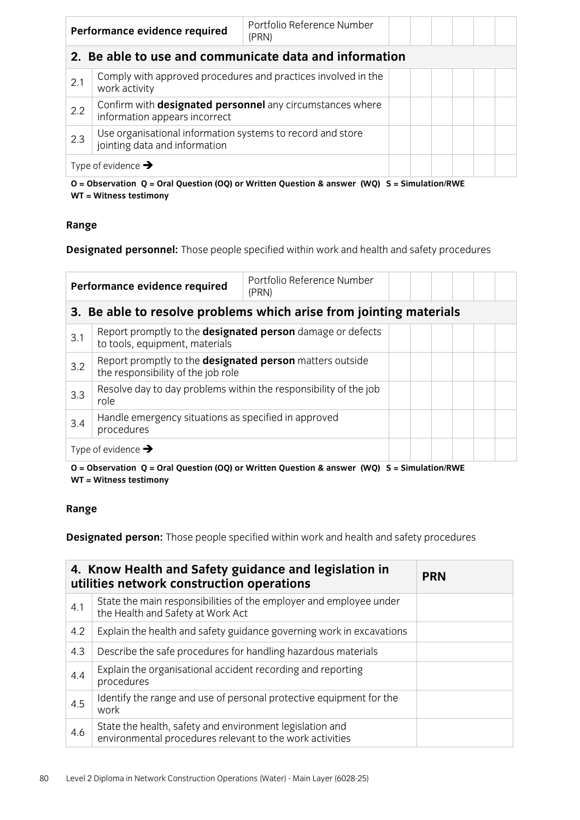| Performance evidence required |                                                                                             | Portfolio Reference Number<br>(PRN) |  |  |  |  |  |  |
|-------------------------------|---------------------------------------------------------------------------------------------|-------------------------------------|--|--|--|--|--|--|
|                               | 2. Be able to use and communicate data and information                                      |                                     |  |  |  |  |  |  |
| 2.1                           | Comply with approved procedures and practices involved in the<br>work activity              |                                     |  |  |  |  |  |  |
| 2.2                           | Confirm with designated personnel any circumstances where<br>information appears incorrect  |                                     |  |  |  |  |  |  |
| 2.3                           | Use organisational information systems to record and store<br>jointing data and information |                                     |  |  |  |  |  |  |
|                               | Type of evidence $\rightarrow$                                                              |                                     |  |  |  |  |  |  |

**O = Observation Q = Oral Question (OQ) or Written Question & answer (WQ) S = Simulation/RWE WT = Witness testimony**

### **Range**

**Designated personnel:** Those people specified within work and health and safety procedures

|     | Performance evidence required                                                                         | Portfolio Reference Number<br>(PRN) |  |  |  |  |  |  |
|-----|-------------------------------------------------------------------------------------------------------|-------------------------------------|--|--|--|--|--|--|
|     | 3. Be able to resolve problems which arise from jointing materials                                    |                                     |  |  |  |  |  |  |
| 3.1 | Report promptly to the <b>designated person</b> damage or defects<br>to tools, equipment, materials   |                                     |  |  |  |  |  |  |
| 3.2 | Report promptly to the <b>designated person</b> matters outside<br>the responsibility of the job role |                                     |  |  |  |  |  |  |
| 3.3 | Resolve day to day problems within the responsibility of the job<br>role                              |                                     |  |  |  |  |  |  |
| 3.4 | Handle emergency situations as specified in approved<br>procedures                                    |                                     |  |  |  |  |  |  |
|     | Type of evidence $\rightarrow$                                                                        |                                     |  |  |  |  |  |  |

**O = Observation Q = Oral Question (OQ) or Written Question & answer (WQ) S = Simulation/RWE WT = Witness testimony**

### **Range**

**Designated person:** Those people specified within work and health and safety procedures

|     | 4. Know Health and Safety guidance and legislation in<br>utilities network construction operations                   | <b>PRN</b> |
|-----|----------------------------------------------------------------------------------------------------------------------|------------|
| 4.1 | State the main responsibilities of the employer and employee under<br>the Health and Safety at Work Act              |            |
| 4.2 | Explain the health and safety guidance governing work in excavations                                                 |            |
| 4.3 | Describe the safe procedures for handling hazardous materials                                                        |            |
| 4.4 | Explain the organisational accident recording and reporting<br>procedures                                            |            |
| 4.5 | Identify the range and use of personal protective equipment for the<br>work                                          |            |
| 4.6 | State the health, safety and environment legislation and<br>environmental procedures relevant to the work activities |            |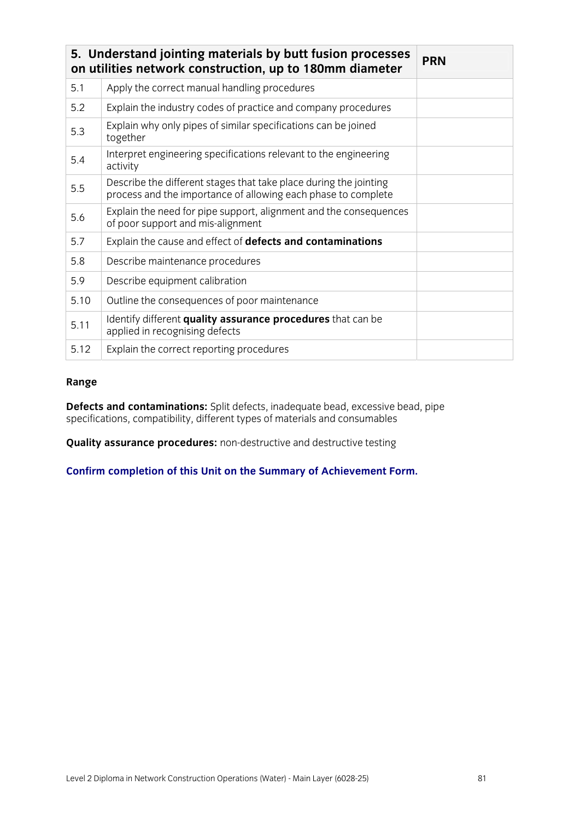|      | 5. Understand jointing materials by butt fusion processes<br>on utilities network construction, up to 180mm diameter               | <b>PRN</b> |
|------|------------------------------------------------------------------------------------------------------------------------------------|------------|
| 5.1  | Apply the correct manual handling procedures                                                                                       |            |
| 5.2  | Explain the industry codes of practice and company procedures                                                                      |            |
| 5.3  | Explain why only pipes of similar specifications can be joined<br>together                                                         |            |
| 5.4  | Interpret engineering specifications relevant to the engineering<br>activity                                                       |            |
| 5.5  | Describe the different stages that take place during the jointing<br>process and the importance of allowing each phase to complete |            |
| 5.6  | Explain the need for pipe support, alignment and the consequences<br>of poor support and mis-alignment                             |            |
| 5.7  | Explain the cause and effect of defects and contaminations                                                                         |            |
| 5.8  | Describe maintenance procedures                                                                                                    |            |
| 5.9  | Describe equipment calibration                                                                                                     |            |
| 5.10 | Outline the consequences of poor maintenance                                                                                       |            |
| 5.11 | Identify different quality assurance procedures that can be<br>applied in recognising defects                                      |            |
| 5.12 | Explain the correct reporting procedures                                                                                           |            |

**Defects and contaminations:** Split defects, inadequate bead, excessive bead, pipe specifications, compatibility, different types of materials and consumables

**Quality assurance procedures:** non-destructive and destructive testing

**Confirm completion of this Unit on the Summary of Achievement Form.**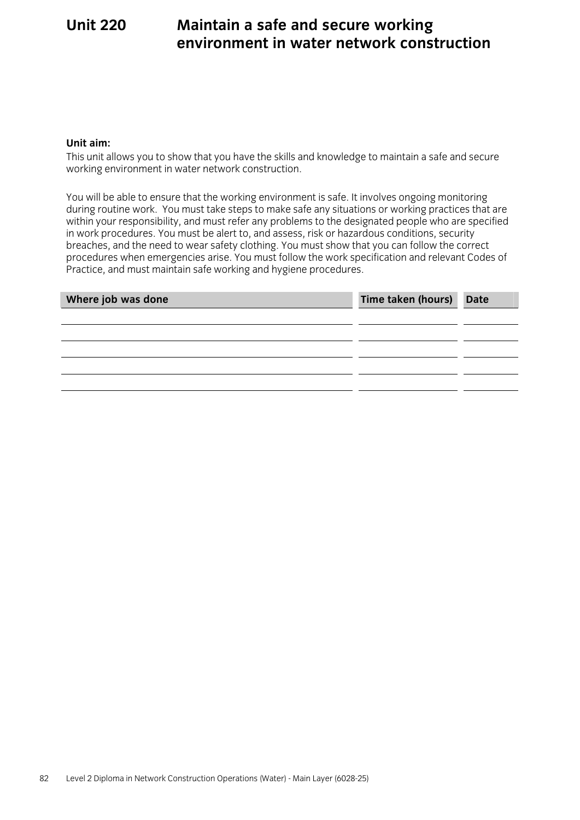# **Unit 220 Maintain a safe and secure working environment in water network construction**

#### **Unit aim:**

This unit allows you to show that you have the skills and knowledge to maintain a safe and secure working environment in water network construction.

You will be able to ensure that the working environment is safe. It involves ongoing monitoring during routine work. You must take steps to make safe any situations or working practices that are within your responsibility, and must refer any problems to the designated people who are specified in work procedures. You must be alert to, and assess, risk or hazardous conditions, security breaches, and the need to wear safety clothing. You must show that you can follow the correct procedures when emergencies arise. You must follow the work specification and relevant Codes of Practice, and must maintain safe working and hygiene procedures.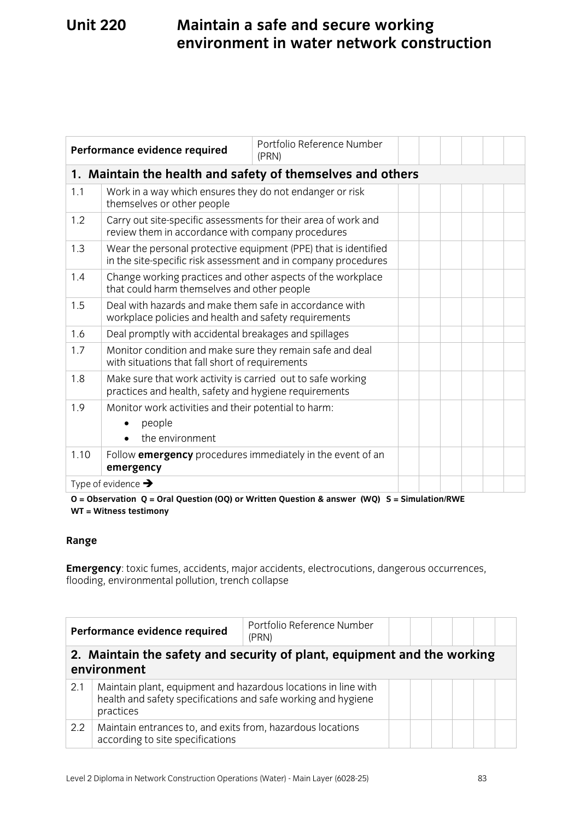# **Unit 220 Maintain a safe and secure working environment in water network construction**

|      | Performance evidence required                                                                                                     | Portfolio Reference Number<br>(PRN) |  |  |  |  |  |  |
|------|-----------------------------------------------------------------------------------------------------------------------------------|-------------------------------------|--|--|--|--|--|--|
|      | 1. Maintain the health and safety of themselves and others                                                                        |                                     |  |  |  |  |  |  |
| 1.1  | Work in a way which ensures they do not endanger or risk<br>themselves or other people                                            |                                     |  |  |  |  |  |  |
| 1.2  | Carry out site-specific assessments for their area of work and<br>review them in accordance with company procedures               |                                     |  |  |  |  |  |  |
| 1.3  | Wear the personal protective equipment (PPE) that is identified<br>in the site-specific risk assessment and in company procedures |                                     |  |  |  |  |  |  |
| 1.4  | Change working practices and other aspects of the workplace<br>that could harm themselves and other people                        |                                     |  |  |  |  |  |  |
| 1.5  | Deal with hazards and make them safe in accordance with<br>workplace policies and health and safety requirements                  |                                     |  |  |  |  |  |  |
| 1.6  | Deal promptly with accidental breakages and spillages                                                                             |                                     |  |  |  |  |  |  |
| 1.7  | Monitor condition and make sure they remain safe and deal<br>with situations that fall short of requirements                      |                                     |  |  |  |  |  |  |
| 1.8  | Make sure that work activity is carried out to safe working<br>practices and health, safety and hygiene requirements              |                                     |  |  |  |  |  |  |
| 1.9  | Monitor work activities and their potential to harm:<br>people                                                                    |                                     |  |  |  |  |  |  |
|      | the environment                                                                                                                   |                                     |  |  |  |  |  |  |
| 1.10 | Follow <b>emergency</b> procedures immediately in the event of an<br>emergency                                                    |                                     |  |  |  |  |  |  |
|      | Type of evidence $\rightarrow$                                                                                                    |                                     |  |  |  |  |  |  |

**O = Observation Q = Oral Question (OQ) or Written Question & answer (WQ) S = Simulation/RWE WT = Witness testimony**

## **Range**

**Emergency**: toxic fumes, accidents, major accidents, electrocutions, dangerous occurrences, flooding, environmental pollution, trench collapse

|     | Performance evidence required                                                                                                                | Portfolio Reference Number<br>(PRN) |  |  |  |  |  |  |
|-----|----------------------------------------------------------------------------------------------------------------------------------------------|-------------------------------------|--|--|--|--|--|--|
|     | 2. Maintain the safety and security of plant, equipment and the working<br>environment                                                       |                                     |  |  |  |  |  |  |
| 2.1 | Maintain plant, equipment and hazardous locations in line with<br>health and safety specifications and safe working and hygiene<br>practices |                                     |  |  |  |  |  |  |
| 2.2 | Maintain entrances to, and exits from, hazardous locations<br>according to site specifications                                               |                                     |  |  |  |  |  |  |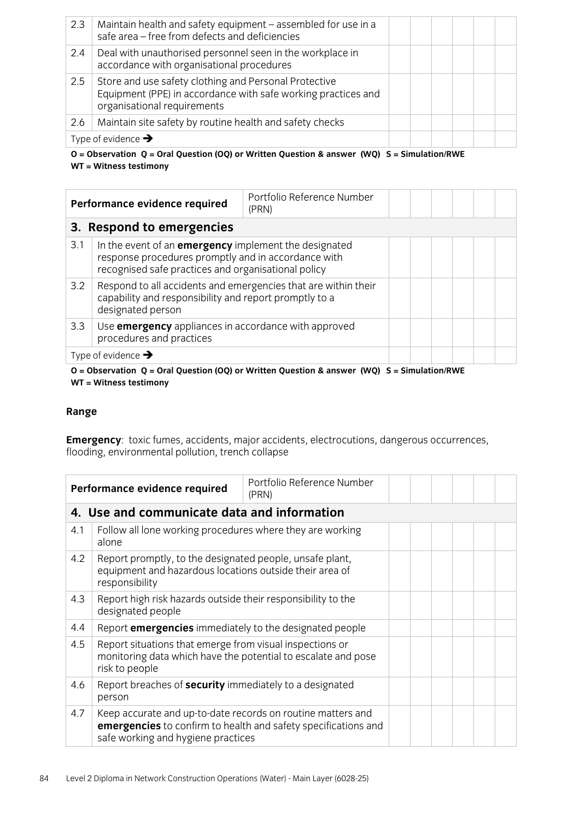| 2.3 | Maintain health and safety equipment - assembled for use in a<br>safe area - free from defects and deficiencies                                       |  |  |  |
|-----|-------------------------------------------------------------------------------------------------------------------------------------------------------|--|--|--|
| 2.4 | Deal with unauthorised personnel seen in the workplace in<br>accordance with organisational procedures                                                |  |  |  |
| 2.5 | Store and use safety clothing and Personal Protective<br>Equipment (PPE) in accordance with safe working practices and<br>organisational requirements |  |  |  |
| 2.6 | Maintain site safety by routine health and safety checks                                                                                              |  |  |  |
|     | Type of evidence $\rightarrow$                                                                                                                        |  |  |  |

**O = Observation Q = Oral Question (OQ) or Written Question & answer (WQ) S = Simulation/RWE WT = Witness testimony**

|     | Performance evidence required                                                                                                                                              | Portfolio Reference Number<br>(PRN) |  |  |  |  |  |  |  |
|-----|----------------------------------------------------------------------------------------------------------------------------------------------------------------------------|-------------------------------------|--|--|--|--|--|--|--|
|     | 3. Respond to emergencies                                                                                                                                                  |                                     |  |  |  |  |  |  |  |
| 3.1 | In the event of an <b>emergency</b> implement the designated<br>response procedures promptly and in accordance with<br>recognised safe practices and organisational policy |                                     |  |  |  |  |  |  |  |
| 3.2 | Respond to all accidents and emergencies that are within their<br>capability and responsibility and report promptly to a<br>designated person                              |                                     |  |  |  |  |  |  |  |
| 3.3 | Use <b>emergency</b> appliances in accordance with approved<br>procedures and practices                                                                                    |                                     |  |  |  |  |  |  |  |
|     | Type of evidence $\rightarrow$                                                                                                                                             |                                     |  |  |  |  |  |  |  |

**O = Observation Q = Oral Question (OQ) or Written Question & answer (WQ) S = Simulation/RWE WT = Witness testimony**

### **Range**

**Emergency**: toxic fumes, accidents, major accidents, electrocutions, dangerous occurrences, flooding, environmental pollution, trench collapse

|     | Performance evidence required                                                                                                                                       | Portfolio Reference Number<br>(PRN)                          |  |  |  |  |  |  |
|-----|---------------------------------------------------------------------------------------------------------------------------------------------------------------------|--------------------------------------------------------------|--|--|--|--|--|--|
|     | 4. Use and communicate data and information                                                                                                                         |                                                              |  |  |  |  |  |  |
| 4.1 | Follow all lone working procedures where they are working<br>alone                                                                                                  |                                                              |  |  |  |  |  |  |
| 4.2 | Report promptly, to the designated people, unsafe plant,<br>equipment and hazardous locations outside their area of<br>responsibility                               |                                                              |  |  |  |  |  |  |
| 4.3 | designated people                                                                                                                                                   | Report high risk hazards outside their responsibility to the |  |  |  |  |  |  |
| 4.4 | Report <b>emergencies</b> immediately to the designated people                                                                                                      |                                                              |  |  |  |  |  |  |
| 4.5 | Report situations that emerge from visual inspections or<br>monitoring data which have the potential to escalate and pose<br>risk to people                         |                                                              |  |  |  |  |  |  |
| 4.6 | Report breaches of <b>security</b> immediately to a designated<br>person                                                                                            |                                                              |  |  |  |  |  |  |
| 4.7 | Keep accurate and up-to-date records on routine matters and<br>emergencies to confirm to health and safety specifications and<br>safe working and hygiene practices |                                                              |  |  |  |  |  |  |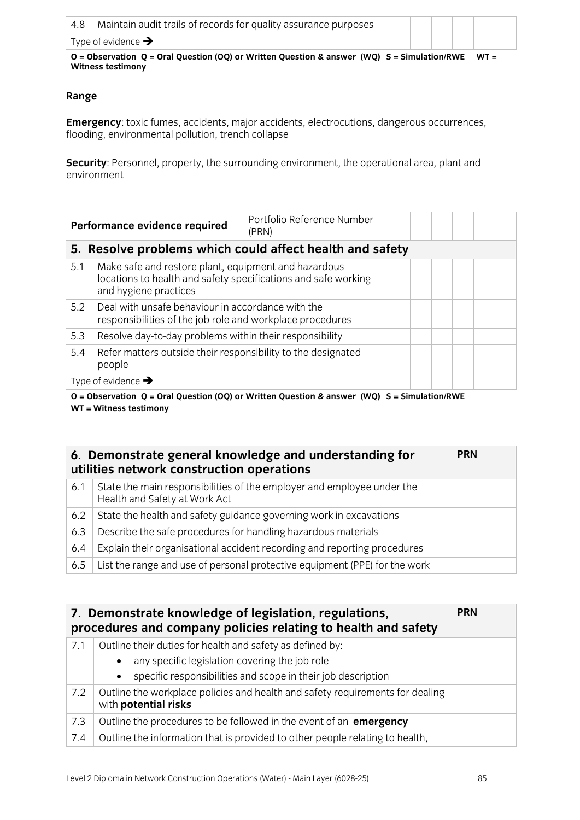| 4.8 | Maintain audit trails of records for quality assurance purposes |  |  |  |
|-----|-----------------------------------------------------------------|--|--|--|
|     | Type of evidence $\rightarrow$                                  |  |  |  |
|     |                                                                 |  |  |  |

**O = Observation Q = Oral Question (OQ) or Written Question & answer (WQ) S = Simulation/RWE WT = Witness testimony**

### **Range**

**Emergency**: toxic fumes, accidents, major accidents, electrocutions, dangerous occurrences, flooding, environmental pollution, trench collapse

**Security**: Personnel, property, the surrounding environment, the operational area, plant and environment

|     | Performance evidence required                                                                                                                   | Portfolio Reference Number<br>(PRN) |  |  |  |  |  |  |  |
|-----|-------------------------------------------------------------------------------------------------------------------------------------------------|-------------------------------------|--|--|--|--|--|--|--|
|     | 5. Resolve problems which could affect health and safety                                                                                        |                                     |  |  |  |  |  |  |  |
| 5.1 | Make safe and restore plant, equipment and hazardous<br>locations to health and safety specifications and safe working<br>and hygiene practices |                                     |  |  |  |  |  |  |  |
| 5.2 | Deal with unsafe behaviour in accordance with the<br>responsibilities of the job role and workplace procedures                                  |                                     |  |  |  |  |  |  |  |
| 5.3 | Resolve day-to-day problems within their responsibility                                                                                         |                                     |  |  |  |  |  |  |  |
| 5.4 | Refer matters outside their responsibility to the designated<br>people                                                                          |                                     |  |  |  |  |  |  |  |
|     | Type of evidence $\rightarrow$                                                                                                                  |                                     |  |  |  |  |  |  |  |

| 6. Demonstrate general knowledge and understanding for<br>utilities network construction operations |                                                                                                         |  |  |  |
|-----------------------------------------------------------------------------------------------------|---------------------------------------------------------------------------------------------------------|--|--|--|
| 6.1                                                                                                 | State the main responsibilities of the employer and employee under the<br>Health and Safety at Work Act |  |  |  |
| 6.2                                                                                                 | State the health and safety guidance governing work in excavations                                      |  |  |  |
| 6.3                                                                                                 | Describe the safe procedures for handling hazardous materials                                           |  |  |  |
| 6.4                                                                                                 | Explain their organisational accident recording and reporting procedures                                |  |  |  |
| 6.5                                                                                                 | List the range and use of personal protective equipment (PPE) for the work                              |  |  |  |

|     | 7. Demonstrate knowledge of legislation, regulations,<br>procedures and company policies relating to health and safety | <b>PRN</b> |
|-----|------------------------------------------------------------------------------------------------------------------------|------------|
| 7.1 | Outline their duties for health and safety as defined by:                                                              |            |
|     | any specific legislation covering the job role                                                                         |            |
|     | specific responsibilities and scope in their job description                                                           |            |
| 7.2 | Outline the workplace policies and health and safety requirements for dealing<br>with potential risks                  |            |
| 7.3 | Outline the procedures to be followed in the event of an emergency                                                     |            |
| 7.4 | Outline the information that is provided to other people relating to health,                                           |            |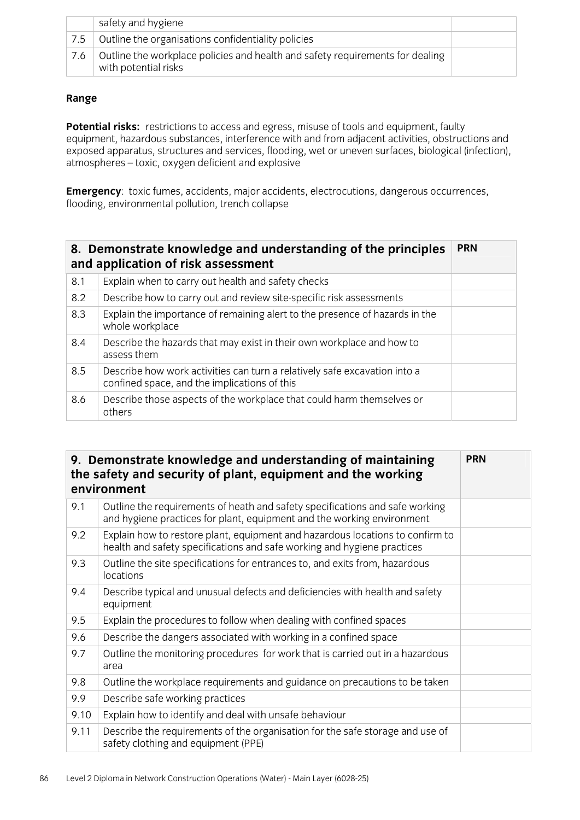|     | safety and hygiene                                                                                    |  |
|-----|-------------------------------------------------------------------------------------------------------|--|
| 7.5 | Outline the organisations confidentiality policies                                                    |  |
| 7.6 | Outline the workplace policies and health and safety requirements for dealing<br>with potential risks |  |

**Potential risks:** restrictions to access and egress, misuse of tools and equipment, faulty equipment, hazardous substances, interference with and from adjacent activities, obstructions and exposed apparatus, structures and services, flooding, wet or uneven surfaces, biological (infection), atmospheres – toxic, oxygen deficient and explosive

**Emergency**: toxic fumes, accidents, major accidents, electrocutions, dangerous occurrences, flooding, environmental pollution, trench collapse

| 8. Demonstrate knowledge and understanding of the principles<br>and application of risk assessment |                                                                                                                           |  |
|----------------------------------------------------------------------------------------------------|---------------------------------------------------------------------------------------------------------------------------|--|
| 8.1                                                                                                | Explain when to carry out health and safety checks                                                                        |  |
| 8.2                                                                                                | Describe how to carry out and review site-specific risk assessments                                                       |  |
| 8.3                                                                                                | Explain the importance of remaining alert to the presence of hazards in the<br>whole workplace                            |  |
| 8.4                                                                                                | Describe the hazards that may exist in their own workplace and how to<br>assess them                                      |  |
| 8.5                                                                                                | Describe how work activities can turn a relatively safe excavation into a<br>confined space, and the implications of this |  |
| 8.6                                                                                                | Describe those aspects of the workplace that could harm themselves or<br>others                                           |  |

#### **9. Demonstrate knowledge and understanding of maintaining the safety and security of plant, equipment and the working environment PRN**

| 9.1  | Outline the requirements of heath and safety specifications and safe working<br>and hygiene practices for plant, equipment and the working environment   |  |
|------|----------------------------------------------------------------------------------------------------------------------------------------------------------|--|
| 9.2  | Explain how to restore plant, equipment and hazardous locations to confirm to<br>health and safety specifications and safe working and hygiene practices |  |
| 9.3  | Outline the site specifications for entrances to, and exits from, hazardous<br>locations                                                                 |  |
| 9.4  | Describe typical and unusual defects and deficiencies with health and safety<br>equipment                                                                |  |
| 9.5  | Explain the procedures to follow when dealing with confined spaces                                                                                       |  |
| 9.6  | Describe the dangers associated with working in a confined space                                                                                         |  |
| 9.7  | Outline the monitoring procedures for work that is carried out in a hazardous<br>area                                                                    |  |
| 9.8  | Outline the workplace requirements and guidance on precautions to be taken                                                                               |  |
| 9.9  | Describe safe working practices                                                                                                                          |  |
| 9.10 | Explain how to identify and deal with unsafe behaviour                                                                                                   |  |
| 9.11 | Describe the requirements of the organisation for the safe storage and use of<br>safety clothing and equipment (PPE)                                     |  |
|      |                                                                                                                                                          |  |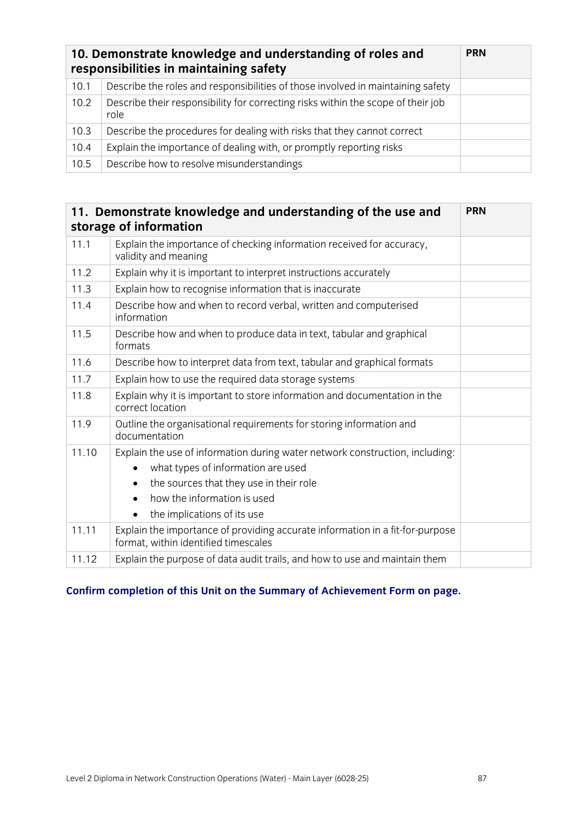| 10. Demonstrate knowledge and understanding of roles and<br>responsibilities in maintaining safety |                                                                                          | <b>PRN</b> |
|----------------------------------------------------------------------------------------------------|------------------------------------------------------------------------------------------|------------|
| 10.1                                                                                               | Describe the roles and responsibilities of those involved in maintaining safety          |            |
| 10.2                                                                                               | Describe their responsibility for correcting risks within the scope of their job<br>role |            |
| 10.3                                                                                               | Describe the procedures for dealing with risks that they cannot correct                  |            |
| 10.4                                                                                               | Explain the importance of dealing with, or promptly reporting risks                      |            |
| 10.5                                                                                               | Describe how to resolve misunderstandings                                                |            |

|       | 11. Demonstrate knowledge and understanding of the use and<br>storage of information                                  |  |  |
|-------|-----------------------------------------------------------------------------------------------------------------------|--|--|
| 11.1  | Explain the importance of checking information received for accuracy,<br>validity and meaning                         |  |  |
| 11.2  | Explain why it is important to interpret instructions accurately                                                      |  |  |
| 11.3  | Explain how to recognise information that is inaccurate                                                               |  |  |
| 11.4  | Describe how and when to record verbal, written and computerised<br>information                                       |  |  |
| 11.5  | Describe how and when to produce data in text, tabular and graphical<br>formats                                       |  |  |
| 11.6  | Describe how to interpret data from text, tabular and graphical formats                                               |  |  |
| 11.7  | Explain how to use the required data storage systems                                                                  |  |  |
| 11.8  | Explain why it is important to store information and documentation in the<br>correct location                         |  |  |
| 11.9  | Outline the organisational requirements for storing information and<br>documentation                                  |  |  |
| 11.10 | Explain the use of information during water network construction, including:                                          |  |  |
|       | what types of information are used<br>$\bullet$                                                                       |  |  |
|       | the sources that they use in their role<br>$\bullet$                                                                  |  |  |
|       | how the information is used                                                                                           |  |  |
|       | the implications of its use<br>$\bullet$                                                                              |  |  |
| 11.11 | Explain the importance of providing accurate information in a fit-for-purpose<br>format, within identified timescales |  |  |
| 11.12 | Explain the purpose of data audit trails, and how to use and maintain them                                            |  |  |

# **Confirm completion of this Unit on the Summary of Achievement Form on page.**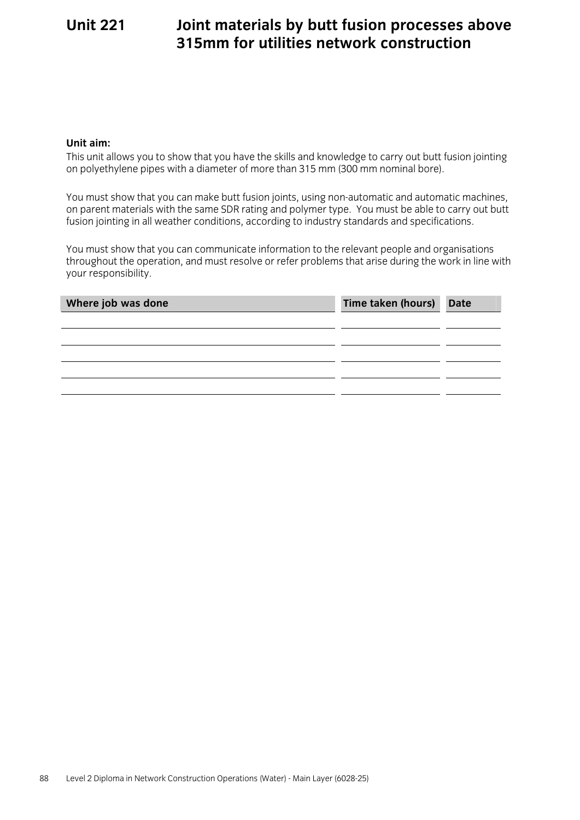# **Unit 221 Joint materials by butt fusion processes above 315mm for utilities network construction**

### **Unit aim:**

This unit allows you to show that you have the skills and knowledge to carry out butt fusion jointing on polyethylene pipes with a diameter of more than 315 mm (300 mm nominal bore).

You must show that you can make butt fusion joints, using non-automatic and automatic machines, on parent materials with the same SDR rating and polymer type. You must be able to carry out butt fusion jointing in all weather conditions, according to industry standards and specifications.

You must show that you can communicate information to the relevant people and organisations throughout the operation, and must resolve or refer problems that arise during the work in line with your responsibility.

| Where job was done | Time taken (hours) Date |  |
|--------------------|-------------------------|--|
|                    |                         |  |
|                    |                         |  |
|                    |                         |  |
|                    |                         |  |
|                    |                         |  |
|                    |                         |  |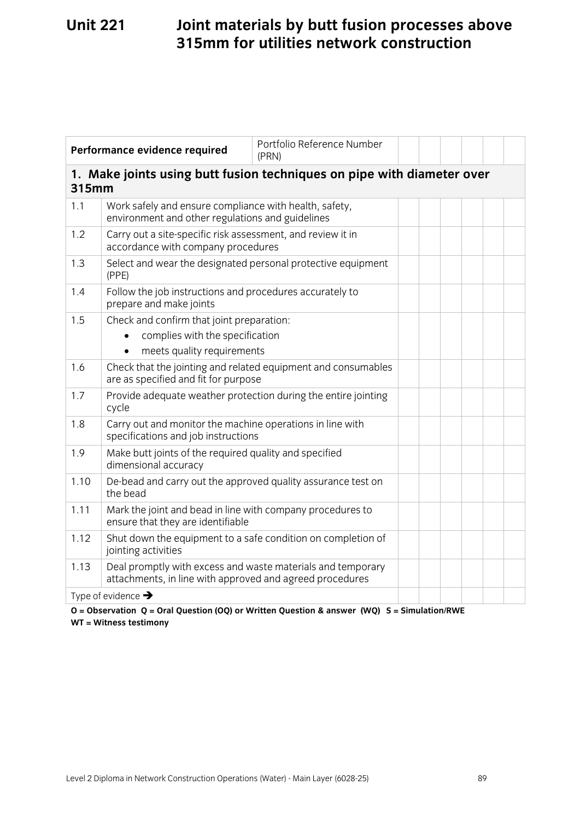# **Unit 221 Joint materials by butt fusion processes above 315mm for utilities network construction**

|      | Performance evidence required                                                                                                                    | Portfolio Reference Number<br>(PRN) |  |  |  |  |  |  |
|------|--------------------------------------------------------------------------------------------------------------------------------------------------|-------------------------------------|--|--|--|--|--|--|
|      | 1. Make joints using butt fusion techniques on pipe with diameter over<br>315mm                                                                  |                                     |  |  |  |  |  |  |
| 1.1  | Work safely and ensure compliance with health, safety,<br>environment and other regulations and guidelines                                       |                                     |  |  |  |  |  |  |
| 1.2  | Carry out a site-specific risk assessment, and review it in<br>accordance with company procedures                                                |                                     |  |  |  |  |  |  |
| 1.3  | Select and wear the designated personal protective equipment<br>(PPE)                                                                            |                                     |  |  |  |  |  |  |
| 1.4  | Follow the job instructions and procedures accurately to<br>prepare and make joints                                                              |                                     |  |  |  |  |  |  |
| 1.5  | Check and confirm that joint preparation:<br>complies with the specification<br>$\bullet$                                                        |                                     |  |  |  |  |  |  |
| 1.6  | meets quality requirements<br>$\bullet$<br>Check that the jointing and related equipment and consumables<br>are as specified and fit for purpose |                                     |  |  |  |  |  |  |
| 1.7  | Provide adequate weather protection during the entire jointing<br>cycle                                                                          |                                     |  |  |  |  |  |  |
| 1.8  | Carry out and monitor the machine operations in line with<br>specifications and job instructions                                                 |                                     |  |  |  |  |  |  |
| 1.9  | Make butt joints of the required quality and specified<br>dimensional accuracy                                                                   |                                     |  |  |  |  |  |  |
| 1.10 | De-bead and carry out the approved quality assurance test on<br>the bead                                                                         |                                     |  |  |  |  |  |  |
| 1.11 | Mark the joint and bead in line with company procedures to<br>ensure that they are identifiable                                                  |                                     |  |  |  |  |  |  |
| 1.12 | Shut down the equipment to a safe condition on completion of<br>jointing activities                                                              |                                     |  |  |  |  |  |  |
| 1.13 | Deal promptly with excess and waste materials and temporary<br>attachments, in line with approved and agreed procedures                          |                                     |  |  |  |  |  |  |
|      | Type of evidence $\rightarrow$                                                                                                                   |                                     |  |  |  |  |  |  |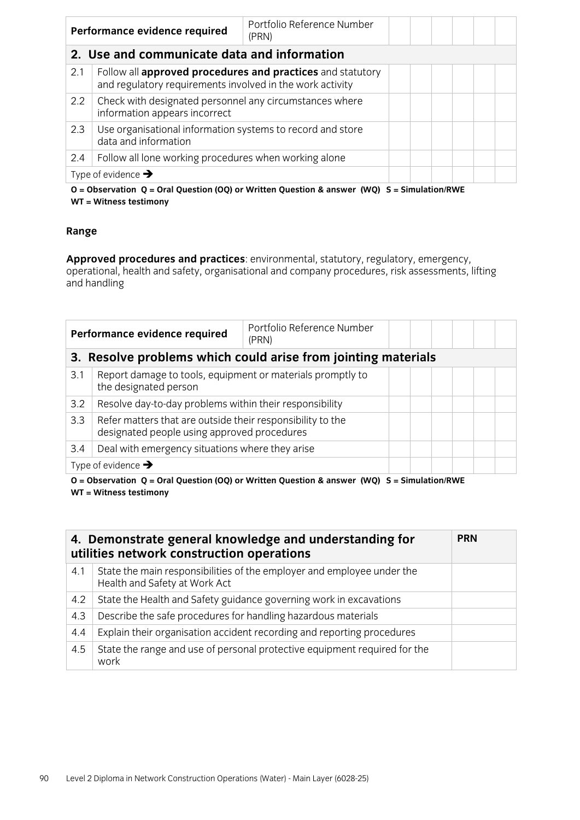| Performance evidence required                                                                                                  |                                                                                          | Portfolio Reference Number<br>(PRN) |  |  |  |  |
|--------------------------------------------------------------------------------------------------------------------------------|------------------------------------------------------------------------------------------|-------------------------------------|--|--|--|--|
|                                                                                                                                | 2. Use and communicate data and information                                              |                                     |  |  |  |  |
| 2.1<br>Follow all approved procedures and practices and statutory<br>and regulatory requirements involved in the work activity |                                                                                          |                                     |  |  |  |  |
| 2.2                                                                                                                            | Check with designated personnel any circumstances where<br>information appears incorrect |                                     |  |  |  |  |
| 2.3                                                                                                                            | Use organisational information systems to record and store<br>data and information       |                                     |  |  |  |  |
| 2.4                                                                                                                            | Follow all lone working procedures when working alone                                    |                                     |  |  |  |  |
|                                                                                                                                | Type of evidence $\rightarrow$                                                           |                                     |  |  |  |  |

**O = Observation Q = Oral Question (OQ) or Written Question & answer (WQ) S = Simulation/RWE WT = Witness testimony**

## **Range**

**Approved procedures and practices**: environmental, statutory, regulatory, emergency, operational, health and safety, organisational and company procedures, risk assessments, lifting and handling

|                                                        | Performance evidence required                                                                             | Portfolio Reference Number<br>(PRN) |  |  |  |  |  |
|--------------------------------------------------------|-----------------------------------------------------------------------------------------------------------|-------------------------------------|--|--|--|--|--|
|                                                        | 3. Resolve problems which could arise from jointing materials                                             |                                     |  |  |  |  |  |
| 3.1                                                    | Report damage to tools, equipment or materials promptly to<br>the designated person                       |                                     |  |  |  |  |  |
| 3.2                                                    | Resolve day-to-day problems within their responsibility                                                   |                                     |  |  |  |  |  |
| 3.3                                                    | Refer matters that are outside their responsibility to the<br>designated people using approved procedures |                                     |  |  |  |  |  |
| Deal with emergency situations where they arise<br>3.4 |                                                                                                           |                                     |  |  |  |  |  |
|                                                        | Type of evidence $\rightarrow$                                                                            |                                     |  |  |  |  |  |

|     | 4. Demonstrate general knowledge and understanding for<br>utilities network construction operations     | <b>PRN</b> |
|-----|---------------------------------------------------------------------------------------------------------|------------|
| 4.1 | State the main responsibilities of the employer and employee under the<br>Health and Safety at Work Act |            |
| 4.2 | State the Health and Safety guidance governing work in excavations                                      |            |
| 4.3 | Describe the safe procedures for handling hazardous materials                                           |            |
| 4.4 | Explain their organisation accident recording and reporting procedures                                  |            |
| 4.5 | State the range and use of personal protective equipment required for the<br>work                       |            |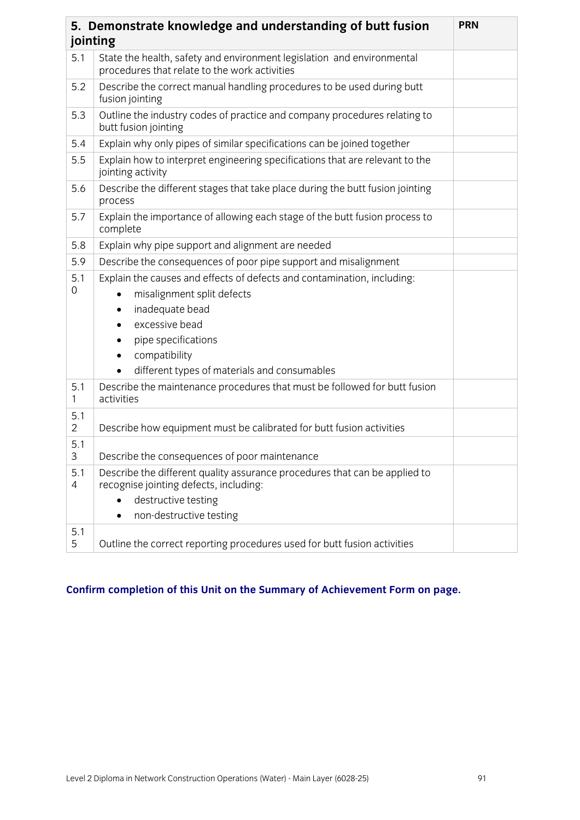|                       | 5. Demonstrate knowledge and understanding of butt fusion<br>jointing                                                   | <b>PRN</b> |
|-----------------------|-------------------------------------------------------------------------------------------------------------------------|------------|
| 5.1                   | State the health, safety and environment legislation and environmental<br>procedures that relate to the work activities |            |
| 5.2                   | Describe the correct manual handling procedures to be used during butt<br>fusion jointing                               |            |
| 5.3                   | Outline the industry codes of practice and company procedures relating to<br>butt fusion jointing                       |            |
| 5.4                   | Explain why only pipes of similar specifications can be joined together                                                 |            |
| 5.5                   | Explain how to interpret engineering specifications that are relevant to the<br>jointing activity                       |            |
| 5.6                   | Describe the different stages that take place during the butt fusion jointing<br>process                                |            |
| 5.7                   | Explain the importance of allowing each stage of the butt fusion process to<br>complete                                 |            |
| 5.8                   | Explain why pipe support and alignment are needed                                                                       |            |
| 5.9                   | Describe the consequences of poor pipe support and misalignment                                                         |            |
| 5.1                   | Explain the causes and effects of defects and contamination, including:                                                 |            |
| $\overline{0}$        | misalignment split defects<br>$\bullet$                                                                                 |            |
|                       | inadequate bead<br>٠                                                                                                    |            |
|                       | excessive bead<br>$\bullet$                                                                                             |            |
|                       | pipe specifications<br>$\bullet$                                                                                        |            |
|                       | compatibility<br>٠                                                                                                      |            |
|                       | different types of materials and consumables                                                                            |            |
| 5.1<br>1              | Describe the maintenance procedures that must be followed for butt fusion<br>activities                                 |            |
| 5.1<br>$\overline{2}$ | Describe how equipment must be calibrated for butt fusion activities                                                    |            |
| 5.1<br>3              | Describe the consequences of poor maintenance                                                                           |            |
| 5.1<br>$\overline{4}$ | Describe the different quality assurance procedures that can be applied to<br>recognise jointing defects, including:    |            |
|                       | destructive testing                                                                                                     |            |
|                       | non-destructive testing                                                                                                 |            |
| 5.1<br>5              | Outline the correct reporting procedures used for butt fusion activities                                                |            |

# **Confirm completion of this Unit on the Summary of Achievement Form on page.**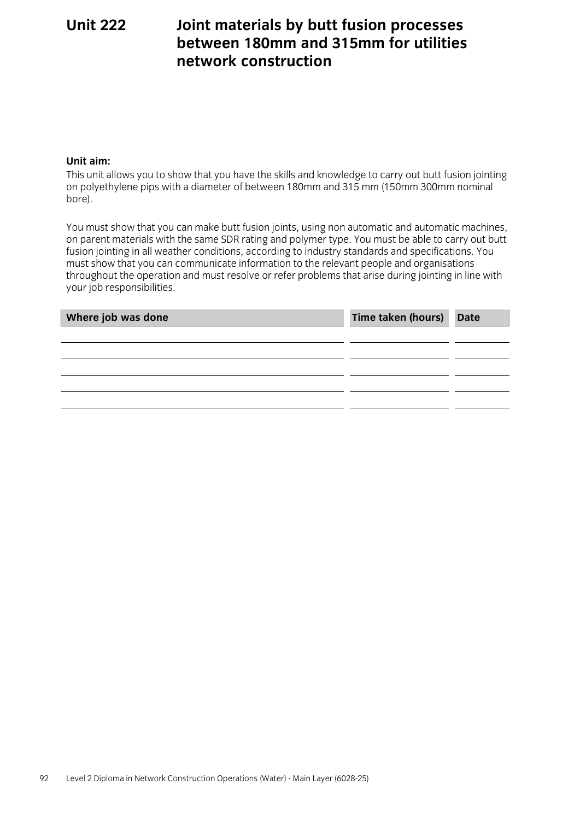# **Unit 222 Joint materials by butt fusion processes between 180mm and 315mm for utilities network construction**

#### **Unit aim:**

This unit allows you to show that you have the skills and knowledge to carry out butt fusion jointing on polyethylene pips with a diameter of between 180mm and 315 mm (150mm 300mm nominal bore).

You must show that you can make butt fusion joints, using non automatic and automatic machines, on parent materials with the same SDR rating and polymer type. You must be able to carry out butt fusion jointing in all weather conditions, according to industry standards and specifications. You must show that you can communicate information to the relevant people and organisations throughout the operation and must resolve or refer problems that arise during jointing in line with your job responsibilities.

| Where job was done | Time taken (hours) Date |  |
|--------------------|-------------------------|--|
|                    |                         |  |
|                    |                         |  |
|                    |                         |  |
|                    |                         |  |
|                    |                         |  |
|                    |                         |  |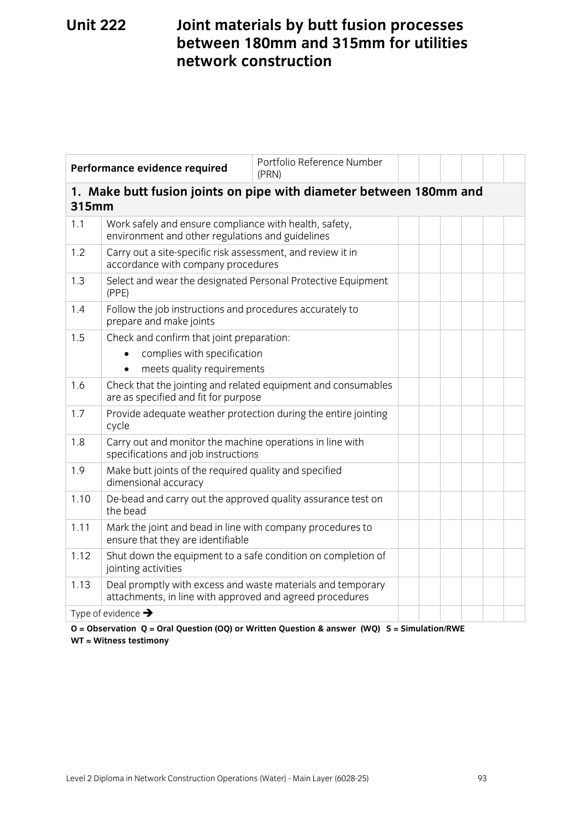# **Unit 222 Joint materials by butt fusion processes between 180mm and 315mm for utilities network construction**

|                                                                             | Performance evidence required                                                                                                    | Portfolio Reference Number<br>(PRN) |  |  |  |  |  |
|-----------------------------------------------------------------------------|----------------------------------------------------------------------------------------------------------------------------------|-------------------------------------|--|--|--|--|--|
| 1. Make butt fusion joints on pipe with diameter between 180mm and<br>315mm |                                                                                                                                  |                                     |  |  |  |  |  |
| 1.1                                                                         | Work safely and ensure compliance with health, safety,<br>environment and other regulations and guidelines                       |                                     |  |  |  |  |  |
| 1.2                                                                         | Carry out a site-specific risk assessment, and review it in<br>accordance with company procedures                                |                                     |  |  |  |  |  |
| 1.3                                                                         | Select and wear the designated Personal Protective Equipment<br>(PPE)                                                            |                                     |  |  |  |  |  |
| 1.4                                                                         | Follow the job instructions and procedures accurately to<br>prepare and make joints                                              |                                     |  |  |  |  |  |
| 1.5                                                                         | Check and confirm that joint preparation:<br>complies with specification<br>$\bullet$<br>meets quality requirements<br>$\bullet$ |                                     |  |  |  |  |  |
| 1.6                                                                         | Check that the jointing and related equipment and consumables<br>are as specified and fit for purpose                            |                                     |  |  |  |  |  |
| 1.7                                                                         | Provide adequate weather protection during the entire jointing<br>cycle                                                          |                                     |  |  |  |  |  |
| 1.8                                                                         | Carry out and monitor the machine operations in line with<br>specifications and job instructions                                 |                                     |  |  |  |  |  |
| 1.9                                                                         | Make butt joints of the required quality and specified<br>dimensional accuracy                                                   |                                     |  |  |  |  |  |
| 1.10                                                                        | De-bead and carry out the approved quality assurance test on<br>the bead                                                         |                                     |  |  |  |  |  |
| 1.11                                                                        | Mark the joint and bead in line with company procedures to<br>ensure that they are identifiable                                  |                                     |  |  |  |  |  |
| 1.12                                                                        | Shut down the equipment to a safe condition on completion of<br>jointing activities                                              |                                     |  |  |  |  |  |
| 1.13                                                                        | Deal promptly with excess and waste materials and temporary<br>attachments, in line with approved and agreed procedures          |                                     |  |  |  |  |  |
| Type of evidence $\rightarrow$                                              |                                                                                                                                  |                                     |  |  |  |  |  |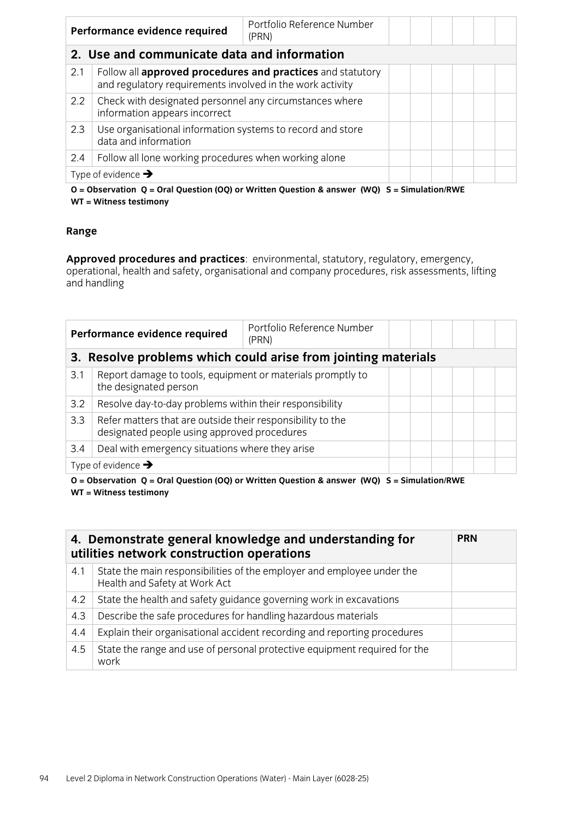| Performance evidence required  |                                                                                                                                | Portfolio Reference Number<br>(PRN) |  |  |  |  |
|--------------------------------|--------------------------------------------------------------------------------------------------------------------------------|-------------------------------------|--|--|--|--|
|                                | 2. Use and communicate data and information                                                                                    |                                     |  |  |  |  |
| 2.1                            | Follow all <b>approved procedures and practices</b> and statutory<br>and regulatory requirements involved in the work activity |                                     |  |  |  |  |
| 2.2                            | Check with designated personnel any circumstances where<br>information appears incorrect                                       |                                     |  |  |  |  |
| 2.3                            | Use organisational information systems to record and store<br>data and information                                             |                                     |  |  |  |  |
| 2.4                            | Follow all lone working procedures when working alone                                                                          |                                     |  |  |  |  |
| Type of evidence $\rightarrow$ |                                                                                                                                |                                     |  |  |  |  |

**O = Observation Q = Oral Question (OQ) or Written Question & answer (WQ) S = Simulation/RWE WT = Witness testimony**

## **Range**

**Approved procedures and practices**: environmental, statutory, regulatory, emergency, operational, health and safety, organisational and company procedures, risk assessments, lifting and handling

|                                | Performance evidence required                                                       | Portfolio Reference Number<br>(PRN)                                                                       |  |  |  |  |  |  |
|--------------------------------|-------------------------------------------------------------------------------------|-----------------------------------------------------------------------------------------------------------|--|--|--|--|--|--|
|                                | 3. Resolve problems which could arise from jointing materials                       |                                                                                                           |  |  |  |  |  |  |
| 3.1                            | Report damage to tools, equipment or materials promptly to<br>the designated person |                                                                                                           |  |  |  |  |  |  |
| 3.2                            | Resolve day-to-day problems within their responsibility                             |                                                                                                           |  |  |  |  |  |  |
| 3.3                            |                                                                                     | Refer matters that are outside their responsibility to the<br>designated people using approved procedures |  |  |  |  |  |  |
| 3.4                            | Deal with emergency situations where they arise                                     |                                                                                                           |  |  |  |  |  |  |
| Type of evidence $\rightarrow$ |                                                                                     |                                                                                                           |  |  |  |  |  |  |

|     | 4. Demonstrate general knowledge and understanding for<br>utilities network construction operations     | <b>PRN</b> |
|-----|---------------------------------------------------------------------------------------------------------|------------|
| 4.1 | State the main responsibilities of the employer and employee under the<br>Health and Safety at Work Act |            |
| 4.2 | State the health and safety guidance governing work in excavations                                      |            |
| 4.3 | Describe the safe procedures for handling hazardous materials                                           |            |
| 4.4 | Explain their organisational accident recording and reporting procedures                                |            |
| 4.5 | State the range and use of personal protective equipment required for the<br>work                       |            |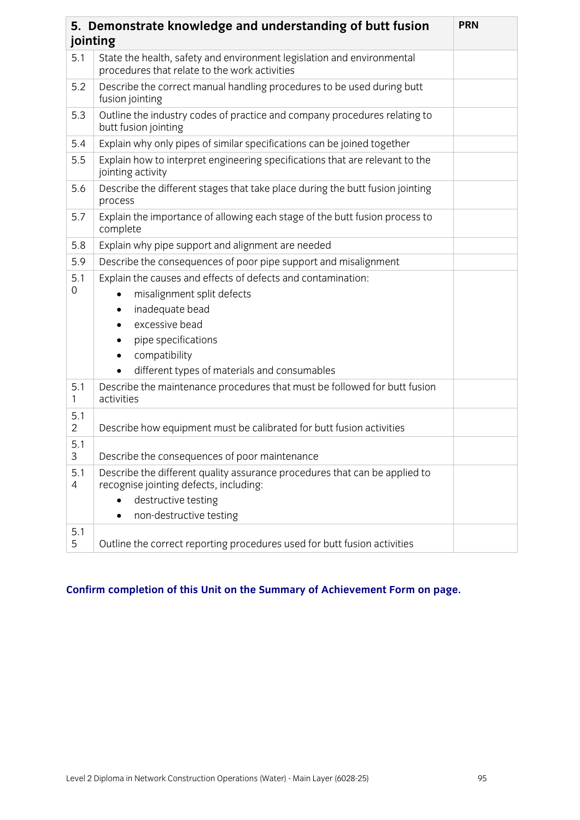|                       | 5. Demonstrate knowledge and understanding of butt fusion<br>jointing                                                   | <b>PRN</b> |
|-----------------------|-------------------------------------------------------------------------------------------------------------------------|------------|
| 5.1                   | State the health, safety and environment legislation and environmental<br>procedures that relate to the work activities |            |
| 5.2                   | Describe the correct manual handling procedures to be used during butt<br>fusion jointing                               |            |
| 5.3                   | Outline the industry codes of practice and company procedures relating to<br>butt fusion jointing                       |            |
| 5.4                   | Explain why only pipes of similar specifications can be joined together                                                 |            |
| 5.5                   | Explain how to interpret engineering specifications that are relevant to the<br>jointing activity                       |            |
| 5.6                   | Describe the different stages that take place during the butt fusion jointing<br>process                                |            |
| 5.7                   | Explain the importance of allowing each stage of the butt fusion process to<br>complete                                 |            |
| 5.8                   | Explain why pipe support and alignment are needed                                                                       |            |
| 5.9                   | Describe the consequences of poor pipe support and misalignment                                                         |            |
| 5.1                   | Explain the causes and effects of defects and contamination:                                                            |            |
| $\overline{0}$        | misalignment split defects<br>$\bullet$                                                                                 |            |
|                       | inadequate bead<br>٠                                                                                                    |            |
|                       | excessive bead<br>$\bullet$                                                                                             |            |
|                       | pipe specifications<br>٠                                                                                                |            |
|                       | compatibility<br>٠                                                                                                      |            |
|                       | different types of materials and consumables                                                                            |            |
| 5.1<br>1              | Describe the maintenance procedures that must be followed for butt fusion<br>activities                                 |            |
| 5.1<br>$\overline{2}$ | Describe how equipment must be calibrated for butt fusion activities                                                    |            |
| 5.1<br>3              | Describe the consequences of poor maintenance                                                                           |            |
| 5.1<br>$\overline{4}$ | Describe the different quality assurance procedures that can be applied to<br>recognise jointing defects, including:    |            |
|                       | destructive testing                                                                                                     |            |
|                       | non-destructive testing                                                                                                 |            |
| 5.1<br>5              | Outline the correct reporting procedures used for butt fusion activities                                                |            |

# **Confirm completion of this Unit on the Summary of Achievement Form on page.**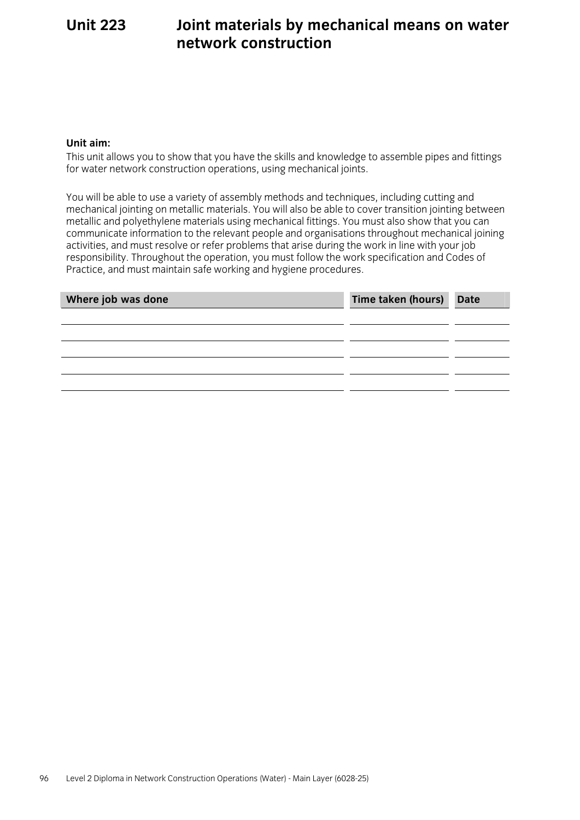# **Unit 223 Joint materials by mechanical means on water network construction**

### **Unit aim:**

This unit allows you to show that you have the skills and knowledge to assemble pipes and fittings for water network construction operations, using mechanical joints.

You will be able to use a variety of assembly methods and techniques, including cutting and mechanical jointing on metallic materials. You will also be able to cover transition jointing between metallic and polyethylene materials using mechanical fittings. You must also show that you can communicate information to the relevant people and organisations throughout mechanical joining activities, and must resolve or refer problems that arise during the work in line with your job responsibility. Throughout the operation, you must follow the work specification and Codes of Practice, and must maintain safe working and hygiene procedures.

| Where job was done | Time taken (hours) Date |  |
|--------------------|-------------------------|--|
|                    |                         |  |
|                    |                         |  |
|                    |                         |  |
|                    |                         |  |
|                    |                         |  |
|                    |                         |  |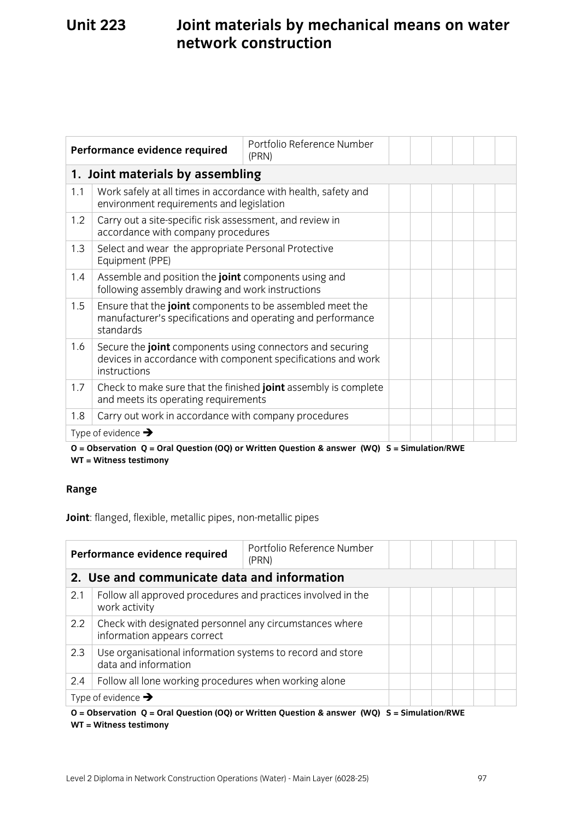# **Unit 223 Joint materials by mechanical means on water network construction**

| Performance evidence required  |                                                                                                                                           | Portfolio Reference Number<br>(PRN) |  |  |  |  |
|--------------------------------|-------------------------------------------------------------------------------------------------------------------------------------------|-------------------------------------|--|--|--|--|
|                                | 1. Joint materials by assembling                                                                                                          |                                     |  |  |  |  |
| 1.1                            | Work safely at all times in accordance with health, safety and<br>environment requirements and legislation                                |                                     |  |  |  |  |
| 1.2                            | Carry out a site-specific risk assessment, and review in<br>accordance with company procedures                                            |                                     |  |  |  |  |
| 1.3                            | Select and wear the appropriate Personal Protective<br>Equipment (PPE)                                                                    |                                     |  |  |  |  |
| 1.4                            | Assemble and position the joint components using and<br>following assembly drawing and work instructions                                  |                                     |  |  |  |  |
| 1.5                            | Ensure that the joint components to be assembled meet the<br>manufacturer's specifications and operating and performance<br>standards     |                                     |  |  |  |  |
| 1.6                            | Secure the joint components using connectors and securing<br>devices in accordance with component specifications and work<br>instructions |                                     |  |  |  |  |
| 1.7                            | Check to make sure that the finished joint assembly is complete<br>and meets its operating requirements                                   |                                     |  |  |  |  |
| 1.8                            | Carry out work in accordance with company procedures                                                                                      |                                     |  |  |  |  |
| Type of evidence $\rightarrow$ |                                                                                                                                           |                                     |  |  |  |  |

**O = Observation Q = Oral Question (OQ) or Written Question & answer (WQ) S = Simulation/RWE WT = Witness testimony**

### **Range**

**Joint**: flanged, flexible, metallic pipes, non-metallic pipes

|     | Performance evidence required                                                          | Portfolio Reference Number<br>(PRN) |  |  |  |  |  |  |
|-----|----------------------------------------------------------------------------------------|-------------------------------------|--|--|--|--|--|--|
|     | 2. Use and communicate data and information                                            |                                     |  |  |  |  |  |  |
| 2.1 | Follow all approved procedures and practices involved in the<br>work activity          |                                     |  |  |  |  |  |  |
| 2.2 | Check with designated personnel any circumstances where<br>information appears correct |                                     |  |  |  |  |  |  |
| 2.3 | Use organisational information systems to record and store<br>data and information     |                                     |  |  |  |  |  |  |
| 2.4 | Follow all lone working procedures when working alone                                  |                                     |  |  |  |  |  |  |
|     | Type of evidence $\rightarrow$                                                         |                                     |  |  |  |  |  |  |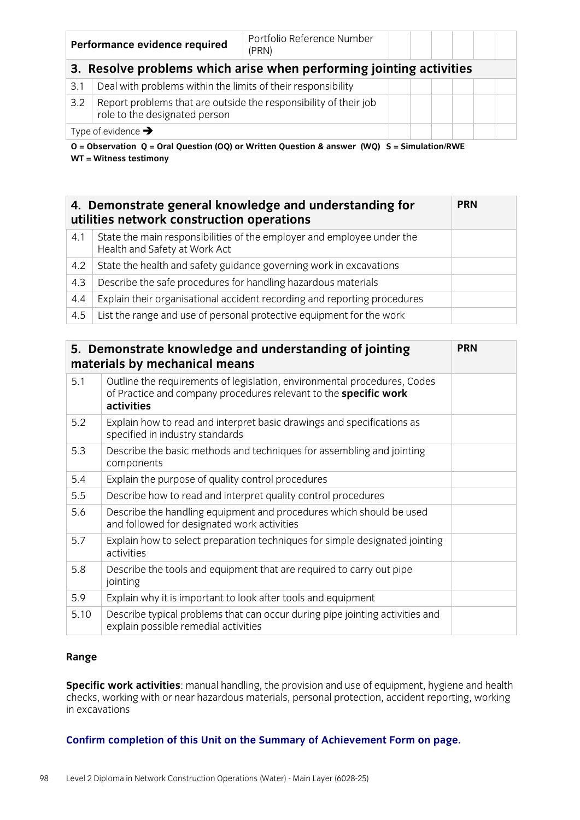|                                | Performance evidence required                                                                     | Portfolio Reference Number<br>(PRN) |  |  |  |  |  |  |
|--------------------------------|---------------------------------------------------------------------------------------------------|-------------------------------------|--|--|--|--|--|--|
|                                | 3. Resolve problems which arise when performing jointing activities                               |                                     |  |  |  |  |  |  |
| 3.1                            | Deal with problems within the limits of their responsibility                                      |                                     |  |  |  |  |  |  |
| 3.2                            | Report problems that are outside the responsibility of their job<br>role to the designated person |                                     |  |  |  |  |  |  |
| Type of evidence $\rightarrow$ |                                                                                                   |                                     |  |  |  |  |  |  |

**O = Observation Q = Oral Question (OQ) or Written Question & answer (WQ) S = Simulation/RWE WT = Witness testimony**

| 4. Demonstrate general knowledge and understanding for<br>utilities network construction operations |                                                                                                         |  |
|-----------------------------------------------------------------------------------------------------|---------------------------------------------------------------------------------------------------------|--|
| 4.1                                                                                                 | State the main responsibilities of the employer and employee under the<br>Health and Safety at Work Act |  |
| 4.2                                                                                                 | State the health and safety guidance governing work in excavations                                      |  |
| 4.3                                                                                                 | Describe the safe procedures for handling hazardous materials                                           |  |
| 4.4                                                                                                 | Explain their organisational accident recording and reporting procedures                                |  |
| 4.5                                                                                                 | List the range and use of personal protective equipment for the work                                    |  |

|      | 5. Demonstrate knowledge and understanding of jointing<br>materials by mechanical means                                                                    |  |  |  |  |
|------|------------------------------------------------------------------------------------------------------------------------------------------------------------|--|--|--|--|
| 5.1  | Outline the requirements of legislation, environmental procedures, Codes<br>of Practice and company procedures relevant to the specific work<br>activities |  |  |  |  |
| 5.2  | Explain how to read and interpret basic drawings and specifications as<br>specified in industry standards                                                  |  |  |  |  |
| 5.3  | Describe the basic methods and techniques for assembling and jointing<br>components                                                                        |  |  |  |  |
| 5.4  | Explain the purpose of quality control procedures                                                                                                          |  |  |  |  |
| 5.5  | Describe how to read and interpret quality control procedures                                                                                              |  |  |  |  |
| 5.6  | Describe the handling equipment and procedures which should be used<br>and followed for designated work activities                                         |  |  |  |  |
| 5.7  | Explain how to select preparation techniques for simple designated jointing<br>activities                                                                  |  |  |  |  |
| 5.8  | Describe the tools and equipment that are required to carry out pipe<br>jointing                                                                           |  |  |  |  |
| 5.9  | Explain why it is important to look after tools and equipment                                                                                              |  |  |  |  |
| 5.10 | Describe typical problems that can occur during pipe jointing activities and<br>explain possible remedial activities                                       |  |  |  |  |

### **Range**

**Specific work activities**: manual handling, the provision and use of equipment, hygiene and health checks, working with or near hazardous materials, personal protection, accident reporting, working in excavations

### **Confirm completion of this Unit on the Summary of Achievement Form on page.**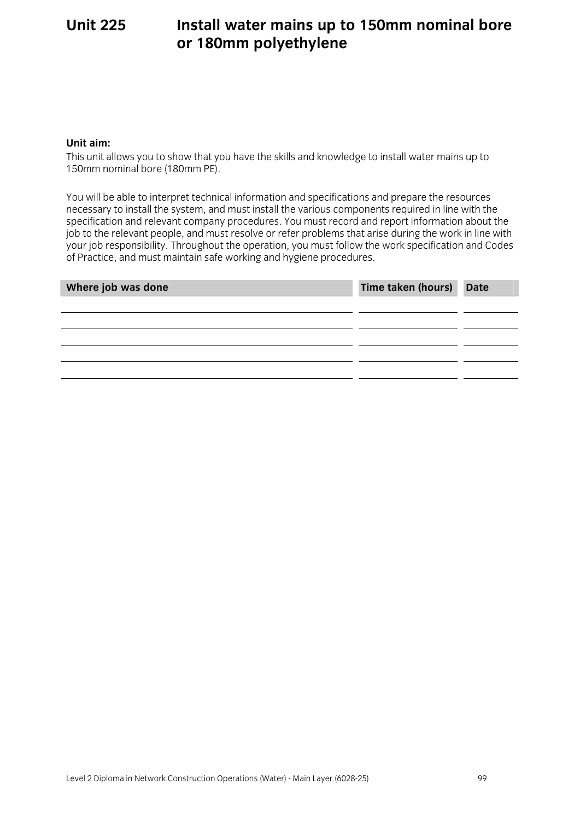# **Unit 225 Install water mains up to 150mm nominal bore or 180mm polyethylene**

#### **Unit aim:**

This unit allows you to show that you have the skills and knowledge to install water mains up to 150mm nominal bore (180mm PE).

You will be able to interpret technical information and specifications and prepare the resources necessary to install the system, and must install the various components required in line with the specification and relevant company procedures. You must record and report information about the job to the relevant people, and must resolve or refer problems that arise during the work in line with your job responsibility. Throughout the operation, you must follow the work specification and Codes of Practice, and must maintain safe working and hygiene procedures.

| Where job was done | Time taken (hours) Date |  |
|--------------------|-------------------------|--|
|                    |                         |  |
|                    |                         |  |
|                    |                         |  |
|                    |                         |  |
|                    |                         |  |
|                    |                         |  |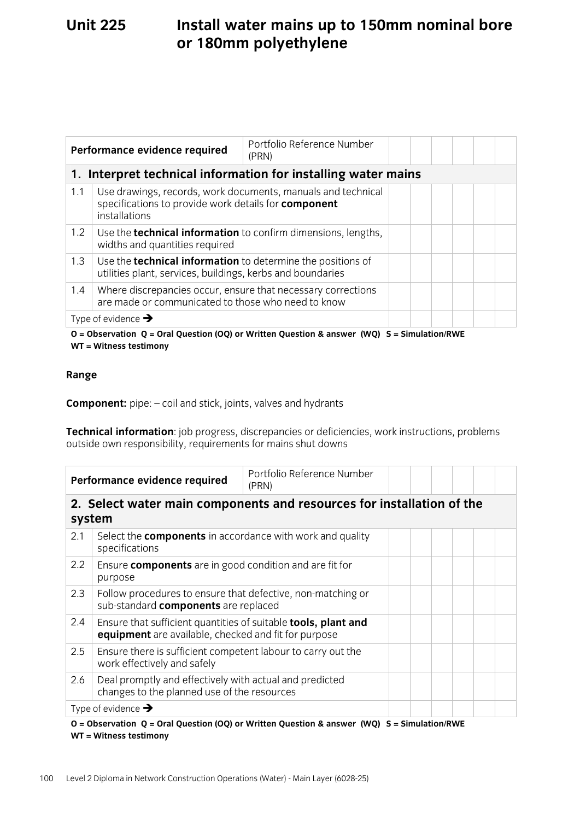# **Unit 225 Install water mains up to 150mm nominal bore or 180mm polyethylene**

|                                                                                                                                              | Performance evidence required                                                                                             | Portfolio Reference Number<br>(PRN) |  |  |  |  |  |
|----------------------------------------------------------------------------------------------------------------------------------------------|---------------------------------------------------------------------------------------------------------------------------|-------------------------------------|--|--|--|--|--|
|                                                                                                                                              | 1. Interpret technical information for installing water mains                                                             |                                     |  |  |  |  |  |
| Use drawings, records, work documents, manuals and technical<br>1.1<br>specifications to provide work details for component<br>installations |                                                                                                                           |                                     |  |  |  |  |  |
| 1.2                                                                                                                                          | Use the <b>technical information</b> to confirm dimensions, lengths,<br>widths and quantities required                    |                                     |  |  |  |  |  |
| 1.3                                                                                                                                          | Use the technical information to determine the positions of<br>utilities plant, services, buildings, kerbs and boundaries |                                     |  |  |  |  |  |
| 1.4                                                                                                                                          | Where discrepancies occur, ensure that necessary corrections<br>are made or communicated to those who need to know        |                                     |  |  |  |  |  |
|                                                                                                                                              | Type of evidence $\rightarrow$                                                                                            |                                     |  |  |  |  |  |

**O = Observation Q = Oral Question (OQ) or Written Question & answer (WQ) S = Simulation/RWE WT = Witness testimony**

### **Range**

**Component:** pipe:  $-$  coil and stick, joints, valves and hydrants

**Technical information**: job progress, discrepancies or deficiencies, work instructions, problems outside own responsibility, requirements for mains shut downs

|                  | Performance evidence required                                                                                          | Portfolio Reference Number<br>(PRN) |  |  |  |  |  |  |
|------------------|------------------------------------------------------------------------------------------------------------------------|-------------------------------------|--|--|--|--|--|--|
|                  | 2. Select water main components and resources for installation of the<br>system                                        |                                     |  |  |  |  |  |  |
| 2.1              | Select the <b>components</b> in accordance with work and quality<br>specifications                                     |                                     |  |  |  |  |  |  |
| $2.2\phantom{0}$ | Ensure <b>components</b> are in good condition and are fit for<br>purpose                                              |                                     |  |  |  |  |  |  |
| 2.3              | Follow procedures to ensure that defective, non-matching or<br>sub-standard components are replaced                    |                                     |  |  |  |  |  |  |
| $2.4^{\circ}$    | Ensure that sufficient quantities of suitable tools, plant and<br>equipment are available, checked and fit for purpose |                                     |  |  |  |  |  |  |
| 2.5              | Ensure there is sufficient competent labour to carry out the<br>work effectively and safely                            |                                     |  |  |  |  |  |  |
| 2.6              | Deal promptly and effectively with actual and predicted<br>changes to the planned use of the resources                 |                                     |  |  |  |  |  |  |
|                  | Type of evidence $\rightarrow$                                                                                         |                                     |  |  |  |  |  |  |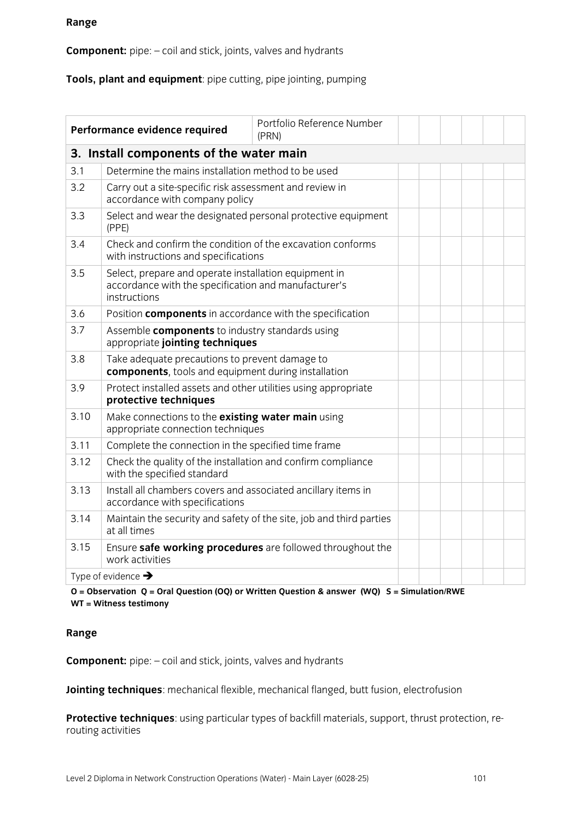**Component:** pipe: – coil and stick, joints, valves and hydrants

### **Tools, plant and equipment**: pipe cutting, pipe jointing, pumping

|      | Performance evidence required                                                                                                 | Portfolio Reference Number<br>(PRN) |  |  |  |  |  |
|------|-------------------------------------------------------------------------------------------------------------------------------|-------------------------------------|--|--|--|--|--|
|      | 3. Install components of the water main                                                                                       |                                     |  |  |  |  |  |
| 3.1  | Determine the mains installation method to be used                                                                            |                                     |  |  |  |  |  |
| 3.2  | Carry out a site-specific risk assessment and review in<br>accordance with company policy                                     |                                     |  |  |  |  |  |
| 3.3  | Select and wear the designated personal protective equipment<br>(PPE)                                                         |                                     |  |  |  |  |  |
| 3.4  | Check and confirm the condition of the excavation conforms<br>with instructions and specifications                            |                                     |  |  |  |  |  |
| 3.5  | Select, prepare and operate installation equipment in<br>accordance with the specification and manufacturer's<br>instructions |                                     |  |  |  |  |  |
| 3.6  | Position components in accordance with the specification                                                                      |                                     |  |  |  |  |  |
| 3.7  | Assemble components to industry standards using<br>appropriate jointing techniques                                            |                                     |  |  |  |  |  |
| 3.8  | Take adequate precautions to prevent damage to<br>components, tools and equipment during installation                         |                                     |  |  |  |  |  |
| 3.9  | Protect installed assets and other utilities using appropriate<br>protective techniques                                       |                                     |  |  |  |  |  |
| 3.10 | Make connections to the existing water main using<br>appropriate connection techniques                                        |                                     |  |  |  |  |  |
| 3.11 | Complete the connection in the specified time frame                                                                           |                                     |  |  |  |  |  |
| 3.12 | Check the quality of the installation and confirm compliance<br>with the specified standard                                   |                                     |  |  |  |  |  |
| 3.13 | Install all chambers covers and associated ancillary items in<br>accordance with specifications                               |                                     |  |  |  |  |  |
| 3.14 | Maintain the security and safety of the site, job and third parties<br>at all times                                           |                                     |  |  |  |  |  |
| 3.15 | Ensure safe working procedures are followed throughout the<br>work activities                                                 |                                     |  |  |  |  |  |
|      | Type of evidence $\rightarrow$                                                                                                |                                     |  |  |  |  |  |

**O = Observation Q = Oral Question (OQ) or Written Question & answer (WQ) S = Simulation/RWE WT = Witness testimony**

#### **Range**

**Component:** pipe: – coil and stick, joints, valves and hydrants

**Jointing techniques**: mechanical flexible, mechanical flanged, butt fusion, electrofusion

**Protective techniques**: using particular types of backfill materials, support, thrust protection, rerouting activities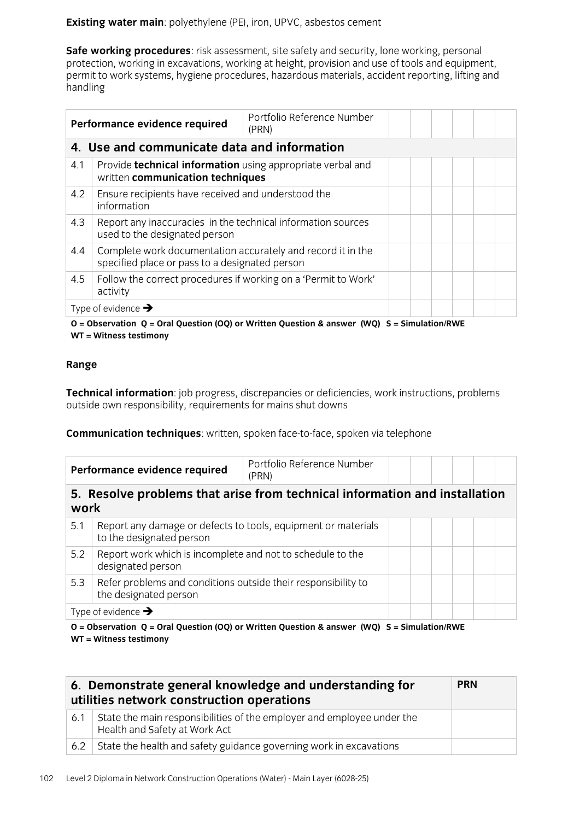### **Existing water main**: polyethylene (PE), iron, UPVC, asbestos cement

**Safe working procedures**: risk assessment, site safety and security, lone working, personal protection, working in excavations, working at height, provision and use of tools and equipment, permit to work systems, hygiene procedures, hazardous materials, accident reporting, lifting and handling

|     | Performance evidence required                                                                                 | Portfolio Reference Number<br>(PRN) |  |  |  |  |
|-----|---------------------------------------------------------------------------------------------------------------|-------------------------------------|--|--|--|--|
|     | 4. Use and communicate data and information                                                                   |                                     |  |  |  |  |
| 4.1 | Provide technical information using appropriate verbal and<br>written communication techniques                |                                     |  |  |  |  |
| 4.2 | Ensure recipients have received and understood the<br>information                                             |                                     |  |  |  |  |
| 4.3 | Report any inaccuracies in the technical information sources<br>used to the designated person                 |                                     |  |  |  |  |
| 4.4 | Complete work documentation accurately and record it in the<br>specified place or pass to a designated person |                                     |  |  |  |  |
| 4.5 | Follow the correct procedures if working on a 'Permit to Work'<br>activity                                    |                                     |  |  |  |  |
|     | Type of evidence $\rightarrow$                                                                                |                                     |  |  |  |  |

#### **O = Observation Q = Oral Question (OQ) or Written Question & answer (WQ) S = Simulation/RWE WT = Witness testimony**

#### **Range**

**Technical information**: job progress, discrepancies or deficiencies, work instructions, problems outside own responsibility, requirements for mains shut downs

**Communication techniques**: written, spoken face-to-face, spoken via telephone

|                                                                                    | Performance evidence required                                                             | Portfolio Reference Number<br>(PRN) |  |  |  |  |  |
|------------------------------------------------------------------------------------|-------------------------------------------------------------------------------------------|-------------------------------------|--|--|--|--|--|
| 5. Resolve problems that arise from technical information and installation<br>work |                                                                                           |                                     |  |  |  |  |  |
| 5.1                                                                                | Report any damage or defects to tools, equipment or materials<br>to the designated person |                                     |  |  |  |  |  |
| 5.2                                                                                | Report work which is incomplete and not to schedule to the<br>designated person           |                                     |  |  |  |  |  |
| 5.3                                                                                | Refer problems and conditions outside their responsibility to<br>the designated person    |                                     |  |  |  |  |  |
|                                                                                    | Type of evidence $\rightarrow$                                                            |                                     |  |  |  |  |  |

|     | 6. Demonstrate general knowledge and understanding for<br>utilities network construction operations     | <b>PRN</b> |
|-----|---------------------------------------------------------------------------------------------------------|------------|
| 6.1 | State the main responsibilities of the employer and employee under the<br>Health and Safety at Work Act |            |
| 6.2 | State the health and safety guidance governing work in excavations                                      |            |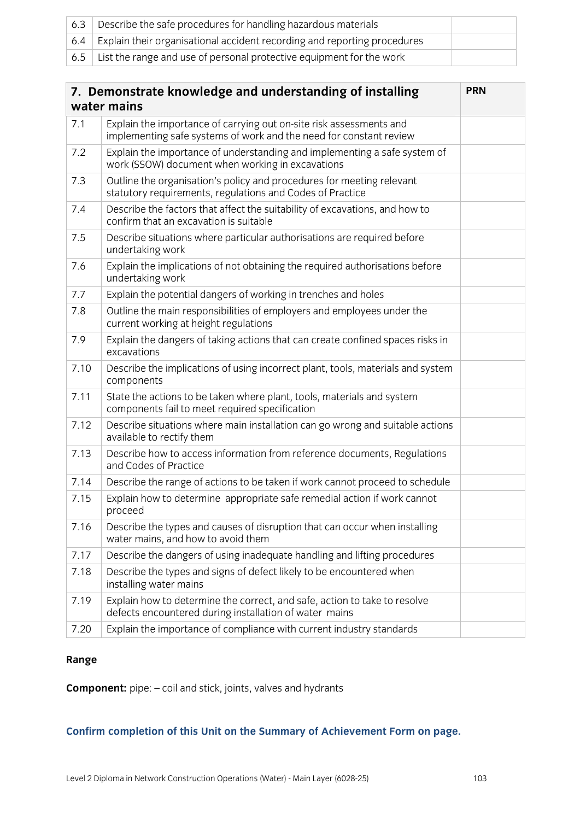| 6.3 Describe the safe procedures for handling hazardous materials            |  |
|------------------------------------------------------------------------------|--|
| 6.4 Explain their organisational accident recording and reporting procedures |  |
| 6.5 List the range and use of personal protective equipment for the work     |  |

|      | 7. Demonstrate knowledge and understanding of installing<br>water mains                                                                   | <b>PRN</b> |
|------|-------------------------------------------------------------------------------------------------------------------------------------------|------------|
| 7.1  | Explain the importance of carrying out on-site risk assessments and<br>implementing safe systems of work and the need for constant review |            |
| 7.2  | Explain the importance of understanding and implementing a safe system of<br>work (SSOW) document when working in excavations             |            |
| 7.3  | Outline the organisation's policy and procedures for meeting relevant<br>statutory requirements, regulations and Codes of Practice        |            |
| 7.4  | Describe the factors that affect the suitability of excavations, and how to<br>confirm that an excavation is suitable                     |            |
| 7.5  | Describe situations where particular authorisations are required before<br>undertaking work                                               |            |
| 7.6  | Explain the implications of not obtaining the required authorisations before<br>undertaking work                                          |            |
| 7.7  | Explain the potential dangers of working in trenches and holes                                                                            |            |
| 7.8  | Outline the main responsibilities of employers and employees under the<br>current working at height regulations                           |            |
| 7.9  | Explain the dangers of taking actions that can create confined spaces risks in<br>excavations                                             |            |
| 7.10 | Describe the implications of using incorrect plant, tools, materials and system<br>components                                             |            |
| 7.11 | State the actions to be taken where plant, tools, materials and system<br>components fail to meet required specification                  |            |
| 7.12 | Describe situations where main installation can go wrong and suitable actions<br>available to rectify them                                |            |
| 7.13 | Describe how to access information from reference documents, Regulations<br>and Codes of Practice                                         |            |
| 7.14 | Describe the range of actions to be taken if work cannot proceed to schedule                                                              |            |
| 7.15 | Explain how to determine appropriate safe remedial action if work cannot<br>proceed                                                       |            |
| 7.16 | Describe the types and causes of disruption that can occur when installing<br>water mains, and how to avoid them                          |            |
| 7.17 | Describe the dangers of using inadequate handling and lifting procedures                                                                  |            |
| 7.18 | Describe the types and signs of defect likely to be encountered when<br>installing water mains                                            |            |
| 7.19 | Explain how to determine the correct, and safe, action to take to resolve<br>defects encountered during installation of water mains       |            |
| 7.20 | Explain the importance of compliance with current industry standards                                                                      |            |

**Component:** pipe:  $-$  coil and stick, joints, valves and hydrants

# **Confirm completion of this Unit on the Summary of Achievement Form on page.**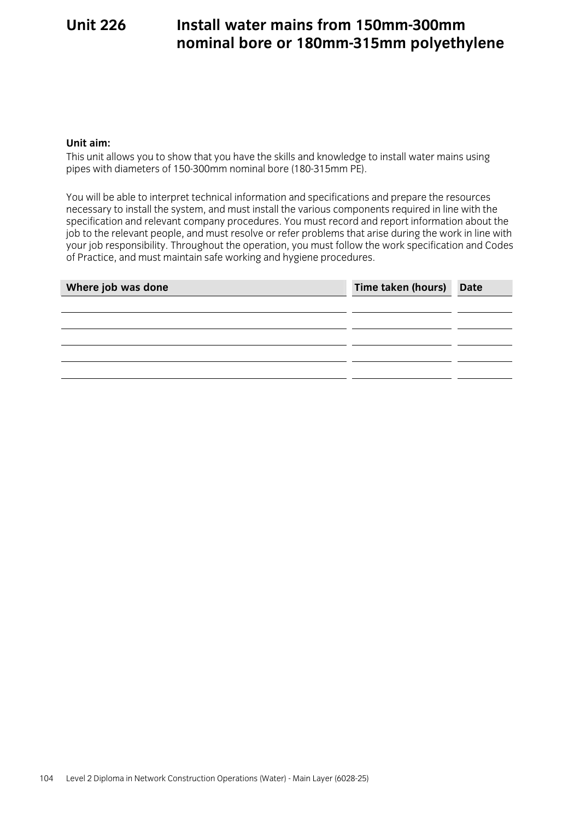# **Unit 226 Install water mains from 150mm-300mm nominal bore or 180mm-315mm polyethylene**

#### **Unit aim:**

This unit allows you to show that you have the skills and knowledge to install water mains using pipes with diameters of 150-300mm nominal bore (180-315mm PE).

You will be able to interpret technical information and specifications and prepare the resources necessary to install the system, and must install the various components required in line with the specification and relevant company procedures. You must record and report information about the job to the relevant people, and must resolve or refer problems that arise during the work in line with your job responsibility. Throughout the operation, you must follow the work specification and Codes of Practice, and must maintain safe working and hygiene procedures.

| Time taken (hours) Date |
|-------------------------|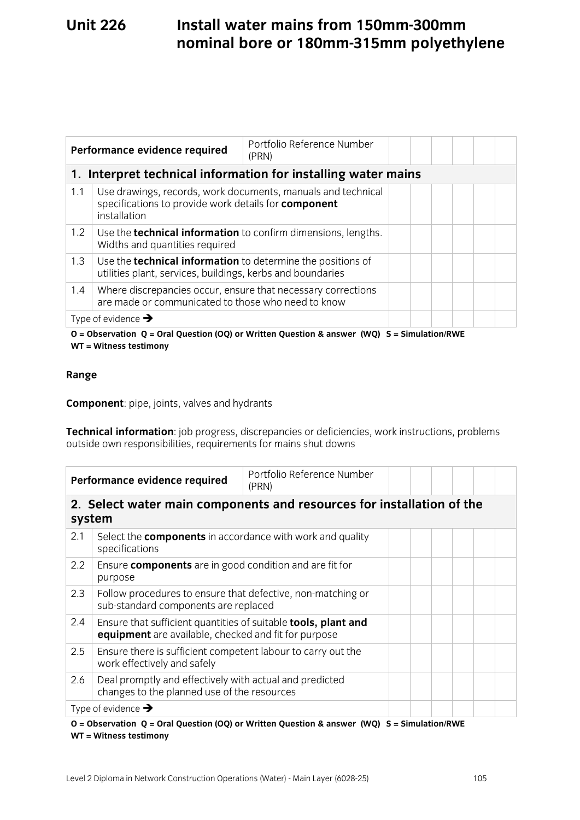# **Unit 226 Install water mains from 150mm-300mm nominal bore or 180mm-315mm polyethylene**

|     | Performance evidence required                                                                                                        | Portfolio Reference Number<br>(PRN) |  |  |  |  |
|-----|--------------------------------------------------------------------------------------------------------------------------------------|-------------------------------------|--|--|--|--|
|     | 1. Interpret technical information for installing water mains                                                                        |                                     |  |  |  |  |
| 1.1 | Use drawings, records, work documents, manuals and technical<br>specifications to provide work details for component<br>installation |                                     |  |  |  |  |
| 1.2 | Use the <b>technical information</b> to confirm dimensions, lengths.<br>Widths and quantities required                               |                                     |  |  |  |  |
| 1.3 | Use the <b>technical information</b> to determine the positions of<br>utilities plant, services, buildings, kerbs and boundaries     |                                     |  |  |  |  |
| 1.4 | Where discrepancies occur, ensure that necessary corrections<br>are made or communicated to those who need to know                   |                                     |  |  |  |  |
|     | Type of evidence $\rightarrow$                                                                                                       |                                     |  |  |  |  |

**O = Observation Q = Oral Question (OQ) or Written Question & answer (WQ) S = Simulation/RWE WT = Witness testimony**

#### **Range**

**Component**: pipe, joints, valves and hydrants

**Technical information**: job progress, discrepancies or deficiencies, work instructions, problems outside own responsibilities, requirements for mains shut downs

|     | Performance evidence required                                                                                          | Portfolio Reference Number<br>(PRN) |  |  |  |  |  |
|-----|------------------------------------------------------------------------------------------------------------------------|-------------------------------------|--|--|--|--|--|
|     | 2. Select water main components and resources for installation of the<br>system                                        |                                     |  |  |  |  |  |
| 2.1 | Select the <b>components</b> in accordance with work and quality<br>specifications                                     |                                     |  |  |  |  |  |
| 2.2 | Ensure components are in good condition and are fit for<br>purpose                                                     |                                     |  |  |  |  |  |
| 2.3 | Follow procedures to ensure that defective, non-matching or<br>sub-standard components are replaced                    |                                     |  |  |  |  |  |
| 2.4 | Ensure that sufficient quantities of suitable tools, plant and<br>equipment are available, checked and fit for purpose |                                     |  |  |  |  |  |
| 2.5 | Ensure there is sufficient competent labour to carry out the<br>work effectively and safely                            |                                     |  |  |  |  |  |
| 2.6 | Deal promptly and effectively with actual and predicted<br>changes to the planned use of the resources                 |                                     |  |  |  |  |  |
|     | Type of evidence $\rightarrow$                                                                                         |                                     |  |  |  |  |  |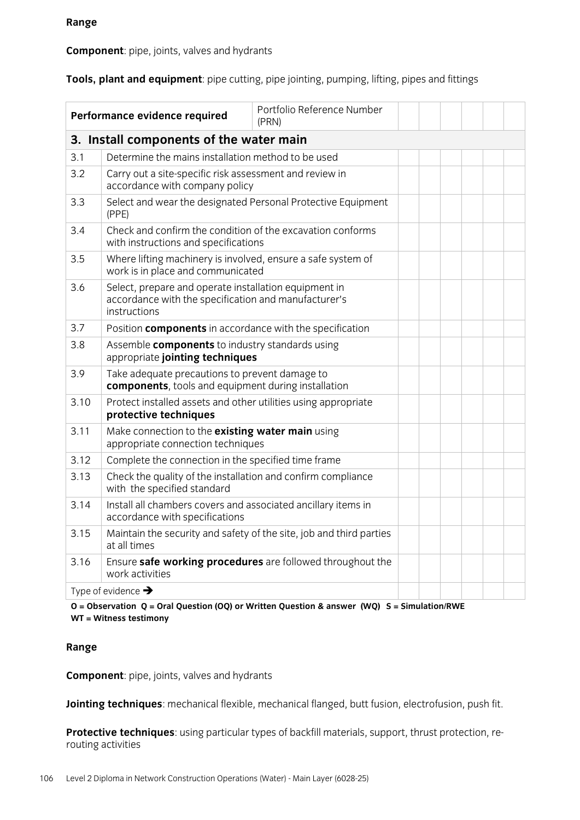**Component**: pipe, joints, valves and hydrants

**Tools, plant and equipment**: pipe cutting, pipe jointing, pumping, lifting, pipes and fittings

|      | Portfolio Reference Number<br>Performance evidence required<br>(PRN)                                                          |  |  |  |
|------|-------------------------------------------------------------------------------------------------------------------------------|--|--|--|
|      | 3. Install components of the water main                                                                                       |  |  |  |
| 3.1  | Determine the mains installation method to be used                                                                            |  |  |  |
| 3.2  | Carry out a site-specific risk assessment and review in<br>accordance with company policy                                     |  |  |  |
| 3.3  | Select and wear the designated Personal Protective Equipment<br>(PPE)                                                         |  |  |  |
| 3.4  | Check and confirm the condition of the excavation conforms<br>with instructions and specifications                            |  |  |  |
| 3.5  | Where lifting machinery is involved, ensure a safe system of<br>work is in place and communicated                             |  |  |  |
| 3.6  | Select, prepare and operate installation equipment in<br>accordance with the specification and manufacturer's<br>instructions |  |  |  |
| 3.7  | Position components in accordance with the specification                                                                      |  |  |  |
| 3.8  | Assemble components to industry standards using<br>appropriate jointing techniques                                            |  |  |  |
| 3.9  | Take adequate precautions to prevent damage to<br>components, tools and equipment during installation                         |  |  |  |
| 3.10 | Protect installed assets and other utilities using appropriate<br>protective techniques                                       |  |  |  |
| 3.11 | Make connection to the existing water main using<br>appropriate connection techniques                                         |  |  |  |
| 3.12 | Complete the connection in the specified time frame                                                                           |  |  |  |
| 3.13 | Check the quality of the installation and confirm compliance<br>with the specified standard                                   |  |  |  |
| 3.14 | Install all chambers covers and associated ancillary items in<br>accordance with specifications                               |  |  |  |
| 3.15 | Maintain the security and safety of the site, job and third parties<br>at all times                                           |  |  |  |
| 3.16 | Ensure safe working procedures are followed throughout the<br>work activities                                                 |  |  |  |
|      | Type of evidence $\rightarrow$                                                                                                |  |  |  |

**O = Observation Q = Oral Question (OQ) or Written Question & answer (WQ) S = Simulation/RWE WT = Witness testimony**

### **Range**

**Component**: pipe, joints, valves and hydrants

**Jointing techniques**: mechanical flexible, mechanical flanged, butt fusion, electrofusion, push fit.

**Protective techniques**: using particular types of backfill materials, support, thrust protection, rerouting activities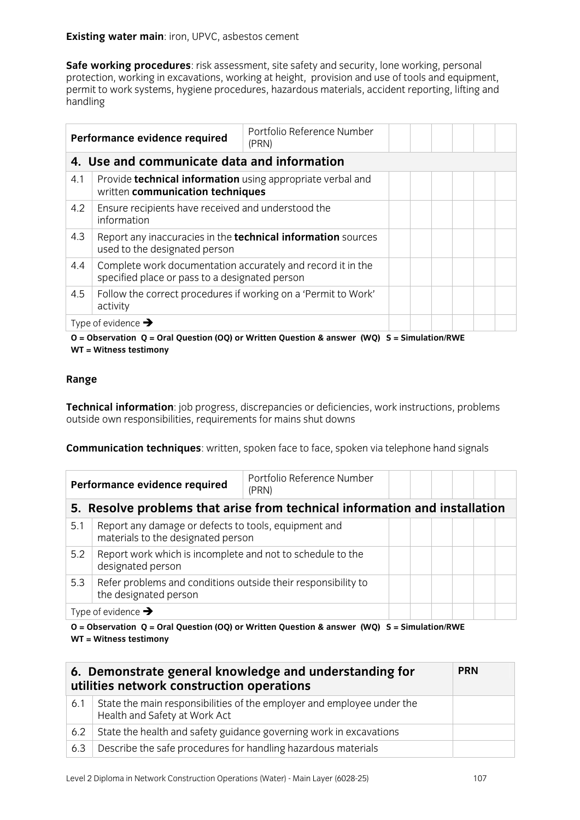### **Existing water main**: iron, UPVC, asbestos cement

**Safe working procedures**: risk assessment, site safety and security, lone working, personal protection, working in excavations, working at height, provision and use of tools and equipment, permit to work systems, hygiene procedures, hazardous materials, accident reporting, lifting and handling

| Performance evidence required               |                                                                                                               | Portfolio Reference Number<br>(PRN) |  |  |  |  |  |  |
|---------------------------------------------|---------------------------------------------------------------------------------------------------------------|-------------------------------------|--|--|--|--|--|--|
| 4. Use and communicate data and information |                                                                                                               |                                     |  |  |  |  |  |  |
| 4.1                                         | Provide technical information using appropriate verbal and<br>written communication techniques                |                                     |  |  |  |  |  |  |
| 4.2                                         | Ensure recipients have received and understood the<br>information                                             |                                     |  |  |  |  |  |  |
| 4.3                                         | Report any inaccuracies in the <b>technical information</b> sources<br>used to the designated person          |                                     |  |  |  |  |  |  |
| 4.4                                         | Complete work documentation accurately and record it in the<br>specified place or pass to a designated person |                                     |  |  |  |  |  |  |
| 4.5                                         | Follow the correct procedures if working on a 'Permit to Work'<br>activity                                    |                                     |  |  |  |  |  |  |
| Type of evidence $\rightarrow$              |                                                                                                               |                                     |  |  |  |  |  |  |

**O = Observation Q = Oral Question (OQ) or Written Question & answer (WQ) S = Simulation/RWE WT = Witness testimony**

#### **Range**

**Technical information**: job progress, discrepancies or deficiencies, work instructions, problems outside own responsibilities, requirements for mains shut downs

**Communication techniques**: written, spoken face to face, spoken via telephone hand signals

|                                                                            | Performance evidence required                                                              | Portfolio Reference Number<br>(PRN) |  |  |  |  |  |
|----------------------------------------------------------------------------|--------------------------------------------------------------------------------------------|-------------------------------------|--|--|--|--|--|
| 5. Resolve problems that arise from technical information and installation |                                                                                            |                                     |  |  |  |  |  |
| 5.1                                                                        | Report any damage or defects to tools, equipment and<br>materials to the designated person |                                     |  |  |  |  |  |
| 5.2                                                                        | Report work which is incomplete and not to schedule to the<br>designated person            |                                     |  |  |  |  |  |
| 5.3                                                                        | Refer problems and conditions outside their responsibility to<br>the designated person     |                                     |  |  |  |  |  |
| Type of evidence $\rightarrow$                                             |                                                                                            |                                     |  |  |  |  |  |

| 6. Demonstrate general knowledge and understanding for<br>utilities network construction operations |                                                                                                         | <b>PRN</b> |
|-----------------------------------------------------------------------------------------------------|---------------------------------------------------------------------------------------------------------|------------|
| 6.1                                                                                                 | State the main responsibilities of the employer and employee under the<br>Health and Safety at Work Act |            |
| 6.2                                                                                                 | State the health and safety guidance governing work in excavations                                      |            |
| 6.3                                                                                                 | Describe the safe procedures for handling hazardous materials                                           |            |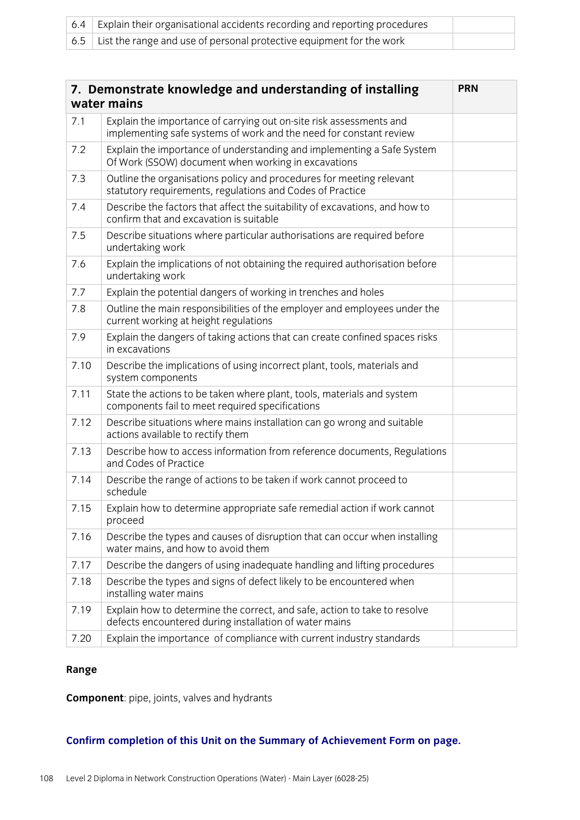| $\mid$ 6.4 Explain their organisational accidents recording and reporting procedures |  |
|--------------------------------------------------------------------------------------|--|
| $\mid$ 6.5   List the range and use of personal protective equipment for the work    |  |

| 7. Demonstrate knowledge and understanding of installing<br>water mains |                                                                                                                                           |  |
|-------------------------------------------------------------------------|-------------------------------------------------------------------------------------------------------------------------------------------|--|
| 7.1                                                                     | Explain the importance of carrying out on-site risk assessments and<br>implementing safe systems of work and the need for constant review |  |
| 7.2                                                                     | Explain the importance of understanding and implementing a Safe System<br>Of Work (SSOW) document when working in excavations             |  |
| 7.3                                                                     | Outline the organisations policy and procedures for meeting relevant<br>statutory requirements, regulations and Codes of Practice         |  |
| 7.4                                                                     | Describe the factors that affect the suitability of excavations, and how to<br>confirm that and excavation is suitable                    |  |
| 7.5                                                                     | Describe situations where particular authorisations are required before<br>undertaking work                                               |  |
| 7.6                                                                     | Explain the implications of not obtaining the required authorisation before<br>undertaking work                                           |  |
| 7.7                                                                     | Explain the potential dangers of working in trenches and holes                                                                            |  |
| 7.8                                                                     | Outline the main responsibilities of the employer and employees under the<br>current working at height regulations                        |  |
| 7.9                                                                     | Explain the dangers of taking actions that can create confined spaces risks<br>in excavations                                             |  |
| 7.10                                                                    | Describe the implications of using incorrect plant, tools, materials and<br>system components                                             |  |
| 7.11                                                                    | State the actions to be taken where plant, tools, materials and system<br>components fail to meet required specifications                 |  |
| 7.12                                                                    | Describe situations where mains installation can go wrong and suitable<br>actions available to rectify them                               |  |
| 7.13                                                                    | Describe how to access information from reference documents, Regulations<br>and Codes of Practice                                         |  |
| 7.14                                                                    | Describe the range of actions to be taken if work cannot proceed to<br>schedule                                                           |  |
| 7.15                                                                    | Explain how to determine appropriate safe remedial action if work cannot<br>proceed                                                       |  |
| 7.16                                                                    | Describe the types and causes of disruption that can occur when installing<br>water mains, and how to avoid them                          |  |
| 7.17                                                                    | Describe the dangers of using inadequate handling and lifting procedures                                                                  |  |
| 7.18                                                                    | Describe the types and signs of defect likely to be encountered when<br>installing water mains                                            |  |
| 7.19                                                                    | Explain how to determine the correct, and safe, action to take to resolve<br>defects encountered during installation of water mains       |  |
| 7.20                                                                    | Explain the importance of compliance with current industry standards                                                                      |  |

**Component**: pipe, joints, valves and hydrants

## **Confirm completion of this Unit on the Summary of Achievement Form on page.**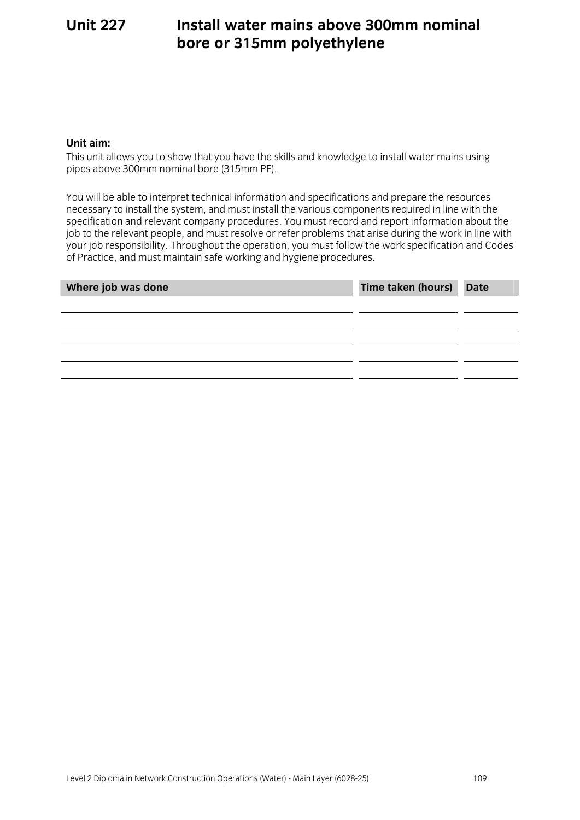# **Unit 227 Install water mains above 300mm nominal bore or 315mm polyethylene**

#### **Unit aim:**

This unit allows you to show that you have the skills and knowledge to install water mains using pipes above 300mm nominal bore (315mm PE).

You will be able to interpret technical information and specifications and prepare the resources necessary to install the system, and must install the various components required in line with the specification and relevant company procedures. You must record and report information about the job to the relevant people, and must resolve or refer problems that arise during the work in line with your job responsibility. Throughout the operation, you must follow the work specification and Codes of Practice, and must maintain safe working and hygiene procedures.

| Where job was done | Time taken (hours) Date |  |
|--------------------|-------------------------|--|
|                    |                         |  |
|                    |                         |  |
|                    |                         |  |
|                    |                         |  |
|                    |                         |  |
|                    |                         |  |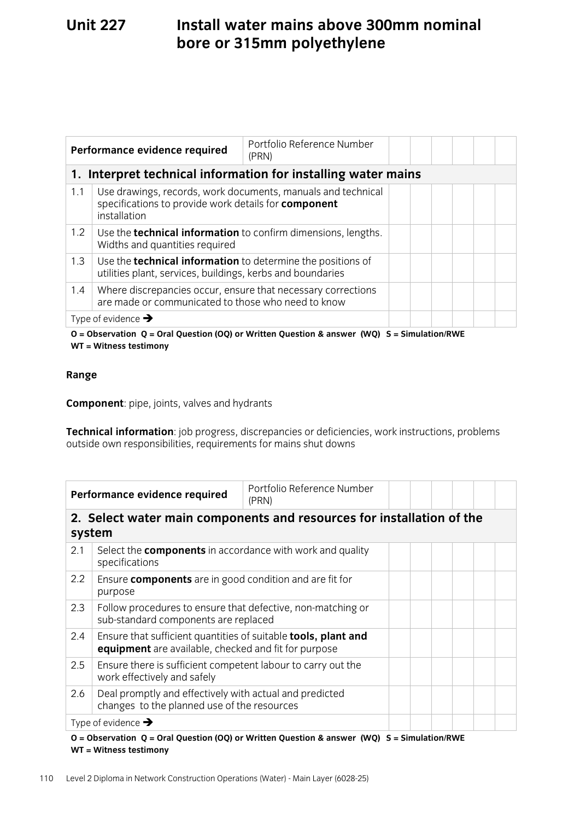# **Unit 227 Install water mains above 300mm nominal bore or 315mm polyethylene**

|                                                                                                                                             | Performance evidence required                                                                                                    | Portfolio Reference Number<br>(PRN) |  |  |  |  |
|---------------------------------------------------------------------------------------------------------------------------------------------|----------------------------------------------------------------------------------------------------------------------------------|-------------------------------------|--|--|--|--|
|                                                                                                                                             | 1. Interpret technical information for installing water mains                                                                    |                                     |  |  |  |  |
| Use drawings, records, work documents, manuals and technical<br>1.1<br>specifications to provide work details for component<br>installation |                                                                                                                                  |                                     |  |  |  |  |
| 1.2                                                                                                                                         | Use the <b>technical information</b> to confirm dimensions, lengths.<br>Widths and quantities required                           |                                     |  |  |  |  |
| 1.3                                                                                                                                         | Use the <b>technical information</b> to determine the positions of<br>utilities plant, services, buildings, kerbs and boundaries |                                     |  |  |  |  |
| 1.4                                                                                                                                         | Where discrepancies occur, ensure that necessary corrections<br>are made or communicated to those who need to know               |                                     |  |  |  |  |
|                                                                                                                                             | Type of evidence $\rightarrow$                                                                                                   |                                     |  |  |  |  |

**O = Observation Q = Oral Question (OQ) or Written Question & answer (WQ) S = Simulation/RWE WT = Witness testimony**

#### **Range**

**Component**: pipe, joints, valves and hydrants

**Technical information**: job progress, discrepancies or deficiencies, work instructions, problems outside own responsibilities, requirements for mains shut downs

|     | Performance evidence required                                                                                          | Portfolio Reference Number<br>(PRN) |  |  |  |  |  |  |
|-----|------------------------------------------------------------------------------------------------------------------------|-------------------------------------|--|--|--|--|--|--|
|     | 2. Select water main components and resources for installation of the<br>system                                        |                                     |  |  |  |  |  |  |
| 2.1 | Select the <b>components</b> in accordance with work and quality<br>specifications                                     |                                     |  |  |  |  |  |  |
| 2.2 | Ensure components are in good condition and are fit for<br>purpose                                                     |                                     |  |  |  |  |  |  |
| 2.3 | Follow procedures to ensure that defective, non-matching or<br>sub-standard components are replaced                    |                                     |  |  |  |  |  |  |
| 2.4 | Ensure that sufficient quantities of suitable tools, plant and<br>equipment are available, checked and fit for purpose |                                     |  |  |  |  |  |  |
| 2.5 | Ensure there is sufficient competent labour to carry out the<br>work effectively and safely                            |                                     |  |  |  |  |  |  |
| 2.6 | Deal promptly and effectively with actual and predicted<br>changes to the planned use of the resources                 |                                     |  |  |  |  |  |  |
|     | Type of evidence $\rightarrow$                                                                                         |                                     |  |  |  |  |  |  |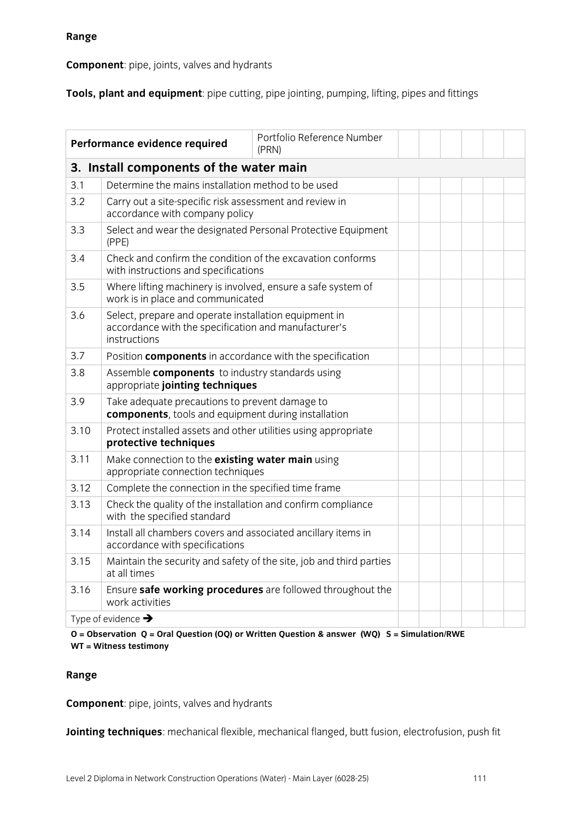**Component**: pipe, joints, valves and hydrants

**Tools, plant and equipment**: pipe cutting, pipe jointing, pumping, lifting, pipes and fittings

|      | Portfolio Reference Number<br>Performance evidence required<br>(PRN)                                                          |  |  |  |  |  |
|------|-------------------------------------------------------------------------------------------------------------------------------|--|--|--|--|--|
|      | 3. Install components of the water main                                                                                       |  |  |  |  |  |
| 3.1  | Determine the mains installation method to be used                                                                            |  |  |  |  |  |
| 3.2  | Carry out a site-specific risk assessment and review in<br>accordance with company policy                                     |  |  |  |  |  |
| 3.3  | Select and wear the designated Personal Protective Equipment<br>(PPE)                                                         |  |  |  |  |  |
| 3.4  | Check and confirm the condition of the excavation conforms<br>with instructions and specifications                            |  |  |  |  |  |
| 3.5  | Where lifting machinery is involved, ensure a safe system of<br>work is in place and communicated                             |  |  |  |  |  |
| 3.6  | Select, prepare and operate installation equipment in<br>accordance with the specification and manufacturer's<br>instructions |  |  |  |  |  |
| 3.7  | Position components in accordance with the specification                                                                      |  |  |  |  |  |
| 3.8  | Assemble components to industry standards using<br>appropriate jointing techniques                                            |  |  |  |  |  |
| 3.9  | Take adequate precautions to prevent damage to<br>components, tools and equipment during installation                         |  |  |  |  |  |
| 3.10 | Protect installed assets and other utilities using appropriate<br>protective techniques                                       |  |  |  |  |  |
| 3.11 | Make connection to the existing water main using<br>appropriate connection techniques                                         |  |  |  |  |  |
| 3.12 | Complete the connection in the specified time frame                                                                           |  |  |  |  |  |
| 3.13 | Check the quality of the installation and confirm compliance<br>with the specified standard                                   |  |  |  |  |  |
| 3.14 | Install all chambers covers and associated ancillary items in<br>accordance with specifications                               |  |  |  |  |  |
| 3.15 | Maintain the security and safety of the site, job and third parties<br>at all times                                           |  |  |  |  |  |
| 3.16 | Ensure safe working procedures are followed throughout the<br>work activities                                                 |  |  |  |  |  |
|      | Type of evidence $\rightarrow$                                                                                                |  |  |  |  |  |

**O = Observation Q = Oral Question (OQ) or Written Question & answer (WQ) S = Simulation/RWE WT = Witness testimony**

#### **Range**

**Component**: pipe, joints, valves and hydrants

**Jointing techniques**: mechanical flexible, mechanical flanged, butt fusion, electrofusion, push fit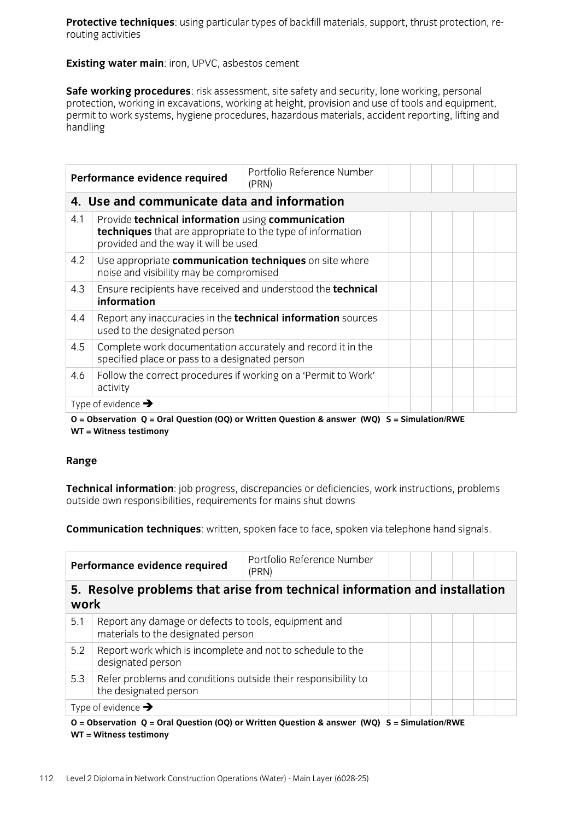**Protective techniques**: using particular types of backfill materials, support, thrust protection, rerouting activities

#### **Existing water main**: iron, UPVC, asbestos cement

**Safe working procedures**: risk assessment, site safety and security, lone working, personal protection, working in excavations, working at height, provision and use of tools and equipment, permit to work systems, hygiene procedures, hazardous materials, accident reporting, lifting and handling

|     | Performance evidence required                                                                                                                           | Portfolio Reference Number<br>(PRN) |  |  |  |  |  |
|-----|---------------------------------------------------------------------------------------------------------------------------------------------------------|-------------------------------------|--|--|--|--|--|
|     | 4. Use and communicate data and information                                                                                                             |                                     |  |  |  |  |  |
| 4.1 | Provide technical information using communication<br>techniques that are appropriate to the type of information<br>provided and the way it will be used |                                     |  |  |  |  |  |
| 4.2 | Use appropriate communication techniques on site where<br>noise and visibility may be compromised                                                       |                                     |  |  |  |  |  |
| 4.3 | Ensure recipients have received and understood the technical<br>information                                                                             |                                     |  |  |  |  |  |
| 4.4 | Report any inaccuracies in the technical information sources<br>used to the designated person                                                           |                                     |  |  |  |  |  |
| 4.5 | Complete work documentation accurately and record it in the<br>specified place or pass to a designated person                                           |                                     |  |  |  |  |  |
| 4.6 | Follow the correct procedures if working on a 'Permit to Work'<br>activity                                                                              |                                     |  |  |  |  |  |
|     | Type of evidence $\rightarrow$                                                                                                                          |                                     |  |  |  |  |  |

**O = Observation Q = Oral Question (OQ) or Written Question & answer (WQ) S = Simulation/RWE WT = Witness testimony**

#### **Range**

**Technical information**: job progress, discrepancies or deficiencies, work instructions, problems outside own responsibilities, requirements for mains shut downs

**Communication techniques**: written, spoken face to face, spoken via telephone hand signals.

|     | Performance evidence required                                                              | Portfolio Reference Number<br>(PRN) |  |  |  |  |  |  |
|-----|--------------------------------------------------------------------------------------------|-------------------------------------|--|--|--|--|--|--|
|     | 5. Resolve problems that arise from technical information and installation<br>work         |                                     |  |  |  |  |  |  |
| 5.1 | Report any damage or defects to tools, equipment and<br>materials to the designated person |                                     |  |  |  |  |  |  |
| 5.2 | Report work which is incomplete and not to schedule to the<br>designated person            |                                     |  |  |  |  |  |  |
| 5.3 | Refer problems and conditions outside their responsibility to<br>the designated person     |                                     |  |  |  |  |  |  |
|     | Type of evidence $\rightarrow$                                                             |                                     |  |  |  |  |  |  |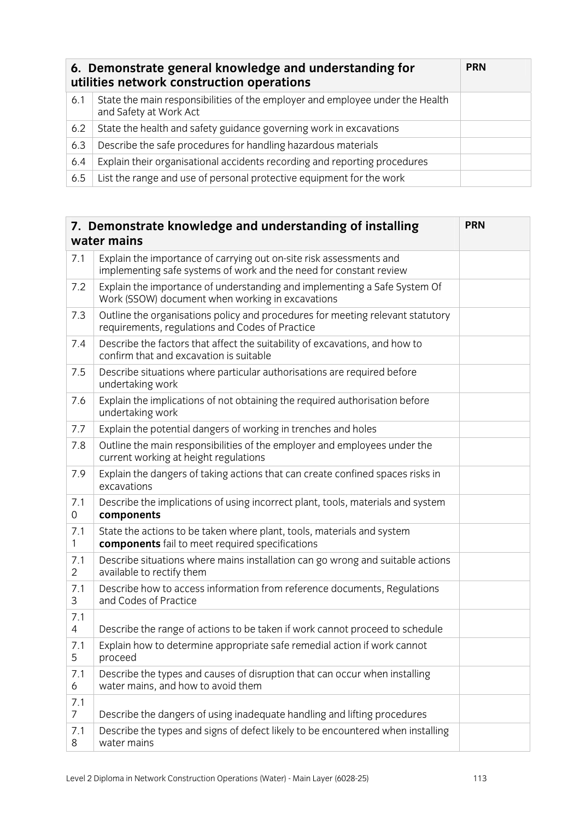|     | 6. Demonstrate general knowledge and understanding for<br>utilities network construction operations     | <b>PRN</b> |
|-----|---------------------------------------------------------------------------------------------------------|------------|
| 6.1 | State the main responsibilities of the employer and employee under the Health<br>and Safety at Work Act |            |
| 6.2 | State the health and safety guidance governing work in excavations                                      |            |
| 6.3 | Describe the safe procedures for handling hazardous materials                                           |            |
| 6.4 | Explain their organisational accidents recording and reporting procedures                               |            |
| 6.5 | List the range and use of personal protective equipment for the work                                    |            |

|                       | 7. Demonstrate knowledge and understanding of installing<br>water mains                                                                   | <b>PRN</b> |
|-----------------------|-------------------------------------------------------------------------------------------------------------------------------------------|------------|
| 7.1                   | Explain the importance of carrying out on-site risk assessments and<br>implementing safe systems of work and the need for constant review |            |
| 7.2                   | Explain the importance of understanding and implementing a Safe System Of<br>Work (SSOW) document when working in excavations             |            |
| 7.3                   | Outline the organisations policy and procedures for meeting relevant statutory<br>requirements, regulations and Codes of Practice         |            |
| 7.4                   | Describe the factors that affect the suitability of excavations, and how to<br>confirm that and excavation is suitable                    |            |
| 7.5                   | Describe situations where particular authorisations are required before<br>undertaking work                                               |            |
| 7.6                   | Explain the implications of not obtaining the required authorisation before<br>undertaking work                                           |            |
| 7.7                   | Explain the potential dangers of working in trenches and holes                                                                            |            |
| 7.8                   | Outline the main responsibilities of the employer and employees under the<br>current working at height regulations                        |            |
| 7.9                   | Explain the dangers of taking actions that can create confined spaces risks in<br>excavations                                             |            |
| 7.1<br>0              | Describe the implications of using incorrect plant, tools, materials and system<br>components                                             |            |
| 7.1<br>$\mathbf{1}$   | State the actions to be taken where plant, tools, materials and system<br>components fail to meet required specifications                 |            |
| 7.1<br>$\overline{2}$ | Describe situations where mains installation can go wrong and suitable actions<br>available to rectify them                               |            |
| 7.1<br>3              | Describe how to access information from reference documents, Regulations<br>and Codes of Practice                                         |            |
| 7.1<br>$\overline{4}$ | Describe the range of actions to be taken if work cannot proceed to schedule                                                              |            |
| 7.1<br>5              | Explain how to determine appropriate safe remedial action if work cannot<br>proceed                                                       |            |
| 7.1<br>6              | Describe the types and causes of disruption that can occur when installing<br>water mains, and how to avoid them                          |            |
| 7.1                   |                                                                                                                                           |            |
| 7                     | Describe the dangers of using inadequate handling and lifting procedures                                                                  |            |
| 7.1<br>8              | Describe the types and signs of defect likely to be encountered when installing<br>water mains                                            |            |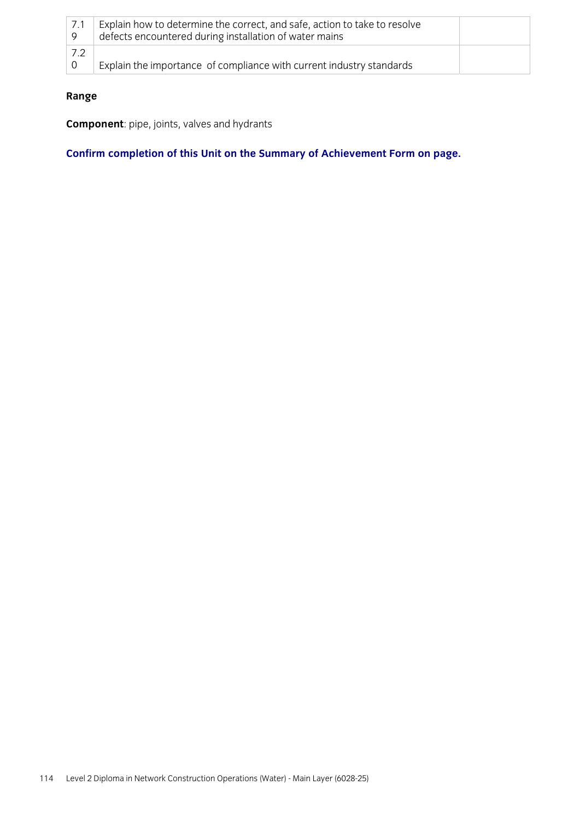| Explain how to determine the correct, and safe, action to take to resolve<br>defects encountered during installation of water mains |  |
|-------------------------------------------------------------------------------------------------------------------------------------|--|
| Explain the importance of compliance with current industry standards                                                                |  |

### **Range**

**Component**: pipe, joints, valves and hydrants

**Confirm completion of this Unit on the Summary of Achievement Form on page.**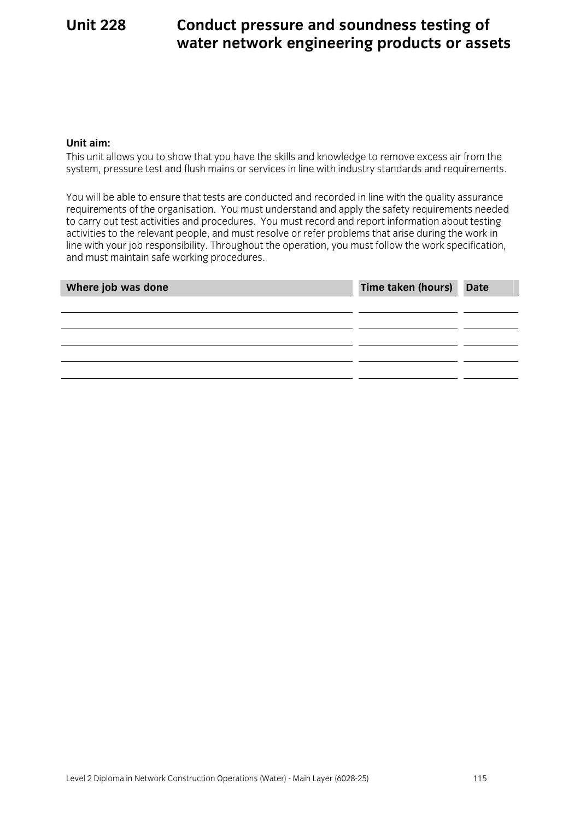## **Unit 228 Conduct pressure and soundness testing of water network engineering products or assets**

#### **Unit aim:**

This unit allows you to show that you have the skills and knowledge to remove excess air from the system, pressure test and flush mains or services in line with industry standards and requirements.

You will be able to ensure that tests are conducted and recorded in line with the quality assurance requirements of the organisation. You must understand and apply the safety requirements needed to carry out test activities and procedures. You must record and report information about testing activities to the relevant people, and must resolve or refer problems that arise during the work in line with your job responsibility. Throughout the operation, you must follow the work specification, and must maintain safe working procedures.

| Where job was done | Time taken (hours) Date |  |
|--------------------|-------------------------|--|
|                    |                         |  |
|                    |                         |  |
|                    |                         |  |
|                    |                         |  |
|                    |                         |  |
|                    |                         |  |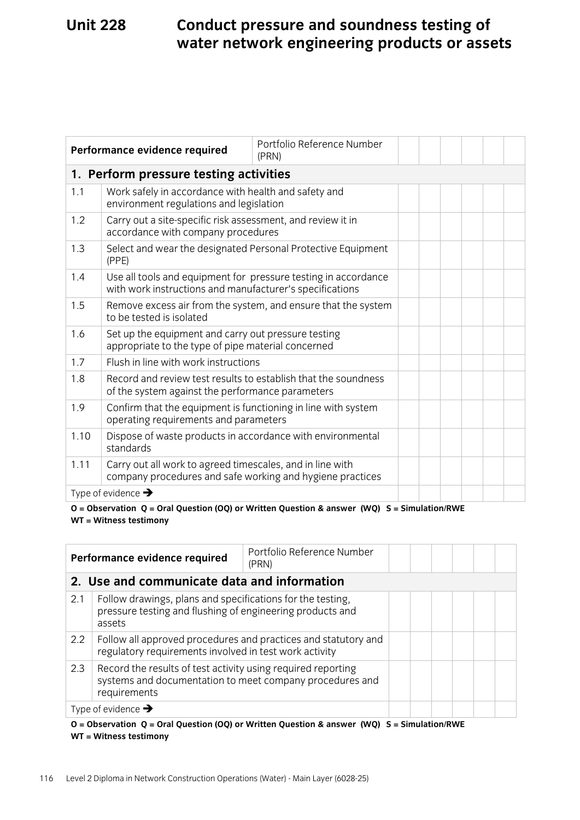# **Unit 228 Conduct pressure and soundness testing of water network engineering products or assets**

|      | Performance evidence required                                                                                              | Portfolio Reference Number<br>(PRN) |  |  |  |  |  |
|------|----------------------------------------------------------------------------------------------------------------------------|-------------------------------------|--|--|--|--|--|
|      | 1. Perform pressure testing activities                                                                                     |                                     |  |  |  |  |  |
| 1.1  | Work safely in accordance with health and safety and<br>environment regulations and legislation                            |                                     |  |  |  |  |  |
| 1.2  | Carry out a site-specific risk assessment, and review it in<br>accordance with company procedures                          |                                     |  |  |  |  |  |
| 1.3  | Select and wear the designated Personal Protective Equipment<br>(PPE)                                                      |                                     |  |  |  |  |  |
| 1.4  | Use all tools and equipment for pressure testing in accordance<br>with work instructions and manufacturer's specifications |                                     |  |  |  |  |  |
| 1.5  | Remove excess air from the system, and ensure that the system<br>to be tested is isolated                                  |                                     |  |  |  |  |  |
| 1.6  | Set up the equipment and carry out pressure testing<br>appropriate to the type of pipe material concerned                  |                                     |  |  |  |  |  |
| 1.7  | Flush in line with work instructions                                                                                       |                                     |  |  |  |  |  |
| 1.8  | Record and review test results to establish that the soundness<br>of the system against the performance parameters         |                                     |  |  |  |  |  |
| 1.9  | Confirm that the equipment is functioning in line with system<br>operating requirements and parameters                     |                                     |  |  |  |  |  |
| 1.10 | Dispose of waste products in accordance with environmental<br>standards                                                    |                                     |  |  |  |  |  |
| 1.11 | Carry out all work to agreed timescales, and in line with<br>company procedures and safe working and hygiene practices     |                                     |  |  |  |  |  |
|      | Type of evidence $\rightarrow$                                                                                             |                                     |  |  |  |  |  |

**O = Observation Q = Oral Question (OQ) or Written Question & answer (WQ) S = Simulation/RWE WT = Witness testimony**

|                                                                                                                                          | Performance evidence required                                                                                                            | Portfolio Reference Number<br>(PRN) |  |  |  |
|------------------------------------------------------------------------------------------------------------------------------------------|------------------------------------------------------------------------------------------------------------------------------------------|-------------------------------------|--|--|--|
|                                                                                                                                          | 2. Use and communicate data and information                                                                                              |                                     |  |  |  |
| Follow drawings, plans and specifications for the testing,<br>2.1<br>pressure testing and flushing of engineering products and<br>assets |                                                                                                                                          |                                     |  |  |  |
| 2.2                                                                                                                                      | Follow all approved procedures and practices and statutory and<br>regulatory requirements involved in test work activity                 |                                     |  |  |  |
| 2.3                                                                                                                                      | Record the results of test activity using required reporting<br>systems and documentation to meet company procedures and<br>requirements |                                     |  |  |  |
|                                                                                                                                          | Type of evidence $\rightarrow$                                                                                                           |                                     |  |  |  |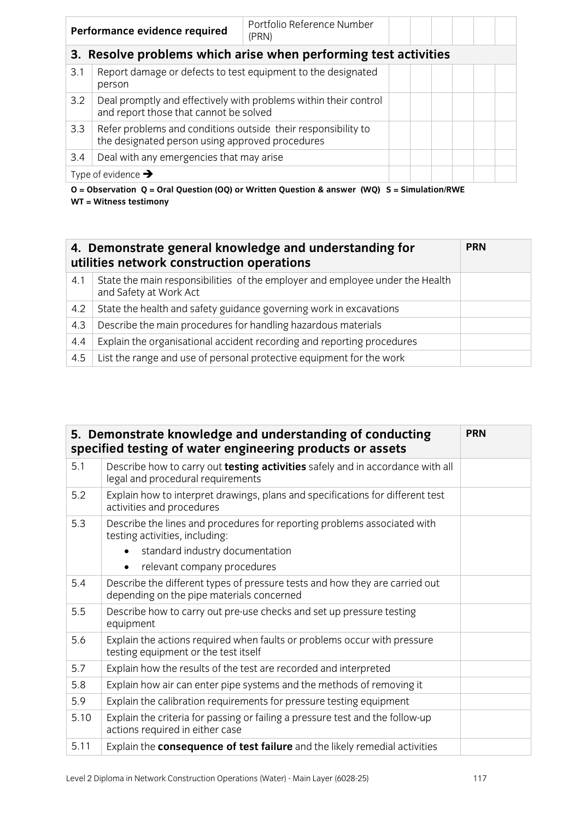| Performance evidence required |                                                                                                                  | Portfolio Reference Number<br>(PRN) |  |  |  |  |
|-------------------------------|------------------------------------------------------------------------------------------------------------------|-------------------------------------|--|--|--|--|
|                               | 3. Resolve problems which arise when performing test activities                                                  |                                     |  |  |  |  |
| 3.1                           | Report damage or defects to test equipment to the designated<br>person                                           |                                     |  |  |  |  |
| 3.2                           | Deal promptly and effectively with problems within their control<br>and report those that cannot be solved       |                                     |  |  |  |  |
| 3.3                           | Refer problems and conditions outside their responsibility to<br>the designated person using approved procedures |                                     |  |  |  |  |
| 3.4                           | Deal with any emergencies that may arise                                                                         |                                     |  |  |  |  |
|                               | Type of evidence $\rightarrow$                                                                                   |                                     |  |  |  |  |

| 4. Demonstrate general knowledge and understanding for<br>utilities network construction operations | <b>PRN</b>                                                                                              |  |
|-----------------------------------------------------------------------------------------------------|---------------------------------------------------------------------------------------------------------|--|
| 4.1                                                                                                 | State the main responsibilities of the employer and employee under the Health<br>and Safety at Work Act |  |
| 4.2                                                                                                 | State the health and safety guidance governing work in excavations                                      |  |
| 4.3                                                                                                 | Describe the main procedures for handling hazardous materials                                           |  |
| 4.4                                                                                                 | Explain the organisational accident recording and reporting procedures                                  |  |
| 4.5                                                                                                 | List the range and use of personal protective equipment for the work                                    |  |

|      | 5. Demonstrate knowledge and understanding of conducting<br>specified testing of water engineering products or assets                         | <b>PRN</b> |
|------|-----------------------------------------------------------------------------------------------------------------------------------------------|------------|
| 5.1  | Describe how to carry out testing activities safely and in accordance with all<br>legal and procedural requirements                           |            |
| 5.2  | Explain how to interpret drawings, plans and specifications for different test<br>activities and procedures                                   |            |
| 5.3  | Describe the lines and procedures for reporting problems associated with<br>testing activities, including:<br>standard industry documentation |            |
|      | relevant company procedures<br>$\bullet$                                                                                                      |            |
| 5.4  | Describe the different types of pressure tests and how they are carried out<br>depending on the pipe materials concerned                      |            |
| 5.5  | Describe how to carry out pre-use checks and set up pressure testing<br>equipment                                                             |            |
| 5.6  | Explain the actions required when faults or problems occur with pressure<br>testing equipment or the test itself                              |            |
| 5.7  | Explain how the results of the test are recorded and interpreted                                                                              |            |
| 5.8  | Explain how air can enter pipe systems and the methods of removing it                                                                         |            |
| 5.9  | Explain the calibration requirements for pressure testing equipment                                                                           |            |
| 5.10 | Explain the criteria for passing or failing a pressure test and the follow-up<br>actions required in either case                              |            |
| 5.11 | Explain the <b>consequence of test failure</b> and the likely remedial activities                                                             |            |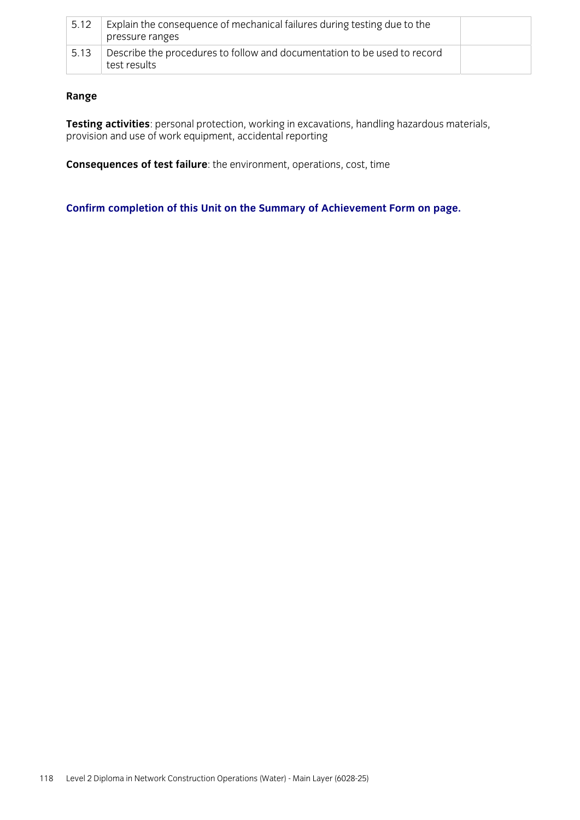| 5.12 | Explain the consequence of mechanical failures during testing due to the<br>pressure ranges |  |
|------|---------------------------------------------------------------------------------------------|--|
| 5.13 | Describe the procedures to follow and documentation to be used to record<br>test results    |  |

#### **Range**

**Testing activities**: personal protection, working in excavations, handling hazardous materials, provision and use of work equipment, accidental reporting

**Consequences of test failure**: the environment, operations, cost, time

**Confirm completion of this Unit on the Summary of Achievement Form on page.**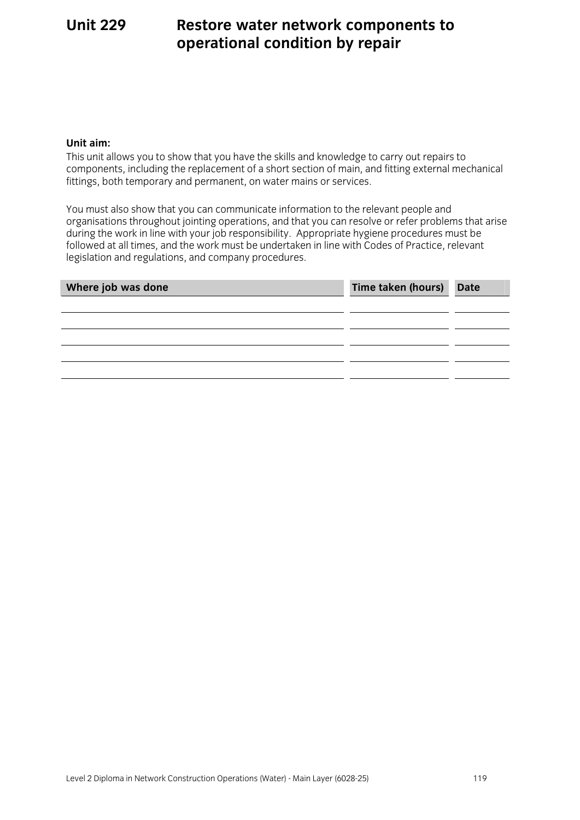### **Unit 229 Restore water network components to operational condition by repair**

#### **Unit aim:**

This unit allows you to show that you have the skills and knowledge to carry out repairs to components, including the replacement of a short section of main, and fitting external mechanical fittings, both temporary and permanent, on water mains or services.

You must also show that you can communicate information to the relevant people and organisations throughout jointing operations, and that you can resolve or refer problems that arise during the work in line with your job responsibility. Appropriate hygiene procedures must be followed at all times, and the work must be undertaken in line with Codes of Practice, relevant legislation and regulations, and company procedures.

| Where job was done | Time taken (hours) Date |  |
|--------------------|-------------------------|--|
|                    |                         |  |
|                    |                         |  |
|                    |                         |  |
|                    |                         |  |
|                    |                         |  |
|                    |                         |  |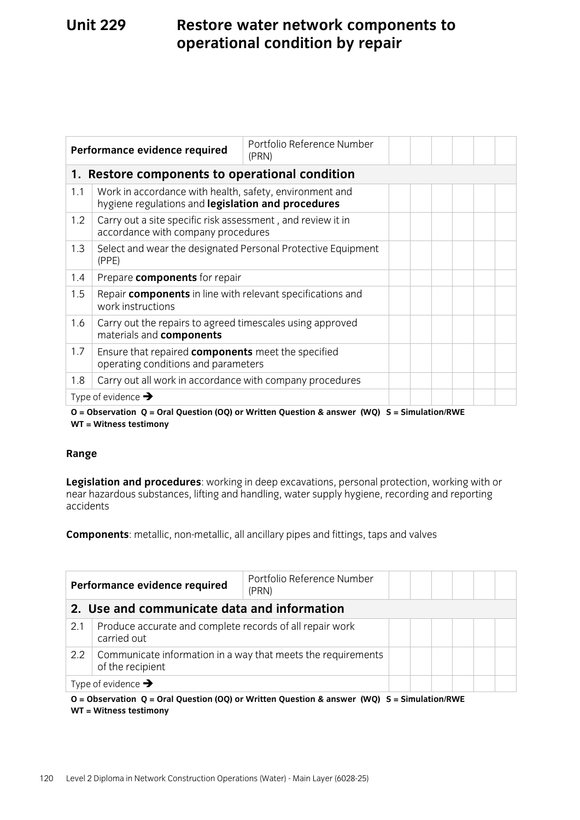## **Unit 229 Restore water network components to operational condition by repair**

| Portfolio Reference Number<br>Performance evidence required<br>(PRN) |                                                                                                               |  |  |  |  |  |  |
|----------------------------------------------------------------------|---------------------------------------------------------------------------------------------------------------|--|--|--|--|--|--|
|                                                                      | 1. Restore components to operational condition                                                                |  |  |  |  |  |  |
| 1.1                                                                  | Work in accordance with health, safety, environment and<br>hygiene regulations and legislation and procedures |  |  |  |  |  |  |
| 1.2                                                                  | Carry out a site specific risk assessment, and review it in<br>accordance with company procedures             |  |  |  |  |  |  |
| 1.3                                                                  | Select and wear the designated Personal Protective Equipment<br>(PPE)                                         |  |  |  |  |  |  |
| 1.4                                                                  | Prepare components for repair                                                                                 |  |  |  |  |  |  |
| 1.5                                                                  | Repair components in line with relevant specifications and<br>work instructions                               |  |  |  |  |  |  |
| 1.6                                                                  | Carry out the repairs to agreed timescales using approved<br>materials and components                         |  |  |  |  |  |  |
| 1.7                                                                  | Ensure that repaired components meet the specified<br>operating conditions and parameters                     |  |  |  |  |  |  |
| 1.8                                                                  | Carry out all work in accordance with company procedures                                                      |  |  |  |  |  |  |
|                                                                      | Type of evidence $\rightarrow$                                                                                |  |  |  |  |  |  |
|                                                                      |                                                                                                               |  |  |  |  |  |  |

**O = Observation Q = Oral Question (OQ) or Written Question & answer (WQ) S = Simulation/RWE WT = Witness testimony**

#### **Range**

**Legislation and procedures**: working in deep excavations, personal protection, working with or near hazardous substances, lifting and handling, water supply hygiene, recording and reporting accidents

**Components**: metallic, non-metallic, all ancillary pipes and fittings, taps and valves

| Performance evidence required               |                                                                                  | Portfolio Reference Number<br>(PRN) |  |  |  |  |  |
|---------------------------------------------|----------------------------------------------------------------------------------|-------------------------------------|--|--|--|--|--|
| 2. Use and communicate data and information |                                                                                  |                                     |  |  |  |  |  |
| 2.1                                         | Produce accurate and complete records of all repair work<br>carried out          |                                     |  |  |  |  |  |
| $2.2^{\circ}$                               | Communicate information in a way that meets the requirements<br>of the recipient |                                     |  |  |  |  |  |
| Type of evidence $\rightarrow$              |                                                                                  |                                     |  |  |  |  |  |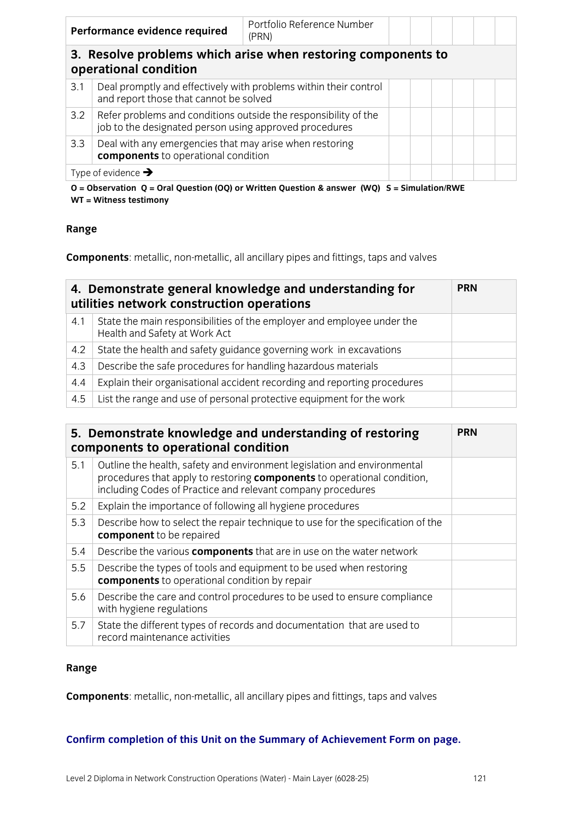| Portfolio Reference Number<br>Performance evidence required<br>(PRN)                  |                                                                                                                           |  |  |  |  |  |
|---------------------------------------------------------------------------------------|---------------------------------------------------------------------------------------------------------------------------|--|--|--|--|--|
| 3. Resolve problems which arise when restoring components to<br>operational condition |                                                                                                                           |  |  |  |  |  |
| 3.1                                                                                   | Deal promptly and effectively with problems within their control<br>and report those that cannot be solved                |  |  |  |  |  |
| 3.2                                                                                   | Refer problems and conditions outside the responsibility of the<br>job to the designated person using approved procedures |  |  |  |  |  |
| 3.3                                                                                   | Deal with any emergencies that may arise when restoring<br>components to operational condition                            |  |  |  |  |  |
|                                                                                       | Type of evidence $\rightarrow$                                                                                            |  |  |  |  |  |

**O = Observation Q = Oral Question (OQ) or Written Question & answer (WQ) S = Simulation/RWE WT = Witness testimony**

#### **Range**

**Components**: metallic, non-metallic, all ancillary pipes and fittings, taps and valves

|     | 4. Demonstrate general knowledge and understanding for<br>utilities network construction operations     | <b>PRN</b> |
|-----|---------------------------------------------------------------------------------------------------------|------------|
| 4.1 | State the main responsibilities of the employer and employee under the<br>Health and Safety at Work Act |            |
| 4.2 | State the health and safety guidance governing work in excavations                                      |            |
| 4.3 | Describe the safe procedures for handling hazardous materials                                           |            |
| 4.4 | Explain their organisational accident recording and reporting procedures                                |            |
| 4.5 | List the range and use of personal protective equipment for the work                                    |            |

| 5. Demonstrate knowledge and understanding of restoring<br>components to operational condition |                                                                                                                                                                                                                    |  |
|------------------------------------------------------------------------------------------------|--------------------------------------------------------------------------------------------------------------------------------------------------------------------------------------------------------------------|--|
| 5.1                                                                                            | Outline the health, safety and environment legislation and environmental<br>procedures that apply to restoring components to operational condition,<br>including Codes of Practice and relevant company procedures |  |
| 5.2                                                                                            | Explain the importance of following all hygiene procedures                                                                                                                                                         |  |
| 5.3                                                                                            | Describe how to select the repair technique to use for the specification of the<br>component to be repaired                                                                                                        |  |
| 5.4                                                                                            | Describe the various <b>components</b> that are in use on the water network                                                                                                                                        |  |
| 5.5                                                                                            | Describe the types of tools and equipment to be used when restoring<br>components to operational condition by repair                                                                                               |  |
| 5.6                                                                                            | Describe the care and control procedures to be used to ensure compliance<br>with hygiene regulations                                                                                                               |  |
| 5.7                                                                                            | State the different types of records and documentation that are used to<br>record maintenance activities                                                                                                           |  |

#### **Range**

**Components**: metallic, non-metallic, all ancillary pipes and fittings, taps and valves

#### **Confirm completion of this Unit on the Summary of Achievement Form on page.**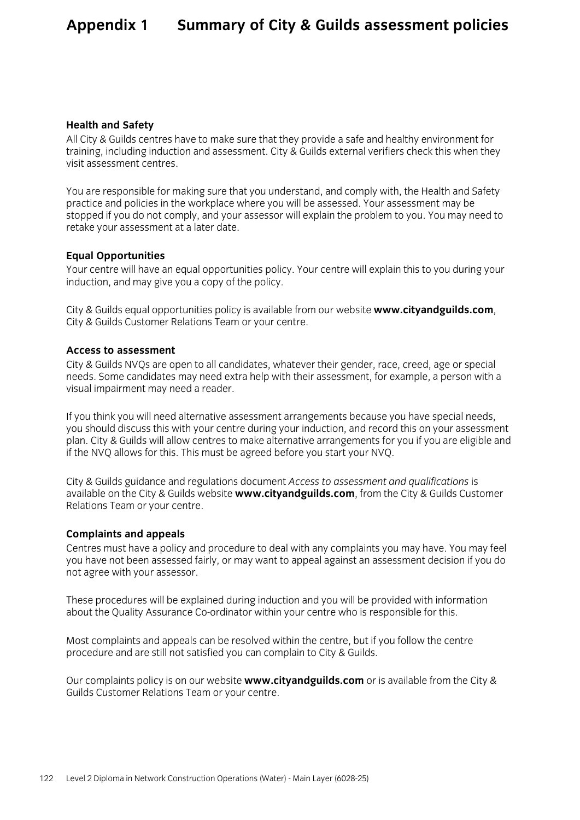#### **Health and Safety**

All City & Guilds centres have to make sure that they provide a safe and healthy environment for training, including induction and assessment. City & Guilds external verifiers check this when they visit assessment centres.

You are responsible for making sure that you understand, and comply with, the Health and Safety practice and policies in the workplace where you will be assessed. Your assessment may be stopped if you do not comply, and your assessor will explain the problem to you. You may need to retake your assessment at a later date.

#### **Equal Opportunities**

Your centre will have an equal opportunities policy. Your centre will explain this to you during your induction, and may give you a copy of the policy.

City & Guilds equal opportunities policy is available from our website **[www.cityandguilds.com](http://www.cityandguilds.com/)**, City & Guilds Customer Relations Team or your centre.

#### **Access to assessment**

City & Guilds NVQs are open to all candidates, whatever their gender, race, creed, age or special needs. Some candidates may need extra help with their assessment, for example, a person with a visual impairment may need a reader.

If you think you will need alternative assessment arrangements because you have special needs, you should discuss this with your centre during your induction, and record this on your assessment plan. City & Guilds will allow centres to make alternative arrangements for you if you are eligible and if the NVQ allows for this. This must be agreed before you start your NVQ.

City & Guilds guidance and regulations document *Access to assessment and qualifications* is available on the City & Guilds website **[www.cityandguilds.com](http://www.cityandguilds.com/)**, from the City & Guilds Customer Relations Team or your centre.

#### **Complaints and appeals**

Centres must have a policy and procedure to deal with any complaints you may have. You may feel you have not been assessed fairly, or may want to appeal against an assessment decision if you do not agree with your assessor.

These procedures will be explained during induction and you will be provided with information about the Quality Assurance Co-ordinator within your centre who is responsible for this.

Most complaints and appeals can be resolved within the centre, but if you follow the centre procedure and are still not satisfied you can complain to City & Guilds.

Our complaints policy is on our website **[www.cityandguilds.com](http://www.cityandguilds.com/)** or is available from the City & Guilds Customer Relations Team or your centre.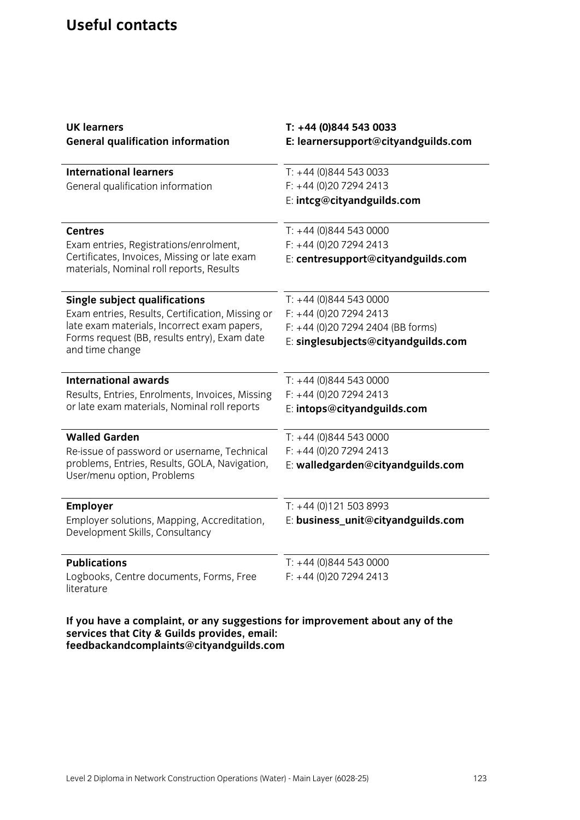# **Useful contacts**

| <b>UK learners</b><br><b>General qualification information</b>                           | T: +44 (0)844 543 0033<br>E: learnersupport@cityandguilds.com |
|------------------------------------------------------------------------------------------|---------------------------------------------------------------|
| <b>International learners</b>                                                            | $T: +44(0)8445430033$                                         |
| General qualification information                                                        | F: +44 (0)20 7294 2413                                        |
|                                                                                          | E: intcg@cityandguilds.com                                    |
| <b>Centres</b>                                                                           | $T: +44(0)8445430000$                                         |
| Exam entries, Registrations/enrolment,                                                   | $F: +44(0)2072942413$                                         |
| Certificates, Invoices, Missing or late exam<br>materials, Nominal roll reports, Results | E: centresupport@cityandguilds.com                            |
| <b>Single subject qualifications</b>                                                     | $T: +44(0)8445430000$                                         |
| Exam entries, Results, Certification, Missing or                                         | $F: +44(0)2072942413$                                         |
| late exam materials, Incorrect exam papers,                                              | F: +44 (0)20 7294 2404 (BB forms)                             |
| Forms request (BB, results entry), Exam date<br>and time change                          | E: singlesubjects@cityandguilds.com                           |
| <b>International awards</b>                                                              | $T: +44(0)8445430000$                                         |
| Results, Entries, Enrolments, Invoices, Missing                                          | $F: +44(0)2072942413$                                         |
| or late exam materials, Nominal roll reports                                             | E: intops@cityandguilds.com                                   |
| <b>Walled Garden</b>                                                                     | $T: +44(0)8445430000$                                         |
| Re-issue of password or username, Technical                                              | $F: +44(0)2072942413$                                         |
| problems, Entries, Results, GOLA, Navigation,<br>User/menu option, Problems              | E: walledgarden@cityandguilds.com                             |
| Employer                                                                                 | $T: +44(0)1215038993$                                         |
| Employer solutions, Mapping, Accreditation,<br>Development Skills, Consultancy           | E: business_unit@cityandguilds.com                            |
| <b>Publications</b>                                                                      | $T: +44(0)8445430000$                                         |
| Logbooks, Centre documents, Forms, Free<br>literature                                    | $F: +44(0)2072942413$                                         |

**If you have a complaint, or any suggestions for improvement about any of the services that City & Guilds provides, email: feedbackandcomplaints@cityandguilds.com**